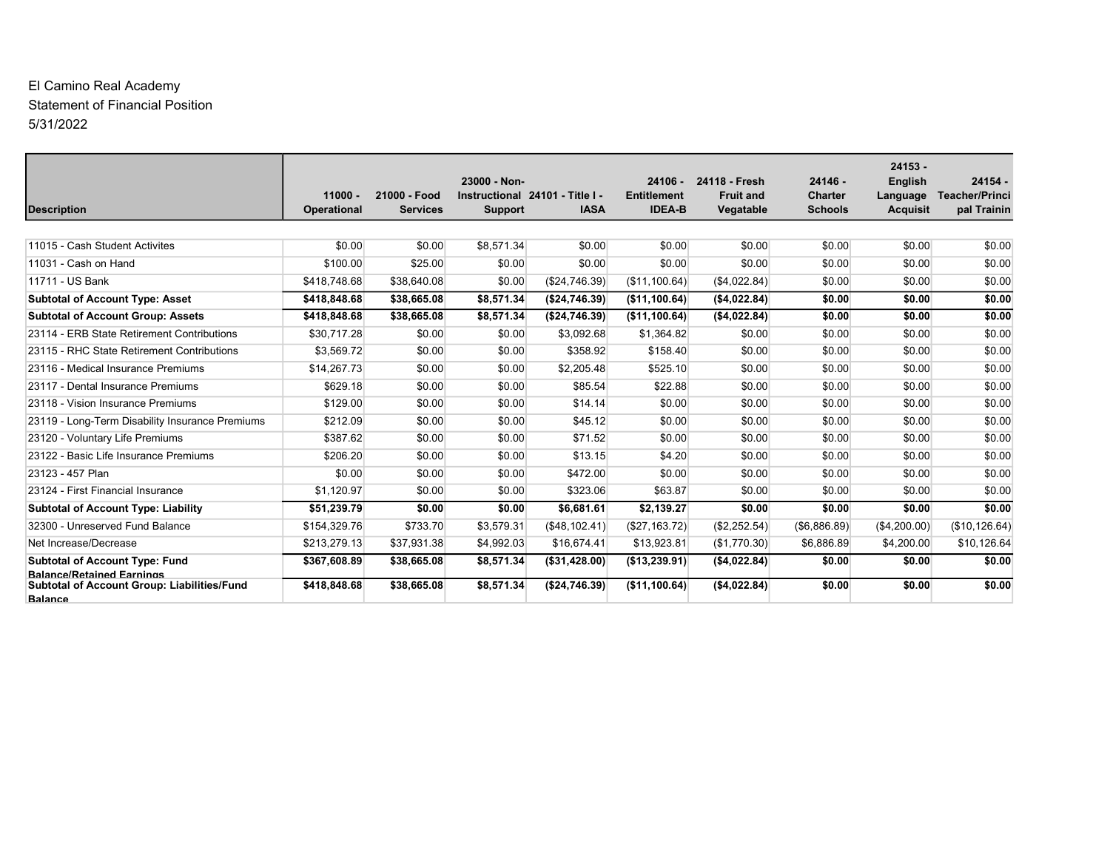# El Camino Real Academy Statement of Financial Position 5/31/2022

| <b>Description</b>                                                                                | $11000 -$<br><b>Operational</b> | 21000 - Food<br><b>Services</b> | 23000 - Non-<br>Instructional 24101 - Title I -<br>Support | <b>IASA</b>    | $24106 -$<br><b>Entitlement</b><br><b>IDEA-B</b> | 24118 - Fresh<br><b>Fruit and</b><br>Vegatable | $24146 -$<br><b>Charter</b><br><b>Schools</b> | $24153 -$<br><b>English</b><br>Language<br><b>Acquisit</b> | $24154 -$<br><b>Teacher/Princi</b><br>pal Trainin |
|---------------------------------------------------------------------------------------------------|---------------------------------|---------------------------------|------------------------------------------------------------|----------------|--------------------------------------------------|------------------------------------------------|-----------------------------------------------|------------------------------------------------------------|---------------------------------------------------|
|                                                                                                   |                                 |                                 |                                                            |                |                                                  |                                                |                                               |                                                            |                                                   |
| 11015 - Cash Student Activites                                                                    | \$0.00                          | \$0.00                          | \$8,571.34                                                 | \$0.00         | \$0.00                                           | \$0.00                                         | \$0.00                                        | \$0.00                                                     | \$0.00                                            |
| 11031 - Cash on Hand                                                                              | \$100.00                        | \$25.00                         | \$0.00                                                     | \$0.00         | \$0.00                                           | \$0.00                                         | \$0.00                                        | \$0.00                                                     | \$0.00                                            |
| 11711 - US Bank                                                                                   | \$418,748.68                    | \$38,640.08                     | \$0.00                                                     | (\$24,746.39)  | (\$11,100.64)                                    | (\$4,022.84)                                   | \$0.00                                        | \$0.00                                                     | \$0.00                                            |
| <b>Subtotal of Account Type: Asset</b>                                                            | \$418,848.68                    | \$38,665.08                     | \$8,571.34                                                 | ( \$24,746.39) | (\$11,100.64)                                    | (\$4,022.84)                                   | \$0.00                                        | \$0.00                                                     | \$0.00                                            |
| <b>Subtotal of Account Group: Assets</b>                                                          | \$418,848,68                    | \$38,665.08                     | \$8.571.34                                                 | ( \$24,746.39) | (\$11,100.64)                                    | ( \$4,022.84)                                  | \$0.00                                        | \$0.00                                                     | \$0.00                                            |
| 23114 - ERB State Retirement Contributions                                                        | \$30,717.28                     | \$0.00                          | \$0.00                                                     | \$3,092.68     | \$1,364.82                                       | \$0.00                                         | \$0.00                                        | \$0.00                                                     | \$0.00                                            |
| 23115 - RHC State Retirement Contributions                                                        | \$3.569.72                      | \$0.00                          | \$0.00                                                     | \$358.92       | \$158.40                                         | \$0.00                                         | \$0.00                                        | \$0.00                                                     | \$0.00                                            |
| 23116 - Medical Insurance Premiums                                                                | \$14,267.73                     | \$0.00                          | \$0.00                                                     | \$2,205.48     | \$525.10                                         | \$0.00                                         | \$0.00                                        | \$0.00                                                     | \$0.00                                            |
| 23117 - Dental Insurance Premiums                                                                 | \$629.18                        | \$0.00                          | \$0.00                                                     | \$85.54        | \$22.88                                          | \$0.00                                         | \$0.00                                        | \$0.00                                                     | \$0.00                                            |
| 23118 - Vision Insurance Premiums                                                                 | \$129.00                        | \$0.00                          | \$0.00                                                     | \$14.14        | \$0.00                                           | \$0.00                                         | \$0.00                                        | \$0.00                                                     | \$0.00                                            |
| 23119 - Long-Term Disability Insurance Premiums                                                   | \$212.09                        | \$0.00                          | \$0.00                                                     | \$45.12        | \$0.00                                           | \$0.00                                         | \$0.00                                        | \$0.00                                                     | \$0.00                                            |
| 23120 - Voluntary Life Premiums                                                                   | \$387.62                        | \$0.00                          | \$0.00                                                     | \$71.52        | \$0.00                                           | \$0.00                                         | \$0.00                                        | \$0.00                                                     | \$0.00                                            |
| 23122 - Basic Life Insurance Premiums                                                             | \$206.20                        | \$0.00                          | \$0.00                                                     | \$13.15        | \$4.20                                           | \$0.00                                         | \$0.00                                        | \$0.00                                                     | \$0.00                                            |
| 23123 - 457 Plan                                                                                  | \$0.00                          | \$0.00                          | \$0.00                                                     | \$472.00       | \$0.00                                           | \$0.00                                         | \$0.00                                        | \$0.00                                                     | \$0.00                                            |
| 23124 - First Financial Insurance                                                                 | \$1,120.97                      | \$0.00                          | \$0.00                                                     | \$323.06       | \$63.87                                          | \$0.00                                         | \$0.00                                        | \$0.00                                                     | \$0.00                                            |
| <b>Subtotal of Account Type: Liability</b>                                                        | \$51,239.79                     | \$0.00                          | \$0.00                                                     | \$6,681.61     | \$2,139.27                                       | \$0.00                                         | \$0.00                                        | \$0.00                                                     | \$0.00                                            |
| 32300 - Unreserved Fund Balance                                                                   | \$154,329.76                    | \$733.70                        | \$3,579.31                                                 | (\$48,102.41)  | (\$27,163.72)                                    | (\$2,252.54)                                   | (\$6,886.89)                                  | (\$4,200.00)                                               | (\$10, 126.64)                                    |
| Net Increase/Decrease                                                                             | \$213,279.13                    | \$37,931.38                     | \$4,992.03                                                 | \$16,674.41    | \$13,923.81                                      | (\$1,770.30)                                   | \$6,886.89                                    | \$4,200.00                                                 | \$10,126.64                                       |
| <b>Subtotal of Account Type: Fund</b>                                                             | \$367,608.89                    | \$38,665.08                     | \$8,571.34                                                 | ( \$31,428.00) | (\$13,239.91)                                    | (\$4,022.84)                                   | \$0.00                                        | \$0.00                                                     | \$0.00                                            |
| <b>Balance/Retained Earnings</b><br>Subtotal of Account Group: Liabilities/Fund<br><b>Balance</b> | \$418,848.68                    | \$38,665.08                     | \$8,571.34                                                 | (\$24,746.39)  | (\$11,100.64)                                    | (\$4,022.84)                                   | \$0.00                                        | \$0.00                                                     | \$0.00                                            |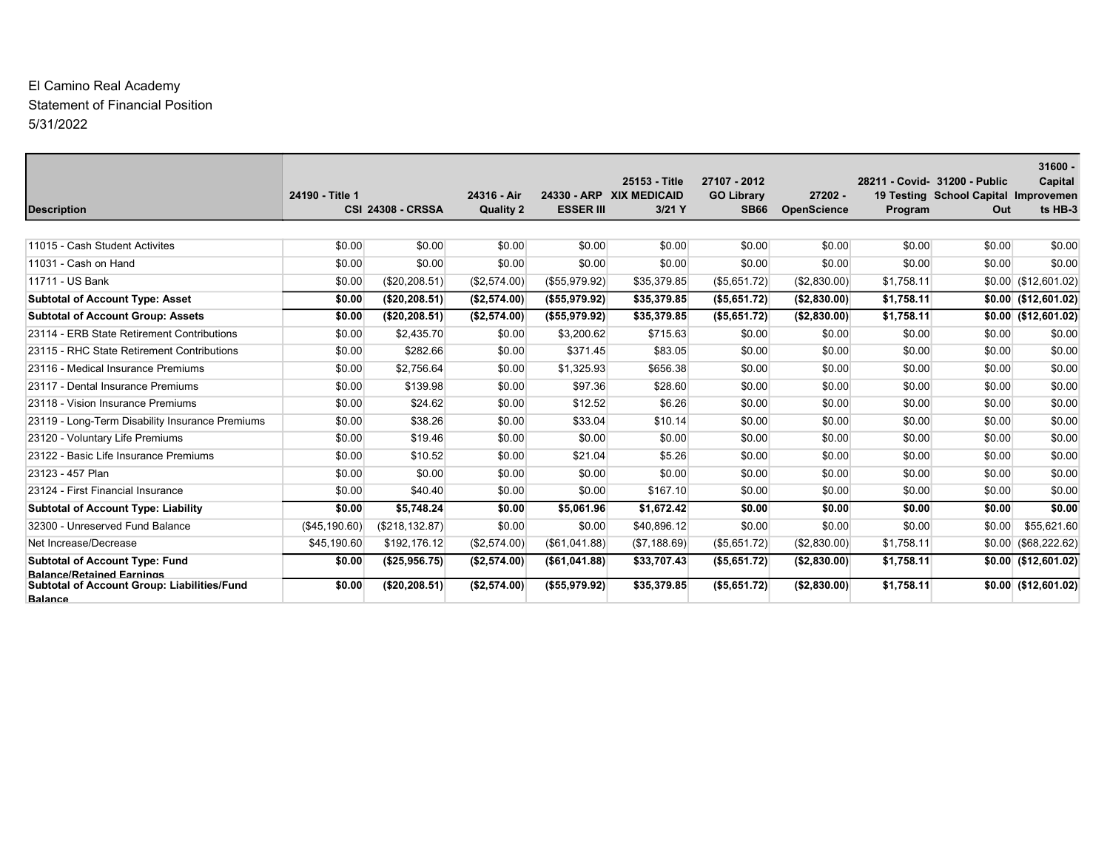# El Camino Real Academy Statement of Financial Position 5/31/2022

| <b>Description</b>                                                                                | 24190 - Title 1 | <b>CSI 24308 - CRSSA</b> | 24316 - Air<br><b>Quality 2</b> | <b>ESSER III</b> | 25153 - Title<br>24330 - ARP XIX MEDICAID<br>3/21 Y | 27107 - 2012<br><b>GO Library</b><br><b>SB66</b> | $27202 -$<br><b>OpenScience</b> | Program    | 28211 - Covid- 31200 - Public<br>19 Testing School Capital Improvemen<br>Out | $31600 -$<br>Capital<br>ts HB-3 |
|---------------------------------------------------------------------------------------------------|-----------------|--------------------------|---------------------------------|------------------|-----------------------------------------------------|--------------------------------------------------|---------------------------------|------------|------------------------------------------------------------------------------|---------------------------------|
|                                                                                                   |                 |                          |                                 |                  |                                                     |                                                  |                                 |            |                                                                              |                                 |
| 11015 - Cash Student Activites                                                                    | \$0.00          | \$0.00                   | \$0.00                          | \$0.00           | \$0.00                                              | \$0.00                                           | \$0.00                          | \$0.00     | \$0.00                                                                       | \$0.00                          |
| 11031 - Cash on Hand                                                                              | \$0.00          | \$0.00                   | \$0.00                          | \$0.00           | \$0.00                                              | \$0.00                                           | \$0.00                          | \$0.00     | \$0.00                                                                       | \$0.00                          |
| 11711 - US Bank                                                                                   | \$0.00          | (\$20, 208.51)           | (\$2,574.00)                    | (\$55,979.92)    | \$35,379.85                                         | (\$5,651.72)                                     | (\$2,830.00)                    | \$1,758.11 |                                                                              | $$0.00 \ ($12,601.02)$          |
| <b>Subtotal of Account Type: Asset</b>                                                            | \$0.00          | (\$20, 208.51)           | (\$2,574.00)                    | (\$55,979.92)    | \$35,379.85                                         | (\$5,651.72)                                     | (\$2,830.00)                    | \$1,758.11 |                                                                              | $$0.00 \; ($12,601.02)$         |
| <b>Subtotal of Account Group: Assets</b>                                                          | \$0.00          | (\$20, 208.51)           | (\$2,574.00)                    | (\$55,979.92)    | \$35,379.85                                         | (\$5,651.72)                                     | (\$2,830.00)                    | \$1,758.11 |                                                                              | $$0.00 \; ($12,601.02)$         |
| 23114 - ERB State Retirement Contributions                                                        | \$0.00          | \$2,435.70               | \$0.00                          | \$3,200.62       | \$715.63                                            | \$0.00                                           | \$0.00                          | \$0.00     | \$0.00                                                                       | \$0.00                          |
| 23115 - RHC State Retirement Contributions                                                        | \$0.00          | \$282.66                 | \$0.00                          | \$371.45         | \$83.05                                             | \$0.00                                           | \$0.00                          | \$0.00     | \$0.00                                                                       | \$0.00                          |
| 23116 - Medical Insurance Premiums                                                                | \$0.00          | \$2,756.64               | \$0.00                          | \$1,325.93       | \$656.38                                            | \$0.00                                           | \$0.00                          | \$0.00     | \$0.00                                                                       | \$0.00                          |
| 23117 - Dental Insurance Premiums                                                                 | \$0.00          | \$139.98                 | \$0.00                          | \$97.36          | \$28.60                                             | \$0.00                                           | \$0.00                          | \$0.00     | \$0.00                                                                       | \$0.00                          |
| 23118 - Vision Insurance Premiums                                                                 | \$0.00          | \$24.62                  | \$0.00                          | \$12.52          | \$6.26                                              | \$0.00                                           | \$0.00                          | \$0.00     | \$0.00                                                                       | \$0.00                          |
| 23119 - Long-Term Disability Insurance Premiums                                                   | \$0.00          | \$38.26                  | \$0.00                          | \$33.04          | \$10.14                                             | \$0.00                                           | \$0.00                          | \$0.00     | \$0.00                                                                       | \$0.00                          |
| 23120 - Voluntary Life Premiums                                                                   | \$0.00          | \$19.46                  | \$0.00                          | \$0.00           | \$0.00                                              | \$0.00                                           | \$0.00                          | \$0.00     | \$0.00                                                                       | \$0.00                          |
| 23122 - Basic Life Insurance Premiums                                                             | \$0.00          | \$10.52                  | \$0.00                          | \$21.04          | \$5.26                                              | \$0.00                                           | \$0.00                          | \$0.00     | \$0.00                                                                       | \$0.00                          |
| 23123 - 457 Plan                                                                                  | \$0.00          | \$0.00                   | \$0.00                          | \$0.00           | \$0.00                                              | \$0.00                                           | \$0.00                          | \$0.00     | \$0.00                                                                       | \$0.00                          |
| 23124 - First Financial Insurance                                                                 | \$0.00          | \$40.40                  | \$0.00                          | \$0.00           | \$167.10                                            | \$0.00                                           | \$0.00                          | \$0.00     | \$0.00                                                                       | \$0.00                          |
| <b>Subtotal of Account Type: Liability</b>                                                        | \$0.00          | \$5,748.24               | \$0.00                          | \$5,061.96       | \$1,672.42                                          | \$0.00                                           | \$0.00                          | \$0.00     | \$0.00                                                                       | \$0.00                          |
| 32300 - Unreserved Fund Balance                                                                   | (\$45,190.60)   | (\$218, 132.87)          | \$0.00                          | \$0.00           | \$40,896.12                                         | \$0.00                                           | \$0.00                          | \$0.00     | \$0.00                                                                       | \$55,621.60                     |
| Net Increase/Decrease                                                                             | \$45,190.60     | \$192,176.12             | (\$2,574.00)                    | (\$61,041.88)    | (\$7,188.69)                                        | (\$5,651.72)                                     | (\$2,830.00)                    | \$1,758.11 |                                                                              | $$0.00 \ ($68,222.62)$          |
| <b>Subtotal of Account Type: Fund</b>                                                             | \$0.00          | (\$25,956.75)            | (\$2,574.00)                    | ( \$61,041.88)   | \$33,707.43                                         | (\$5,651.72)                                     | (\$2,830.00)                    | \$1,758.11 |                                                                              | $$0.00 \; ($12,601.02)$         |
| <b>Balance/Retained Earnings</b><br>Subtotal of Account Group: Liabilities/Fund<br><b>Balance</b> | \$0.00          | (\$20, 208.51)           | (\$2,574.00)                    | ( \$55,979.92)   | \$35,379.85                                         | (\$5,651.72)                                     | (\$2,830.00)                    | \$1,758.11 |                                                                              | $$0.00 \; ($12,601.02)$         |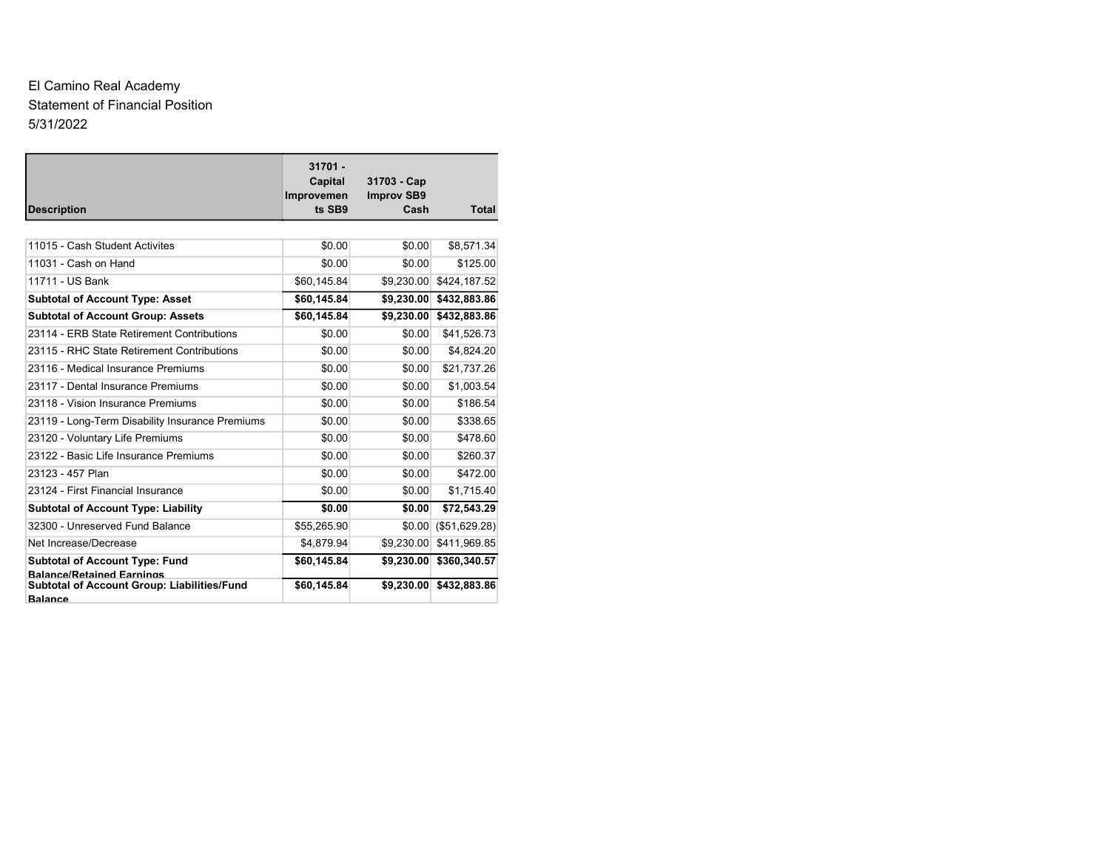# El Camino Real Academy Statement of Financial Position 5/31/2022

| <b>Description</b>                                                        | $31701 -$<br>Capital<br>Improvemen<br>ts SB9 | 31703 - Cap<br><b>Improv SB9</b><br>Cash | <b>Total</b>                            |
|---------------------------------------------------------------------------|----------------------------------------------|------------------------------------------|-----------------------------------------|
|                                                                           |                                              |                                          |                                         |
| 11015 - Cash Student Activites                                            | \$0.00                                       | \$0.00                                   | \$8,571.34                              |
| 11031 - Cash on Hand                                                      | \$0.00                                       | \$0.00                                   | \$125.00                                |
| 11711 - US Bank                                                           | \$60,145.84                                  | \$9,230.00                               | \$424,187.52                            |
| <b>Subtotal of Account Type: Asset</b>                                    | \$60,145.84                                  | \$9,230.00                               | \$432,883.86                            |
| <b>Subtotal of Account Group: Assets</b>                                  | \$60,145.84                                  | \$9,230.00                               | \$432,883.86                            |
| 23114 - ERB State Retirement Contributions                                | \$0.00                                       | \$0.00                                   | \$41,526.73                             |
| 23115 - RHC State Retirement Contributions                                | \$0.00                                       | \$0.00                                   | \$4,824.20                              |
| 23116 - Medical Insurance Premiums                                        | \$0.00                                       | \$0.00                                   | \$21,737.26                             |
| 23117 - Dental Insurance Premiums                                         | \$0.00                                       | \$0.00                                   | \$1,003.54                              |
| 23118 - Vision Insurance Premiums                                         | \$0.00                                       | \$0.00                                   | \$186.54                                |
| 23119 - Long-Term Disability Insurance Premiums                           | \$0.00                                       | \$0.00                                   | \$338.65                                |
| 23120 - Voluntary Life Premiums                                           | \$0.00                                       | \$0.00                                   | \$478.60                                |
| 23122 - Basic Life Insurance Premiums                                     | \$0.00                                       | \$0.00                                   | \$260.37                                |
| 23123 - 457 Plan                                                          | \$0.00                                       | \$0.00                                   | \$472.00                                |
| 23124 - First Financial Insurance                                         | \$0.00                                       | \$0.00                                   | \$1,715.40                              |
| <b>Subtotal of Account Type: Liability</b>                                | \$0.00                                       | \$0.00                                   | \$72,543.29                             |
| 32300 - Unreserved Fund Balance                                           | \$55,265.90                                  | \$0.00                                   | (\$51,629.28)                           |
| Net Increase/Decrease                                                     | \$4,879.94                                   | \$9,230.00                               | \$411,969.85                            |
| <b>Subtotal of Account Type: Fund</b><br><b>Balance/Retained Earnings</b> | \$60,145.84<br>\$60,145.84                   | \$9,230.00                               | \$360,340.57<br>\$9,230.00 \$432,883.86 |
| Subtotal of Account Group: Liabilities/Fund<br><b>Balance</b>             |                                              |                                          |                                         |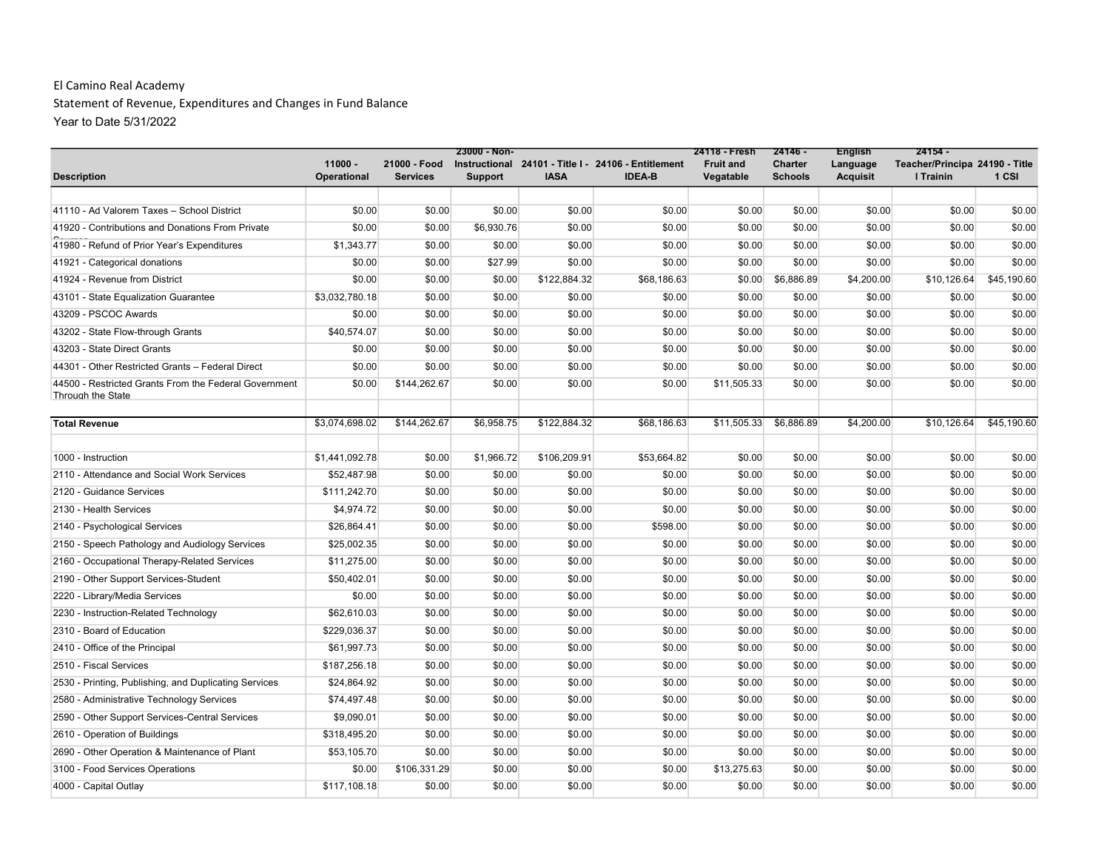Statement of Revenue, Expenditures and Changes in Fund Balance Year to Date 5/31/2022

|                                                                                   |                          |                                 | 23000 - Non-   |              |                                                                      | 24118 - Fresh                 | $24146 -$                 | <b>English</b>              | $24154 -$                                   |             |
|-----------------------------------------------------------------------------------|--------------------------|---------------------------------|----------------|--------------|----------------------------------------------------------------------|-------------------------------|---------------------------|-----------------------------|---------------------------------------------|-------------|
| <b>Description</b>                                                                | $11000 -$<br>Operational | 21000 - Food<br><b>Services</b> | <b>Support</b> | <b>IASA</b>  | Instructional 24101 - Title I - 24106 - Entitlement<br><b>IDEA-B</b> | <b>Fruit and</b><br>Vegatable | Charter<br><b>Schools</b> | Language<br><b>Acquisit</b> | Teacher/Principa 24190 - Title<br>I Trainin | 1 CSI       |
|                                                                                   |                          |                                 |                |              |                                                                      |                               |                           |                             |                                             |             |
| 41110 - Ad Valorem Taxes - School District                                        | \$0.00                   | \$0.00                          | \$0.00         | \$0.00       | \$0.00                                                               | \$0.00                        | \$0.00                    | \$0.00                      | \$0.00                                      | \$0.00      |
| 41920 - Contributions and Donations From Private                                  | \$0.00                   | \$0.00                          | \$6,930.76     | \$0.00       | \$0.00                                                               | \$0.00                        | \$0.00                    | \$0.00                      | \$0.00                                      | \$0.00      |
| 41980 - Refund of Prior Year's Expenditures                                       | \$1,343.77               | \$0.00                          | \$0.00         | \$0.00       | \$0.00                                                               | \$0.00                        | \$0.00                    | \$0.00                      | \$0.00                                      | \$0.00      |
| 41921 - Categorical donations                                                     | \$0.00                   | \$0.00                          | \$27.99        | \$0.00       | \$0.00                                                               | \$0.00                        | \$0.00                    | \$0.00                      | \$0.00                                      | \$0.00      |
| 41924 - Revenue from District                                                     | \$0.00                   | \$0.00                          | \$0.00         | \$122,884.32 | \$68,186.63                                                          | \$0.00                        | \$6,886.89                | \$4,200.00                  | \$10,126.64                                 | \$45,190.60 |
| 43101 - State Equalization Guarantee                                              | \$3,032,780.18           | \$0.00                          | \$0.00         | \$0.00       | \$0.00                                                               | \$0.00                        | \$0.00                    | \$0.00                      | \$0.00                                      | \$0.00      |
| 43209 - PSCOC Awards                                                              | \$0.00                   | \$0.00                          | \$0.00         | \$0.00       | \$0.00                                                               | \$0.00                        | \$0.00                    | \$0.00                      | \$0.00                                      | \$0.00      |
| 43202 - State Flow-through Grants                                                 | \$40,574.07              | \$0.00                          | \$0.00         | \$0.00       | \$0.00                                                               | \$0.00                        | \$0.00                    | \$0.00                      | \$0.00                                      | \$0.00      |
| 43203 - State Direct Grants                                                       | \$0.00                   | \$0.00                          | \$0.00         | \$0.00       | \$0.00                                                               | \$0.00                        | \$0.00                    | \$0.00                      | \$0.00                                      | \$0.00      |
| 44301 - Other Restricted Grants - Federal Direct                                  | \$0.00                   | \$0.00                          | \$0.00         | \$0.00       | \$0.00                                                               | \$0.00                        | \$0.00                    | \$0.00                      | \$0.00                                      | \$0.00      |
| 44500 - Restricted Grants From the Federal Government<br><b>Through the State</b> | \$0.00                   | \$144,262.67                    | \$0.00         | \$0.00       | \$0.00                                                               | \$11,505.33                   | \$0.00                    | \$0.00                      | \$0.00                                      | \$0.00      |
| <b>Total Revenue</b>                                                              | \$3,074,698.02           | \$144,262.67                    | \$6,958.75     | \$122,884.32 | \$68,186.63                                                          | \$11,505.33                   | \$6,886.89                | \$4,200.00                  | \$10,126.64                                 | \$45,190.60 |
| 1000 - Instruction                                                                | \$1,441,092.78           | \$0.00                          | \$1,966.72     | \$106,209.91 | \$53,664.82                                                          | \$0.00                        | \$0.00                    | \$0.00                      | \$0.00                                      | \$0.00      |
| 2110 - Attendance and Social Work Services                                        | \$52,487.98              | \$0.00                          | \$0.00         | \$0.00       | \$0.00                                                               | \$0.00                        | \$0.00                    | \$0.00                      | \$0.00                                      | \$0.00      |
| 2120 - Guidance Services                                                          | \$111,242.70             | \$0.00                          | \$0.00         | \$0.00       | \$0.00                                                               | \$0.00                        | \$0.00                    | \$0.00                      | \$0.00                                      | \$0.00      |
| 2130 - Health Services                                                            | \$4,974.72               | \$0.00                          | \$0.00         | \$0.00       | \$0.00                                                               | \$0.00                        | \$0.00                    | \$0.00                      | \$0.00                                      | \$0.00      |
| 2140 - Psychological Services                                                     | \$26,864.41              | \$0.00                          | \$0.00         | \$0.00       | \$598.00                                                             | \$0.00                        | \$0.00                    | \$0.00                      | \$0.00                                      | \$0.00      |
| 2150 - Speech Pathology and Audiology Services                                    | \$25,002.35              | \$0.00                          | \$0.00         | \$0.00       | \$0.00                                                               | \$0.00                        | \$0.00                    | \$0.00                      | \$0.00                                      | \$0.00      |
| 2160 - Occupational Therapy-Related Services                                      | \$11,275.00              | \$0.00                          | \$0.00         | \$0.00       | \$0.00                                                               | \$0.00                        | \$0.00                    | \$0.00                      | \$0.00                                      | \$0.00      |
| 2190 - Other Support Services-Student                                             | \$50,402.01              | \$0.00                          | \$0.00         | \$0.00       | \$0.00                                                               | \$0.00                        | \$0.00                    | \$0.00                      | \$0.00                                      | \$0.00      |
| 2220 - Library/Media Services                                                     | \$0.00                   | \$0.00                          | \$0.00         | \$0.00       | \$0.00                                                               | \$0.00                        | \$0.00                    | \$0.00                      | \$0.00                                      | \$0.00      |
| 2230 - Instruction-Related Technology                                             | \$62,610.03              | \$0.00                          | \$0.00         | \$0.00       | \$0.00                                                               | \$0.00                        | \$0.00                    | \$0.00                      | \$0.00                                      | \$0.00      |
| 2310 - Board of Education                                                         | \$229.036.37             | \$0.00                          | \$0.00         | \$0.00       | \$0.00                                                               | \$0.00                        | \$0.00                    | \$0.00                      | \$0.00                                      | \$0.00      |
| 2410 - Office of the Principal                                                    | \$61,997.73              | \$0.00                          | \$0.00         | \$0.00       | \$0.00                                                               | \$0.00                        | \$0.00                    | \$0.00                      | \$0.00                                      | \$0.00      |
| 2510 - Fiscal Services                                                            | \$187,256.18             | \$0.00                          | \$0.00         | \$0.00       | \$0.00                                                               | \$0.00                        | \$0.00                    | \$0.00                      | \$0.00                                      | \$0.00      |
| 2530 - Printing, Publishing, and Duplicating Services                             | \$24,864.92              | \$0.00                          | \$0.00         | \$0.00       | \$0.00                                                               | \$0.00                        | \$0.00                    | \$0.00                      | \$0.00                                      | \$0.00      |
| 2580 - Administrative Technology Services                                         | \$74,497.48              | \$0.00                          | \$0.00         | \$0.00       | \$0.00                                                               | \$0.00                        | \$0.00                    | \$0.00                      | \$0.00                                      | \$0.00      |
| 2590 - Other Support Services-Central Services                                    | \$9,090.01               | \$0.00                          | \$0.00         | \$0.00       | \$0.00                                                               | \$0.00                        | \$0.00                    | \$0.00                      | \$0.00                                      | \$0.00      |
| 2610 - Operation of Buildings                                                     | \$318,495.20             | \$0.00                          | \$0.00         | \$0.00       | \$0.00                                                               | \$0.00                        | \$0.00                    | \$0.00                      | \$0.00                                      | \$0.00      |
| 2690 - Other Operation & Maintenance of Plant                                     | \$53,105.70              | \$0.00                          | \$0.00         | \$0.00       | \$0.00                                                               | \$0.00                        | \$0.00                    | \$0.00                      | \$0.00                                      | \$0.00      |
| 3100 - Food Services Operations                                                   | \$0.00                   | \$106,331.29                    | \$0.00         | \$0.00       | \$0.00                                                               | \$13,275.63                   | \$0.00                    | \$0.00                      | \$0.00                                      | \$0.00      |
| 4000 - Capital Outlay                                                             | \$117,108.18             | \$0.00                          | \$0.00         | \$0.00       | \$0.00                                                               | \$0.00                        | \$0.00                    | \$0.00                      | \$0.00                                      | \$0.00      |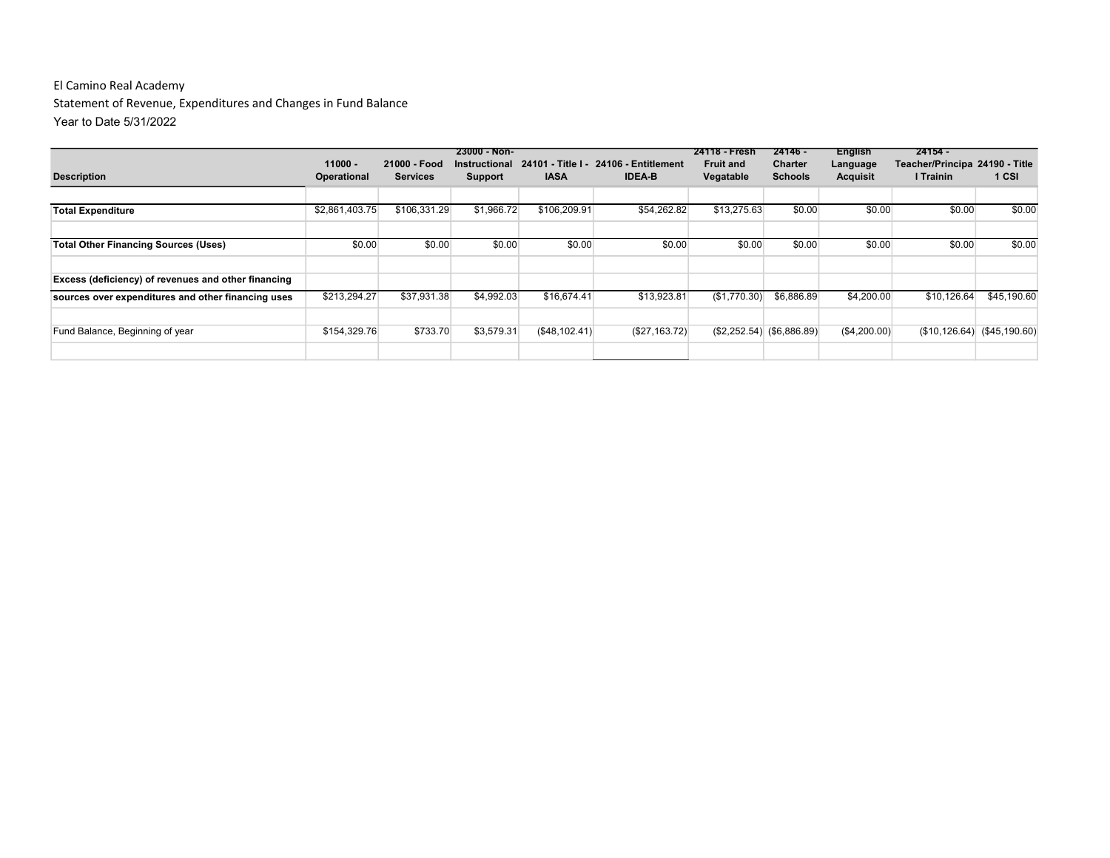Statement of Revenue, Expenditures and Changes in Fund Balance Year to Date 5/31/2022

|                                                     |                |                 | $23000 - Non-$ |               |                                                     | 24118 - Fresh    | 24146 -                     | <b>English</b>  | $24154 -$                      |                 |
|-----------------------------------------------------|----------------|-----------------|----------------|---------------|-----------------------------------------------------|------------------|-----------------------------|-----------------|--------------------------------|-----------------|
|                                                     | $11000 -$      | 21000 - Food    |                |               | Instructional 24101 - Title I - 24106 - Entitlement | <b>Fruit and</b> | <b>Charter</b>              | Language        | Teacher/Principa 24190 - Title |                 |
| <b>Description</b>                                  | Operational    | <b>Services</b> | Support        | <b>IASA</b>   | <b>IDEA-B</b>                                       | Vegatable        | <b>Schools</b>              | <b>Acquisit</b> | I Trainin                      | 1 CSI           |
|                                                     |                |                 |                |               |                                                     |                  |                             |                 |                                |                 |
| <b>Total Expenditure</b>                            | \$2,861,403.75 | \$106,331.29    | \$1,966.72     | \$106,209.91  | \$54,262.82                                         | \$13,275.63      | \$0.00                      | \$0.00          | \$0.00                         | \$0.00          |
|                                                     |                |                 |                |               |                                                     |                  |                             |                 |                                |                 |
| <b>Total Other Financing Sources (Uses)</b>         | \$0.00         | \$0.00          | \$0.00         | \$0.00        | \$0.00                                              | \$0.00           | \$0.00                      | \$0.00          | \$0.00                         | \$0.00          |
|                                                     |                |                 |                |               |                                                     |                  |                             |                 |                                |                 |
| Excess (deficiency) of revenues and other financing |                |                 |                |               |                                                     |                  |                             |                 |                                |                 |
| sources over expenditures and other financing uses  | \$213,294.27   | \$37,931.38     | \$4,992.03     | \$16,674.41   | \$13,923.81                                         | (\$1,770.30)     | \$6,886.89                  | \$4,200.00      | \$10.126.64                    | \$45,190.60     |
|                                                     |                |                 |                |               |                                                     |                  |                             |                 |                                |                 |
| Fund Balance, Beginning of year                     | \$154,329.76   | \$733.70        | \$3,579.31     | (\$48,102.41) | (\$27,163.72)                                       |                  | $($2,252.54)$ $($6,886.89)$ | (S4, 200.00)    | (S10, 126.64)                  | $(\$45,190.60)$ |
|                                                     |                |                 |                |               |                                                     |                  |                             |                 |                                |                 |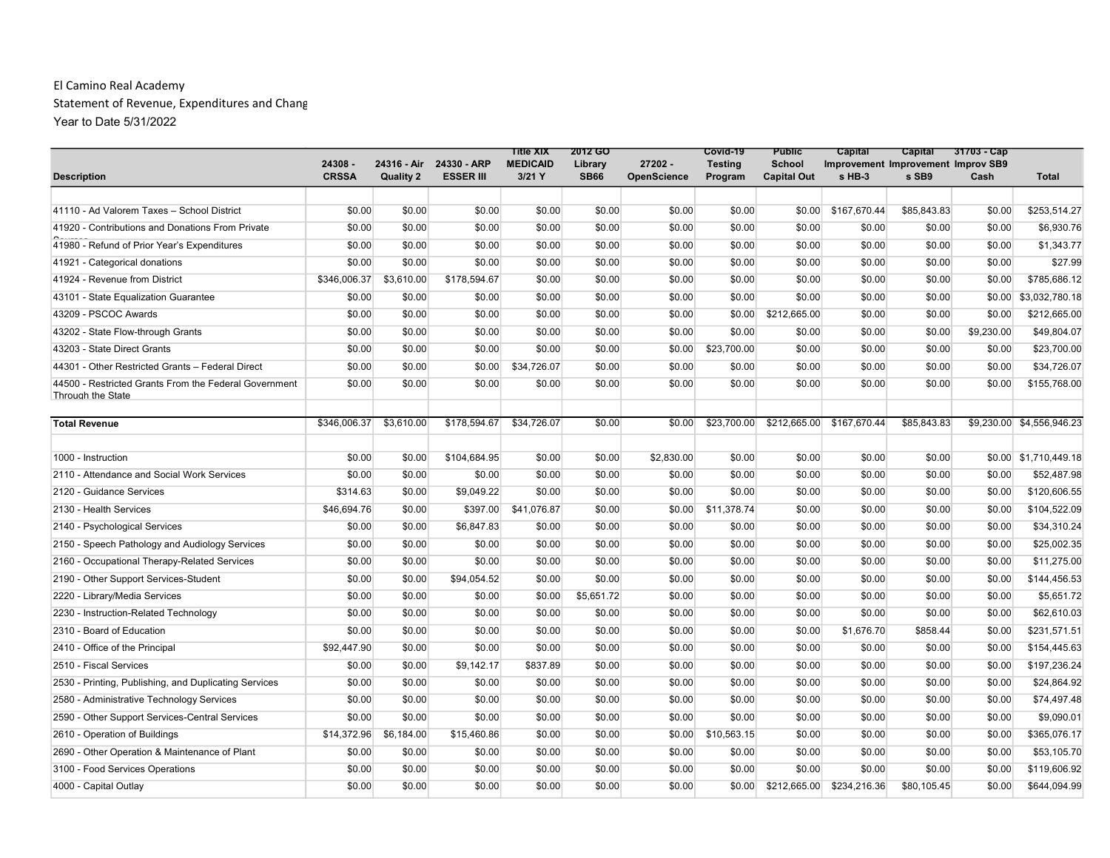#### El Camino Real Academy Statement of Revenue, Expenditures and Chang Year to Date 5/31/2022

|                                                       |                         |                  |                                             | <b>Title XIX</b>          | 2012 GO                |                               | Covid-19                  | <b>Public</b>                       | Capital                                      |             | Capital 31703 - Cap |                           |
|-------------------------------------------------------|-------------------------|------------------|---------------------------------------------|---------------------------|------------------------|-------------------------------|---------------------------|-------------------------------------|----------------------------------------------|-------------|---------------------|---------------------------|
| <b>Description</b>                                    | 24308 -<br><b>CRSSA</b> | <b>Quality 2</b> | 24316 - Air 24330 - ARP<br><b>ESSER III</b> | <b>MEDICAID</b><br>3/21 Y | Library<br><b>SB66</b> | 27202 -<br><b>OpenScience</b> | <b>Testing</b><br>Program | <b>School</b><br><b>Capital Out</b> | Improvement Improvement Improv SB9<br>s HB-3 | s SB9       | Cash                | <b>Total</b>              |
|                                                       |                         |                  |                                             |                           |                        |                               |                           |                                     |                                              |             |                     |                           |
| 41110 - Ad Valorem Taxes - School District            | \$0.00                  | \$0.00           | \$0.00                                      | \$0.00                    | \$0.00                 | \$0.00                        | \$0.00                    | \$0.00                              | \$167.670.44                                 | \$85,843.83 | \$0.00              | \$253,514.27              |
| 41920 - Contributions and Donations From Private      | \$0.00                  | \$0.00           | \$0.00                                      | \$0.00                    | \$0.00                 | \$0.00                        | \$0.00                    | \$0.00                              | \$0.00                                       | \$0.00      | \$0.00              | \$6,930.76                |
| 41980 - Refund of Prior Year's Expenditures           | \$0.00                  | \$0.00           | \$0.00                                      | \$0.00                    | \$0.00                 | \$0.00                        | \$0.00                    | \$0.00                              | \$0.00                                       | \$0.00      | \$0.00              | \$1,343.77                |
| 41921 - Categorical donations                         | \$0.00                  | \$0.00           | \$0.00                                      | \$0.00                    | \$0.00                 | \$0.00                        | \$0.00                    | \$0.00                              | \$0.00                                       | \$0.00      | \$0.00              | \$27.99                   |
| 41924 - Revenue from District                         | \$346,006.37            | \$3,610.00       | \$178,594.67                                | \$0.00                    | \$0.00                 | \$0.00                        | \$0.00                    | \$0.00                              | \$0.00                                       | \$0.00      | \$0.00              | \$785,686.12              |
| 43101 - State Equalization Guarantee                  | \$0.00                  | \$0.00           | \$0.00                                      | \$0.00                    | \$0.00                 | \$0.00                        | \$0.00                    | \$0.00                              | \$0.00                                       | \$0.00      | \$0.00              | \$3,032,780.18            |
| 43209 - PSCOC Awards                                  | \$0.00                  | \$0.00           | \$0.00                                      | \$0.00                    | \$0.00                 | \$0.00                        | \$0.00                    | \$212,665.00                        | \$0.00                                       | \$0.00      | \$0.00              | \$212,665.00              |
| 43202 - State Flow-through Grants                     | \$0.00                  | \$0.00           | \$0.00                                      | \$0.00                    | \$0.00                 | \$0.00                        | \$0.00                    | \$0.00                              | \$0.00                                       | \$0.00      | \$9,230.00          | \$49,804.07               |
| 43203 - State Direct Grants                           | \$0.00                  | \$0.00           | \$0.00                                      | \$0.00                    | \$0.00                 | \$0.00                        | \$23,700.00               | \$0.00                              | \$0.00                                       | \$0.00      | \$0.00              | \$23,700.00               |
| 44301 - Other Restricted Grants - Federal Direct      | \$0.00                  | \$0.00           | \$0.00                                      | \$34,726.07               | \$0.00                 | \$0.00                        | \$0.00                    | \$0.00                              | \$0.00                                       | \$0.00      | \$0.00              | \$34,726.07               |
| 44500 - Restricted Grants From the Federal Government | \$0.00                  | \$0.00           | \$0.00                                      | \$0.00                    | \$0.00                 | \$0.00                        | \$0.00                    | \$0.00                              | \$0.00                                       | \$0.00      | \$0.00              | \$155,768.00              |
| Through the State                                     |                         |                  |                                             |                           |                        |                               |                           |                                     |                                              |             |                     |                           |
| <b>Total Revenue</b>                                  | \$346,006.37            | \$3,610.00       | \$178,594.67                                | \$34,726.07               | \$0.00                 | \$0.00                        | \$23,700.00               | \$212,665.00                        | \$167,670.44                                 | \$85,843.83 |                     | \$9,230.00 \$4,556,946.23 |
|                                                       |                         |                  |                                             |                           |                        |                               |                           |                                     |                                              |             |                     |                           |
| 1000 - Instruction                                    | \$0.00                  | \$0.00           | \$104,684.95                                | \$0.00                    | \$0.00                 | \$2,830.00                    | \$0.00                    | \$0.00                              | \$0.00                                       | \$0.00      |                     | \$0.00 \$1,710,449.18     |
| 2110 - Attendance and Social Work Services            | \$0.00                  | \$0.00           | \$0.00                                      | \$0.00                    | \$0.00                 | \$0.00                        | \$0.00                    | \$0.00                              | \$0.00                                       | \$0.00      | \$0.00              | \$52,487.98               |
| 2120 - Guidance Services                              | \$314.63                | \$0.00           | \$9,049.22                                  | \$0.00                    | \$0.00                 | \$0.00                        | \$0.00                    | \$0.00                              | \$0.00                                       | \$0.00      | \$0.00              | \$120,606.55              |
| 2130 - Health Services                                | \$46,694.76             | \$0.00           | \$397.00                                    | \$41,076.87               | \$0.00                 | \$0.00                        | \$11,378.74               | \$0.00                              | \$0.00                                       | \$0.00      | \$0.00              | \$104,522.09              |
| 2140 - Psychological Services                         | \$0.00                  | \$0.00           | \$6,847.83                                  | \$0.00                    | \$0.00                 | \$0.00                        | \$0.00                    | \$0.00                              | \$0.00                                       | \$0.00      | \$0.00              | \$34,310.24               |
| 2150 - Speech Pathology and Audiology Services        | \$0.00                  | \$0.00           | \$0.00                                      | \$0.00                    | \$0.00                 | \$0.00                        | \$0.00                    | \$0.00                              | \$0.00                                       | \$0.00      | \$0.00              | \$25,002.35               |
| 2160 - Occupational Therapy-Related Services          | \$0.00                  | \$0.00           | \$0.00                                      | \$0.00                    | \$0.00                 | \$0.00                        | \$0.00                    | \$0.00                              | \$0.00                                       | \$0.00      | \$0.00              | \$11,275.00               |
| 2190 - Other Support Services-Student                 | \$0.00                  | \$0.00           | \$94,054.52                                 | \$0.00                    | \$0.00                 | \$0.00                        | \$0.00                    | \$0.00                              | \$0.00                                       | \$0.00      | \$0.00              | \$144,456.53              |
| 2220 - Library/Media Services                         | \$0.00                  | \$0.00           | \$0.00                                      | \$0.00                    | \$5,651.72             | \$0.00                        | \$0.00                    | \$0.00                              | \$0.00                                       | \$0.00      | \$0.00              | \$5,651.72                |
| 2230 - Instruction-Related Technology                 | \$0.00                  | \$0.00           | \$0.00                                      | \$0.00                    | \$0.00                 | \$0.00                        | \$0.00                    | \$0.00                              | \$0.00                                       | \$0.00      | \$0.00              | \$62,610.03               |
| 2310 - Board of Education                             | \$0.00                  | \$0.00           | \$0.00                                      | \$0.00                    | \$0.00                 | \$0.00                        | \$0.00                    | \$0.00                              | \$1,676.70                                   | \$858.44    | \$0.00              | \$231,571.51              |
| 2410 - Office of the Principal                        | \$92,447.90             | \$0.00           | \$0.00                                      | \$0.00                    | \$0.00                 | \$0.00                        | \$0.00                    | \$0.00                              | \$0.00                                       | \$0.00      | \$0.00              | \$154,445.63              |
| 2510 - Fiscal Services                                | \$0.00                  | \$0.00           | \$9,142.17                                  | \$837.89                  | \$0.00                 | \$0.00                        | \$0.00                    | \$0.00                              | \$0.00                                       | \$0.00      | \$0.00              | \$197,236.24              |
| 2530 - Printing, Publishing, and Duplicating Services | \$0.00                  | \$0.00           | \$0.00                                      | \$0.00                    | \$0.00                 | \$0.00                        | \$0.00                    | \$0.00                              | \$0.00                                       | \$0.00      | \$0.00              | \$24,864.92               |
| 2580 - Administrative Technology Services             | \$0.00                  | \$0.00           | \$0.00                                      | \$0.00                    | \$0.00                 | \$0.00                        | \$0.00                    | \$0.00                              | \$0.00                                       | \$0.00      | \$0.00              | \$74,497.48               |
| 2590 - Other Support Services-Central Services        | \$0.00                  | \$0.00           | \$0.00                                      | \$0.00                    | \$0.00                 | \$0.00                        | \$0.00                    | \$0.00                              | \$0.00                                       | \$0.00      | \$0.00              | \$9,090.01                |
| 2610 - Operation of Buildings                         | \$14,372.96             | \$6,184.00       | \$15,460.86                                 | \$0.00                    | \$0.00                 | \$0.00                        | \$10,563.15               | \$0.00                              | \$0.00                                       | \$0.00      | \$0.00              | \$365,076.17              |
| 2690 - Other Operation & Maintenance of Plant         | \$0.00                  | \$0.00           | \$0.00                                      | \$0.00                    | \$0.00                 | \$0.00                        | \$0.00                    | \$0.00                              | \$0.00                                       | \$0.00      | \$0.00              | \$53,105.70               |
| 3100 - Food Services Operations                       | \$0.00                  | \$0.00           | \$0.00                                      | \$0.00                    | \$0.00                 | \$0.00                        | \$0.00                    | \$0.00                              | \$0.00                                       | \$0.00      | \$0.00              | \$119,606.92              |
| 4000 - Capital Outlay                                 | \$0.00                  | \$0.00           | \$0.00                                      | \$0.00                    | \$0.00                 | \$0.00                        | \$0.00                    | \$212,665.00                        | \$234,216.36                                 | \$80,105.45 | \$0.00              | \$644,094.99              |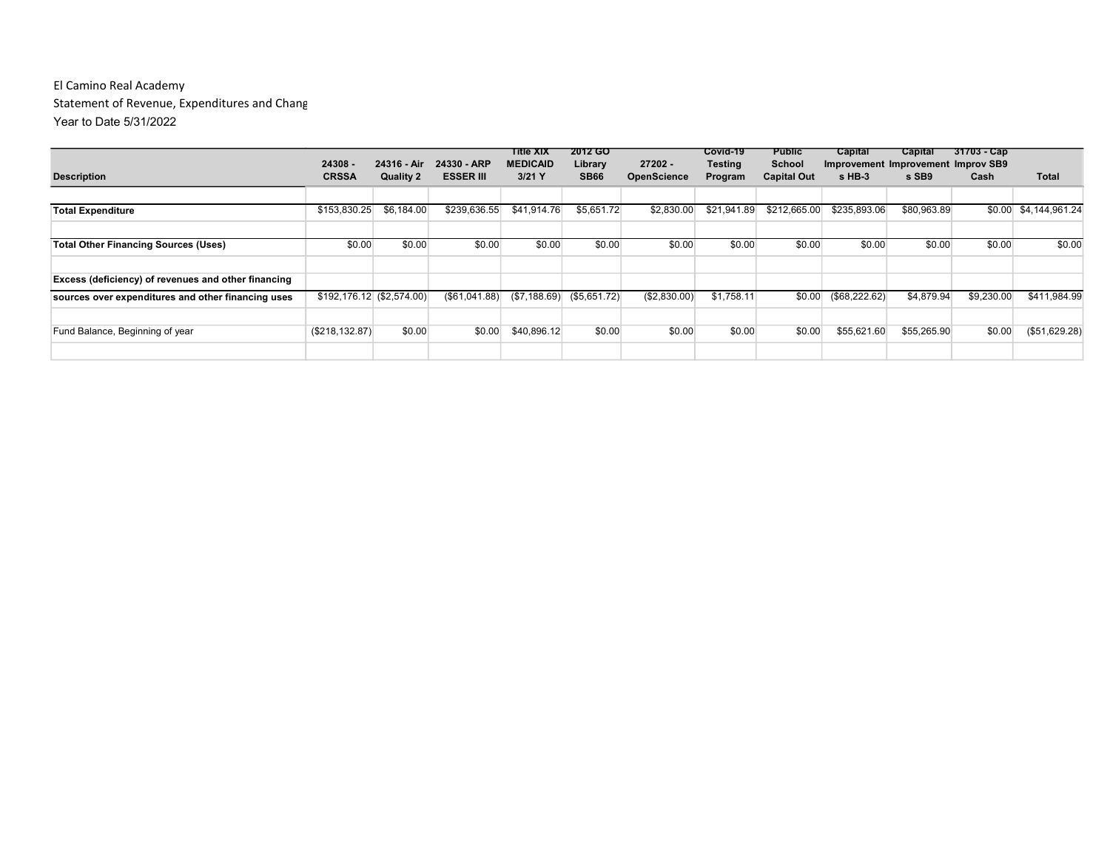#### El Camino Real Academy Statement of Revenue, Expenditures and Chang Year to Date 5/31/2022

|                                                     |                            |                                 |                                 | Title XIX                   | <b>2012 GO</b>              |                                 | Covid-19                  | <b>Public</b>                | Capital       | Capital                                     | $31703 - Cap$ |                |
|-----------------------------------------------------|----------------------------|---------------------------------|---------------------------------|-----------------------------|-----------------------------|---------------------------------|---------------------------|------------------------------|---------------|---------------------------------------------|---------------|----------------|
| <b>Description</b>                                  | 24308 -<br><b>CRSSA</b>    | 24316 - Air<br><b>Quality 2</b> | 24330 - ARP<br><b>ESSER III</b> | <b>MEDICAID</b><br>$3/21$ Y | Library<br><b>SB66</b>      | $27202 -$<br><b>OpenScience</b> | <b>Testing</b><br>Program | School<br><b>Capital Out</b> | s HB-3        | Improvement Improvement Improv SB9<br>s SB9 | Cash          | <b>Total</b>   |
|                                                     |                            |                                 |                                 |                             |                             |                                 |                           |                              |               |                                             |               |                |
| <b>Total Expenditure</b>                            | \$153,830.25               | \$6,184.00                      | \$239,636.55                    | \$41.914.76                 | \$5,651.72                  | \$2,830.00                      | \$21,941.89               | \$212,665,00                 | \$235,893,06  | \$80,963.89                                 | \$0.00        | \$4,144,961.24 |
|                                                     |                            |                                 |                                 |                             |                             |                                 |                           |                              |               |                                             |               |                |
| <b>Total Other Financing Sources (Uses)</b>         | \$0.00                     | \$0.00                          | \$0.00                          | \$0.00                      | \$0.00                      | \$0.00                          | \$0.00                    | \$0.00                       | \$0.00        | \$0.00                                      | \$0.00        | \$0.00         |
|                                                     |                            |                                 |                                 |                             |                             |                                 |                           |                              |               |                                             |               |                |
| Excess (deficiency) of revenues and other financing |                            |                                 |                                 |                             |                             |                                 |                           |                              |               |                                             |               |                |
| sources over expenditures and other financing uses  | $$192,176.12$ (\$2,574.00) |                                 | (S61, 041.88)                   |                             | $($7,188.69)$ $($5,651.72)$ | (\$2,830.00)                    | \$1.758.11                | \$0.00                       | (\$68,222.62) | \$4,879.94                                  | \$9,230.00    | \$411.984.99   |
|                                                     |                            |                                 |                                 |                             |                             |                                 |                           |                              |               |                                             |               |                |
| Fund Balance, Beginning of year                     | (\$218, 132.87)            | \$0.00                          | \$0.00                          | \$40,896.12                 | \$0.00                      | \$0.00                          | \$0.00                    | \$0.00                       | \$55,621.60   | \$55,265.90                                 | \$0.00        | (\$51,629.28)  |
|                                                     |                            |                                 |                                 |                             |                             |                                 |                           |                              |               |                                             |               |                |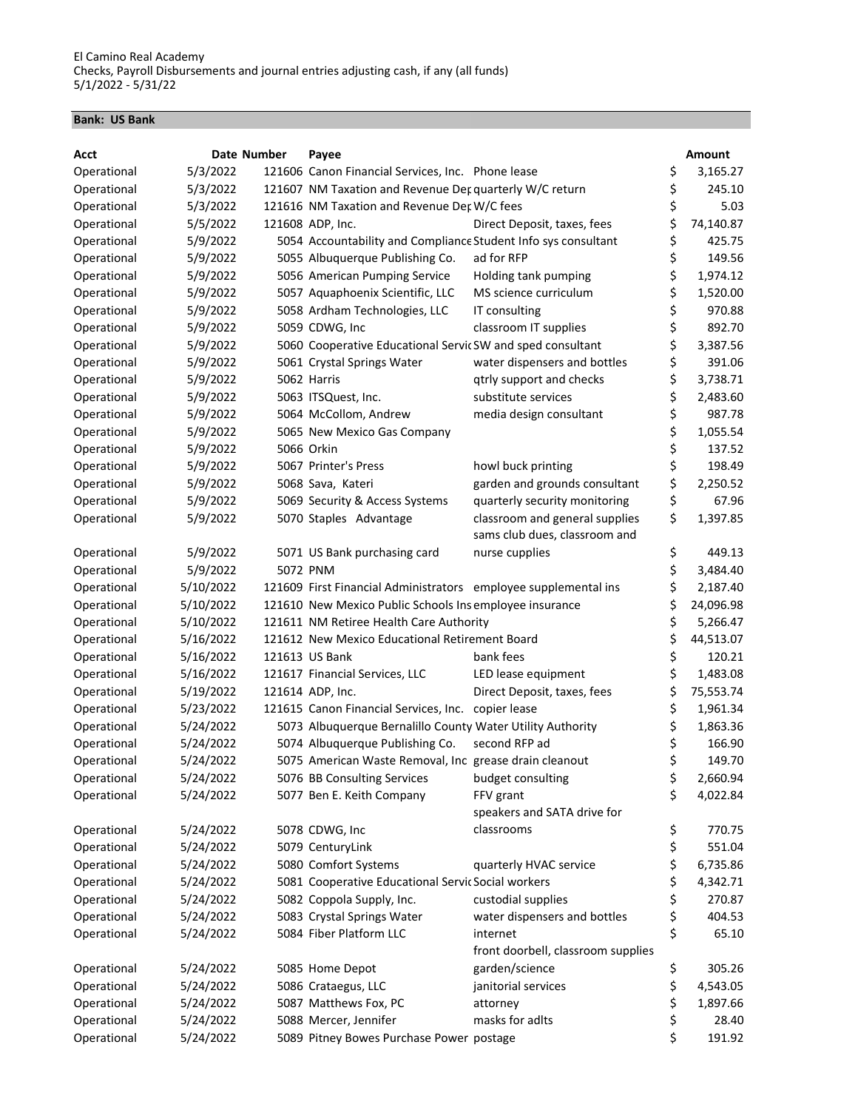#### Bank: US Bank

| Acct        |           | Date Number | Payee                                                           |                                                      |          | <b>Amount</b> |
|-------------|-----------|-------------|-----------------------------------------------------------------|------------------------------------------------------|----------|---------------|
| Operational | 5/3/2022  |             | 121606 Canon Financial Services, Inc. Phone lease               |                                                      | \$       | 3,165.27      |
| Operational | 5/3/2022  |             | 121607 NM Taxation and Revenue Der quarterly W/C return         |                                                      | \$       | 245.10        |
| Operational | 5/3/2022  |             | 121616 NM Taxation and Revenue Det W/C fees                     |                                                      | \$       | 5.03          |
| Operational | 5/5/2022  |             | 121608 ADP, Inc.                                                | Direct Deposit, taxes, fees                          | \$       | 74,140.87     |
| Operational | 5/9/2022  |             | 5054 Accountability and Compliance Student Info sys consultant  |                                                      | \$       | 425.75        |
| Operational | 5/9/2022  |             | 5055 Albuquerque Publishing Co.                                 | ad for RFP                                           | \$       | 149.56        |
| Operational | 5/9/2022  |             | 5056 American Pumping Service                                   | Holding tank pumping                                 | \$       | 1,974.12      |
| Operational | 5/9/2022  |             | 5057 Aquaphoenix Scientific, LLC                                | MS science curriculum                                | \$       | 1,520.00      |
| Operational | 5/9/2022  |             | 5058 Ardham Technologies, LLC                                   | IT consulting                                        | \$       | 970.88        |
| Operational | 5/9/2022  |             | 5059 CDWG, Inc                                                  | classroom IT supplies                                | \$       | 892.70        |
| Operational | 5/9/2022  |             | 5060 Cooperative Educational Servic SW and sped consultant      |                                                      | \$       | 3,387.56      |
| Operational | 5/9/2022  |             | 5061 Crystal Springs Water                                      | water dispensers and bottles                         | \$       | 391.06        |
| Operational | 5/9/2022  |             | 5062 Harris                                                     | qtrly support and checks                             | \$       | 3,738.71      |
| Operational | 5/9/2022  |             | 5063 ITSQuest, Inc.                                             | substitute services                                  | \$       | 2,483.60      |
| Operational | 5/9/2022  |             | 5064 McCollom, Andrew                                           | media design consultant                              | \$       | 987.78        |
| Operational | 5/9/2022  |             | 5065 New Mexico Gas Company                                     |                                                      | \$       | 1,055.54      |
| Operational | 5/9/2022  |             | 5066 Orkin                                                      |                                                      | \$       | 137.52        |
| Operational | 5/9/2022  |             | 5067 Printer's Press                                            | howl buck printing                                   | \$       | 198.49        |
| Operational | 5/9/2022  |             | 5068 Sava, Kateri                                               | garden and grounds consultant                        | \$       | 2,250.52      |
| Operational | 5/9/2022  |             | 5069 Security & Access Systems                                  | quarterly security monitoring                        | \$       | 67.96         |
| Operational | 5/9/2022  |             | 5070 Staples Advantage                                          | classroom and general supplies                       | \$       | 1,397.85      |
|             |           |             |                                                                 | sams club dues, classroom and                        |          |               |
| Operational | 5/9/2022  |             | 5071 US Bank purchasing card                                    | nurse cupplies                                       | \$       | 449.13        |
| Operational | 5/9/2022  |             | 5072 PNM                                                        |                                                      | \$       | 3,484.40      |
| Operational | 5/10/2022 |             | 121609 First Financial Administrators employee supplemental ins |                                                      | \$       | 2,187.40      |
| Operational | 5/10/2022 |             | 121610 New Mexico Public Schools Ins employee insurance         |                                                      | \$       | 24,096.98     |
| Operational | 5/10/2022 |             | 121611 NM Retiree Health Care Authority                         |                                                      | \$       | 5,266.47      |
| Operational | 5/16/2022 |             | 121612 New Mexico Educational Retirement Board                  |                                                      | \$       | 44,513.07     |
| Operational | 5/16/2022 |             | 121613 US Bank                                                  | bank fees                                            | \$       | 120.21        |
| Operational | 5/16/2022 |             | 121617 Financial Services, LLC                                  | LED lease equipment                                  | \$       | 1,483.08      |
| Operational | 5/19/2022 |             | 121614 ADP, Inc.                                                | Direct Deposit, taxes, fees                          | \$       | 75,553.74     |
| Operational | 5/23/2022 |             | 121615 Canon Financial Services, Inc. copier lease              |                                                      | \$       | 1,961.34      |
| Operational | 5/24/2022 |             | 5073 Albuquerque Bernalillo County Water Utility Authority      |                                                      | \$       | 1,863.36      |
| Operational | 5/24/2022 |             | 5074 Albuquerque Publishing Co.                                 | second RFP ad                                        | \$       | 166.90        |
| Operational | 5/24/2022 |             | 5075 American Waste Removal, Inc grease drain cleanout          |                                                      | \$       | 149.70        |
| Operational | 5/24/2022 |             | 5076 BB Consulting Services                                     | budget consulting                                    | \$       | 2,660.94      |
| Operational | 5/24/2022 |             | 5077 Ben E. Keith Company                                       | FFV grant                                            | \$       | 4,022.84      |
|             |           |             |                                                                 | speakers and SATA drive for                          |          |               |
| Operational | 5/24/2022 |             | 5078 CDWG, Inc                                                  | classrooms                                           | \$       | 770.75        |
| Operational | 5/24/2022 |             | 5079 CenturyLink                                                |                                                      | \$       | 551.04        |
| Operational | 5/24/2022 |             | 5080 Comfort Systems                                            | quarterly HVAC service                               | \$       | 6,735.86      |
| Operational | 5/24/2022 |             | 5081 Cooperative Educational Servic Social workers              |                                                      | \$       | 4,342.71      |
| Operational | 5/24/2022 |             | 5082 Coppola Supply, Inc.                                       | custodial supplies                                   | \$       | 270.87        |
| Operational | 5/24/2022 |             | 5083 Crystal Springs Water                                      | water dispensers and bottles                         |          | 404.53        |
| Operational | 5/24/2022 |             | 5084 Fiber Platform LLC                                         | internet                                             | \$<br>\$ | 65.10         |
|             |           |             |                                                                 |                                                      |          |               |
|             |           |             |                                                                 | front doorbell, classroom supplies<br>garden/science |          |               |
| Operational | 5/24/2022 |             | 5085 Home Depot                                                 |                                                      | \$       | 305.26        |
| Operational | 5/24/2022 |             | 5086 Crataegus, LLC                                             | janitorial services                                  | \$       | 4,543.05      |
| Operational | 5/24/2022 |             | 5087 Matthews Fox, PC                                           | attorney                                             | \$       | 1,897.66      |
| Operational | 5/24/2022 |             | 5088 Mercer, Jennifer                                           | masks for adlts                                      | \$       | 28.40         |
| Operational | 5/24/2022 |             | 5089 Pitney Bowes Purchase Power postage                        |                                                      | \$       | 191.92        |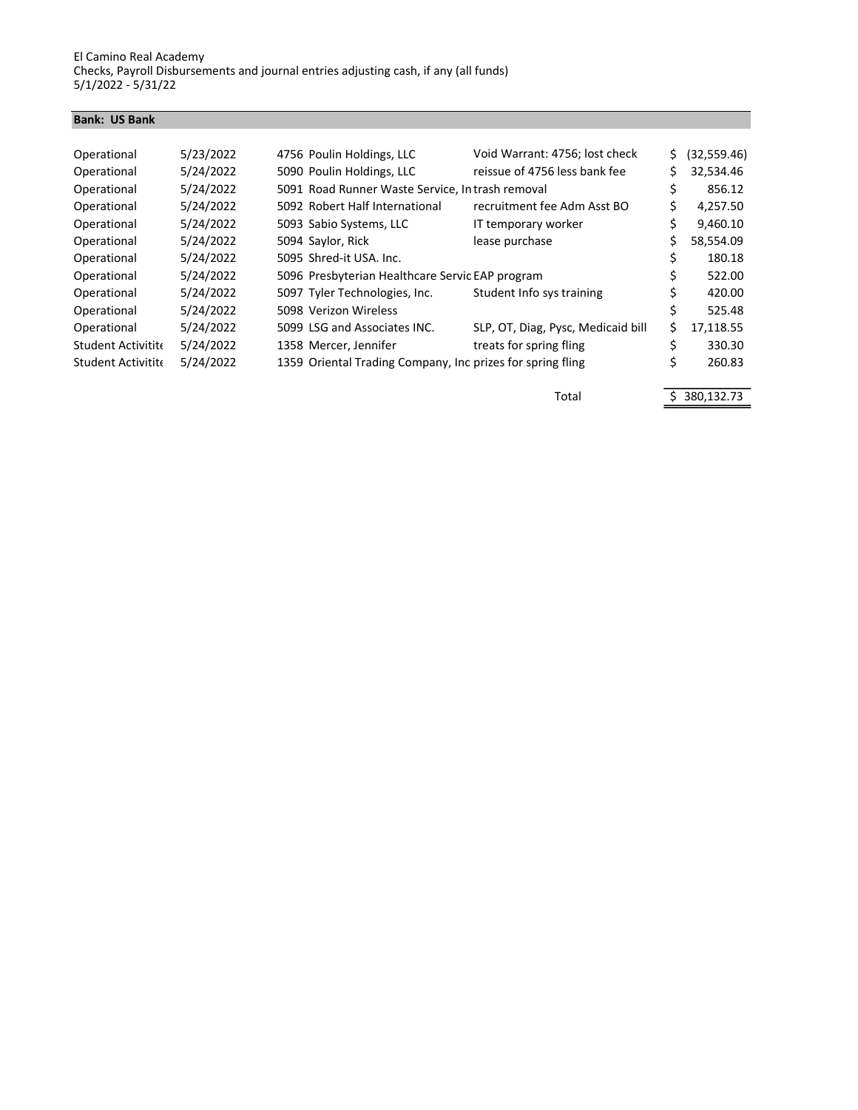#### Bank: US Bank

| Operational               | 5/23/2022 | Void Warrant: 4756; lost check<br>4756 Poulin Holdings, LLC        | \$. | (32,559.46) |
|---------------------------|-----------|--------------------------------------------------------------------|-----|-------------|
| Operational               | 5/24/2022 | 5090 Poulin Holdings, LLC<br>reissue of 4756 less bank fee         | Ś   | 32,534.46   |
| Operational               | 5/24/2022 | 5091 Road Runner Waste Service, In trash removal                   | Ś   | 856.12      |
| Operational               | 5/24/2022 | 5092 Robert Half International<br>recruitment fee Adm Asst BO      | Ś   | 4,257.50    |
| Operational               | 5/24/2022 | 5093 Sabio Systems, LLC<br>IT temporary worker                     | \$  | 9,460.10    |
| Operational               | 5/24/2022 | 5094 Saylor, Rick<br>lease purchase                                | Ś   | 58,554.09   |
| Operational               | 5/24/2022 | 5095 Shred-it USA, Inc.                                            |     | 180.18      |
| Operational               | 5/24/2022 | 5096 Presbyterian Healthcare Servic EAP program                    |     | 522.00      |
| Operational               | 5/24/2022 | 5097 Tyler Technologies, Inc.<br>Student Info sys training         | \$  | 420.00      |
| Operational               | 5/24/2022 | 5098 Verizon Wireless                                              |     | 525.48      |
| Operational               | 5/24/2022 | 5099 LSG and Associates INC.<br>SLP, OT, Diag, Pysc, Medicaid bill | Ś.  | 17,118.55   |
| <b>Student Activitite</b> | 5/24/2022 | treats for spring fling<br>1358 Mercer, Jennifer                   | Ś   | 330.30      |
| <b>Student Activitite</b> | 5/24/2022 | 1359 Oriental Trading Company, Inc prizes for spring fling         | \$  | 260.83      |
|                           |           |                                                                    |     |             |

Total \$ 380,132.73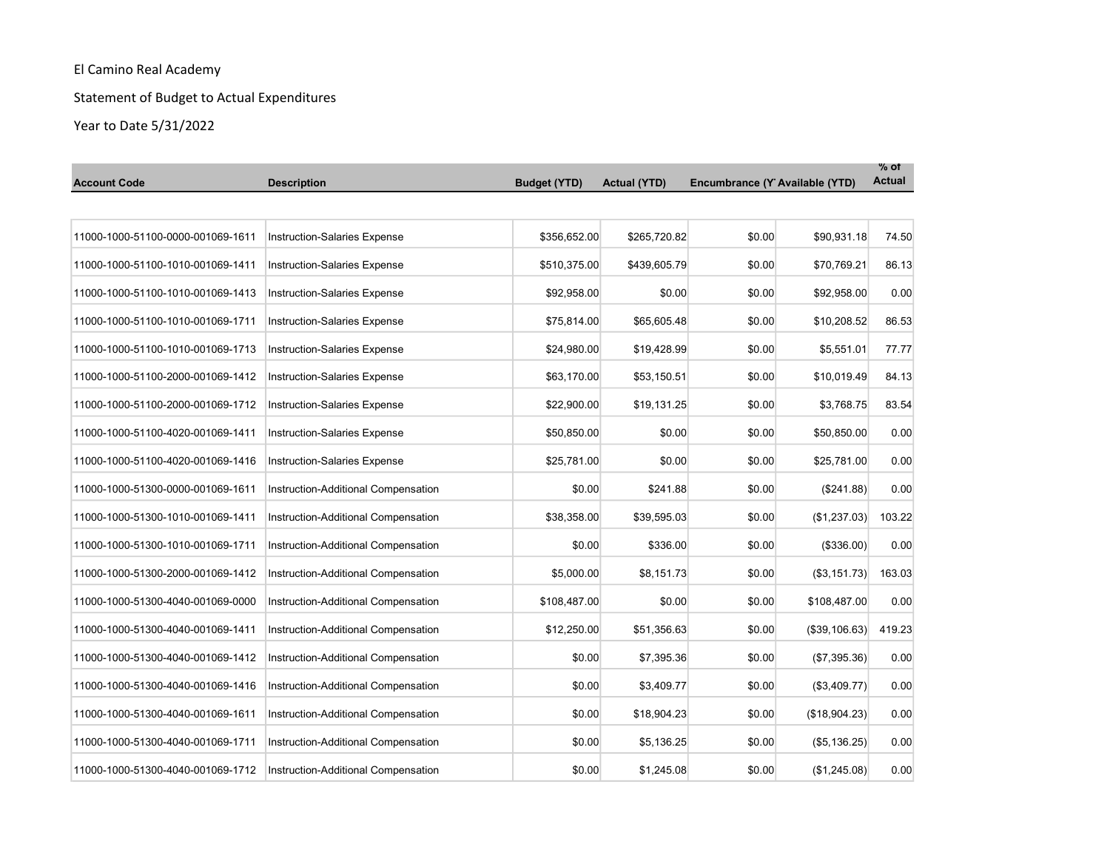# Statement of Budget to Actual Expenditures

| <b>Account Code</b>               | <b>Description</b>                  | <b>Budget (YTD)</b> | <b>Actual (YTD)</b> | Encumbrance (Y Available (YTD) |                     | $\%$ of<br><b>Actual</b> |
|-----------------------------------|-------------------------------------|---------------------|---------------------|--------------------------------|---------------------|--------------------------|
|                                   |                                     |                     |                     |                                |                     |                          |
| 11000-1000-51100-0000-001069-1611 | <b>Instruction-Salaries Expense</b> | \$356,652.00        | \$265,720.82        | \$0.00                         | \$90,931.18         | 74.50                    |
| 11000-1000-51100-1010-001069-1411 | <b>Instruction-Salaries Expense</b> | \$510,375.00        | \$439,605.79        | \$0.00                         | \$70,769.21         | 86.13                    |
| 11000-1000-51100-1010-001069-1413 | <b>Instruction-Salaries Expense</b> | \$92,958.00         | \$0.00              | \$0.00                         | \$92,958.00         | 0.00                     |
| 11000-1000-51100-1010-001069-1711 | <b>Instruction-Salaries Expense</b> | \$75,814.00         | \$65,605.48         | \$0.00                         | \$10,208.52         | 86.53                    |
| 11000-1000-51100-1010-001069-1713 | Instruction-Salaries Expense        | \$24,980.00         | \$19,428.99         | \$0.00                         | \$5,551.01          | 77.77                    |
| 11000-1000-51100-2000-001069-1412 | <b>Instruction-Salaries Expense</b> | \$63,170.00         | \$53,150.51         | \$0.00                         | \$10,019.49         | 84.13                    |
| 11000-1000-51100-2000-001069-1712 | <b>Instruction-Salaries Expense</b> | \$22,900.00         | \$19,131.25         | \$0.00                         | \$3,768.75          | 83.54                    |
| 11000-1000-51100-4020-001069-1411 | <b>Instruction-Salaries Expense</b> | \$50,850.00         | \$0.00              | \$0.00                         | \$50,850.00         | 0.00                     |
| 11000-1000-51100-4020-001069-1416 | <b>Instruction-Salaries Expense</b> | \$25,781.00         | \$0.00              | \$0.00                         | \$25,781.00         | 0.00                     |
| 11000-1000-51300-0000-001069-1611 | Instruction-Additional Compensation | \$0.00              | \$241.88            | \$0.00                         | (\$241.88)          | 0.00                     |
| 11000-1000-51300-1010-001069-1411 | Instruction-Additional Compensation | \$38,358.00         | \$39,595.03         | \$0.00                         | (\$1,237.03)        | 103.22                   |
| 11000-1000-51300-1010-001069-1711 | Instruction-Additional Compensation | \$0.00              | \$336.00            | \$0.00                         | (\$336.00)          | 0.00                     |
| 11000-1000-51300-2000-001069-1412 | Instruction-Additional Compensation | \$5,000.00          | \$8,151.73          | \$0.00                         | (\$3,151.73)        | 163.03                   |
| 11000-1000-51300-4040-001069-0000 | Instruction-Additional Compensation | \$108,487.00        | \$0.00              | \$0.00                         | \$108,487.00        | 0.00                     |
| 11000-1000-51300-4040-001069-1411 | Instruction-Additional Compensation | \$12,250.00         | \$51,356.63         | \$0.00                         | (\$39,106.63)       | 419.23                   |
| 11000-1000-51300-4040-001069-1412 | Instruction-Additional Compensation | \$0.00              | \$7,395.36          | \$0.00                         | (\$7,395.36)        | 0.00                     |
| 11000-1000-51300-4040-001069-1416 | Instruction-Additional Compensation | \$0.00              | \$3,409.77          | \$0.00                         | (\$3,409.77)        | 0.00                     |
| 11000-1000-51300-4040-001069-1611 | Instruction-Additional Compensation | \$0.00              | \$18,904.23         | \$0.00                         | (\$18,904.23)       | 0.00                     |
| 11000-1000-51300-4040-001069-1711 | Instruction-Additional Compensation | \$0.00              | \$5,136.25          | \$0.00                         | $($ \$5,136.25) $ $ | 0.00                     |
| 11000-1000-51300-4040-001069-1712 | Instruction-Additional Compensation | \$0.00              | \$1,245.08          | \$0.00                         | (\$1,245.08)        | 0.00                     |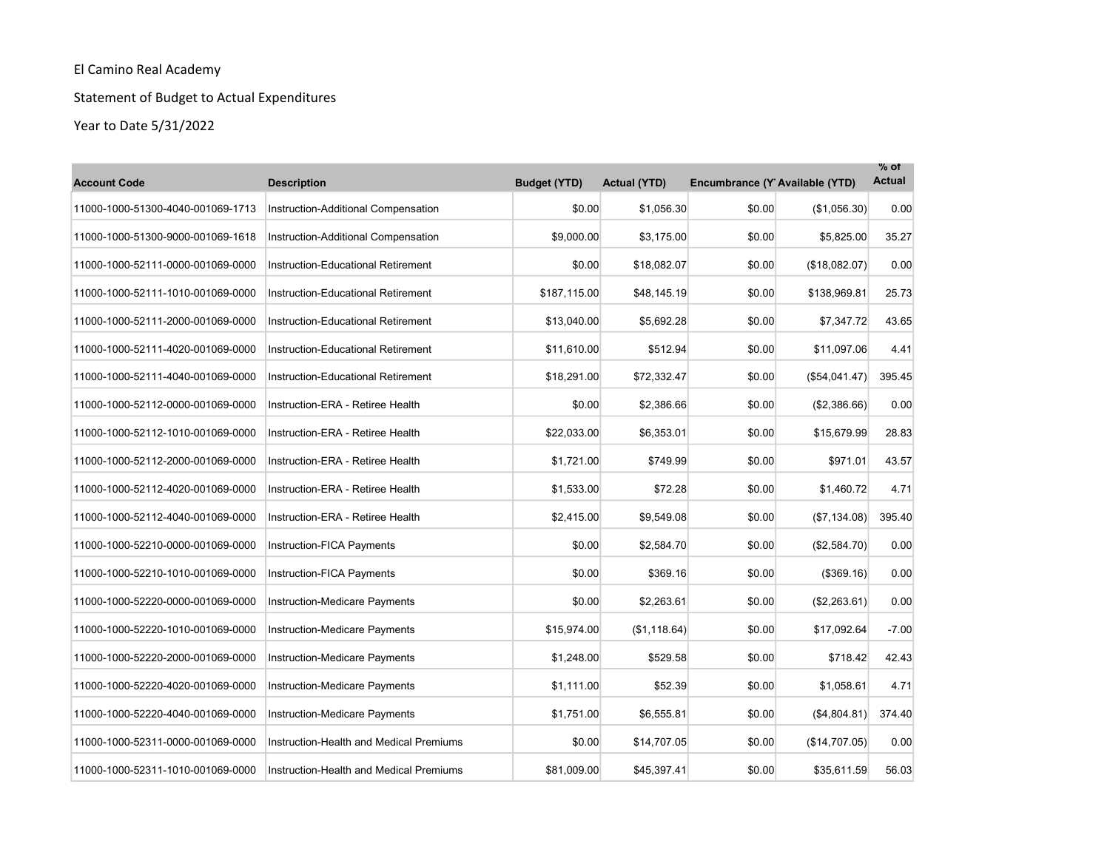# Statement of Budget to Actual Expenditures

| <b>Account Code</b>               | <b>Description</b>                        | <b>Budget (YTD)</b> | <b>Actual (YTD)</b> | Encumbrance (Y Available (YTD) |               | $\%$ of<br><b>Actual</b> |
|-----------------------------------|-------------------------------------------|---------------------|---------------------|--------------------------------|---------------|--------------------------|
| 11000-1000-51300-4040-001069-1713 | Instruction-Additional Compensation       | \$0.00              | \$1,056.30          | \$0.00                         | (\$1,056.30)  | 0.00                     |
| 11000-1000-51300-9000-001069-1618 | Instruction-Additional Compensation       | \$9,000.00          | \$3,175.00          | \$0.00                         | \$5,825.00    | 35.27                    |
| 11000-1000-52111-0000-001069-0000 | Instruction-Educational Retirement        | \$0.00              | \$18,082.07         | \$0.00                         | (\$18,082.07) | 0.00                     |
| 11000-1000-52111-1010-001069-0000 | <b>Instruction-Educational Retirement</b> | \$187.115.00        | \$48,145.19         | \$0.00                         | \$138,969.81  | 25.73                    |
| 11000-1000-52111-2000-001069-0000 | <b>Instruction-Educational Retirement</b> | \$13,040.00         | \$5,692.28          | \$0.00                         | \$7,347.72    | 43.65                    |
| 11000-1000-52111-4020-001069-0000 | Instruction-Educational Retirement        | \$11,610.00         | \$512.94            | \$0.00                         | \$11.097.06   | 4.41                     |
| 11000-1000-52111-4040-001069-0000 | <b>Instruction-Educational Retirement</b> | \$18,291.00         | \$72,332.47         | \$0.00                         | (\$54,041.47) | 395.45                   |
| 11000-1000-52112-0000-001069-0000 | Instruction-ERA - Retiree Health          | \$0.00              | \$2,386.66          | \$0.00                         | (\$2,386.66)  | 0.00                     |
| 11000-1000-52112-1010-001069-0000 | Instruction-ERA - Retiree Health          | \$22,033.00         | \$6.353.01          | \$0.00                         | \$15,679.99   | 28.83                    |
| 11000-1000-52112-2000-001069-0000 | Instruction-ERA - Retiree Health          | \$1,721.00          | \$749.99            | \$0.00                         | \$971.01      | 43.57                    |
| 11000-1000-52112-4020-001069-0000 | Instruction-ERA - Retiree Health          | \$1,533.00          | \$72.28             | \$0.00                         | \$1,460.72    | 4.71                     |
| 11000-1000-52112-4040-001069-0000 | Instruction-ERA - Retiree Health          | \$2,415.00          | \$9,549.08          | \$0.00                         | (\$7,134.08)  | 395.40                   |
| 11000-1000-52210-0000-001069-0000 | <b>Instruction-FICA Payments</b>          | \$0.00              | \$2,584.70          | \$0.00                         | (\$2,584.70)  | 0.00                     |
| 11000-1000-52210-1010-001069-0000 | Instruction-FICA Payments                 | \$0.00              | \$369.16            | \$0.00                         | ( \$369.16)   | 0.00                     |
| 11000-1000-52220-0000-001069-0000 | Instruction-Medicare Payments             | \$0.00              | \$2,263.61          | \$0.00                         | (\$2,263.61)  | 0.00                     |
| 11000-1000-52220-1010-001069-0000 | Instruction-Medicare Payments             | \$15,974.00         | (\$1,118.64)        | \$0.00                         | \$17,092.64   | $-7.00$                  |
| 11000-1000-52220-2000-001069-0000 | Instruction-Medicare Payments             | \$1,248.00          | \$529.58            | \$0.00                         | \$718.42      | 42.43                    |
| 11000-1000-52220-4020-001069-0000 | Instruction-Medicare Payments             | \$1,111.00          | \$52.39             | \$0.00                         | \$1,058.61    | 4.71                     |
| 11000-1000-52220-4040-001069-0000 | Instruction-Medicare Payments             | \$1,751.00          | \$6,555.81          | \$0.00                         | (\$4,804.81)  | 374.40                   |
| 11000-1000-52311-0000-001069-0000 | Instruction-Health and Medical Premiums   | \$0.00              | \$14,707.05         | \$0.00                         | (\$14,707.05) | 0.00                     |
| 11000-1000-52311-1010-001069-0000 | Instruction-Health and Medical Premiums   | \$81,009.00         | \$45,397.41         | \$0.00                         | \$35,611.59   | 56.03                    |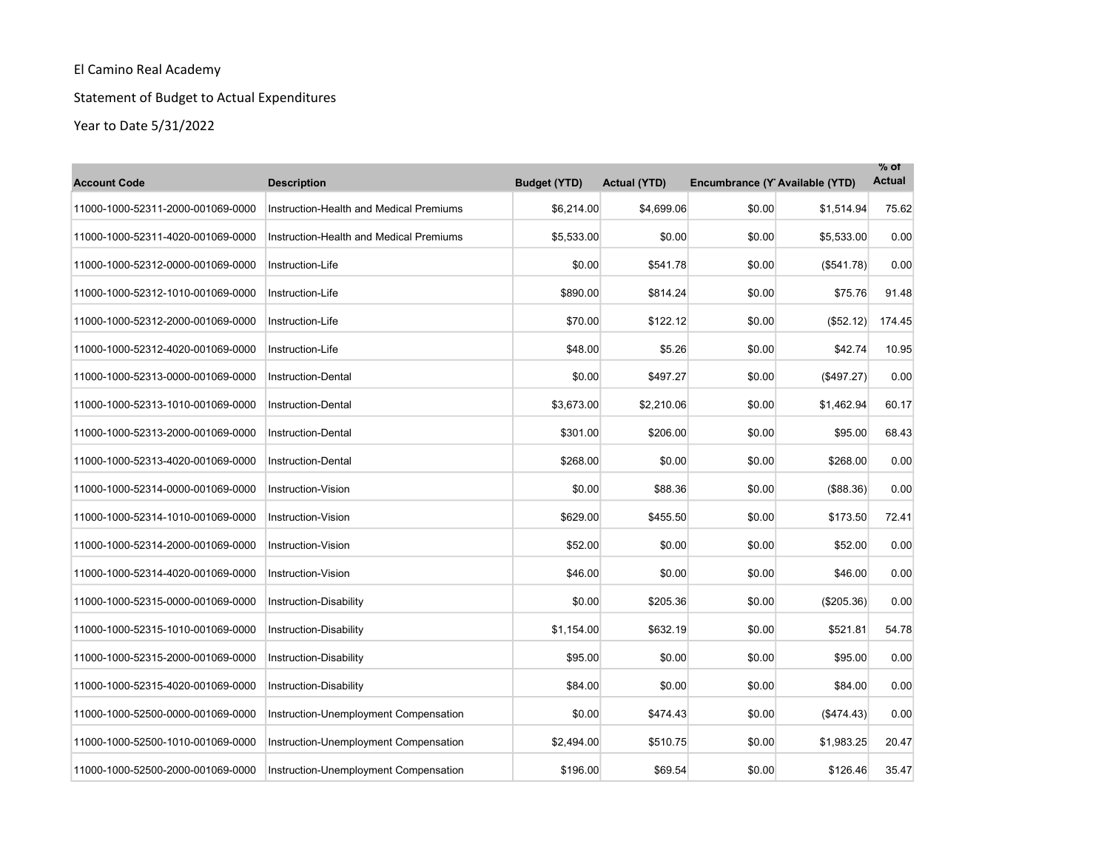# Statement of Budget to Actual Expenditures

| <b>Account Code</b>               | <b>Description</b>                      | <b>Budget (YTD)</b> | <b>Actual (YTD)</b> | Encumbrance (Y Available (YTD) |                   | $%$ ot<br><b>Actual</b> |
|-----------------------------------|-----------------------------------------|---------------------|---------------------|--------------------------------|-------------------|-------------------------|
| 11000-1000-52311-2000-001069-0000 | Instruction-Health and Medical Premiums | \$6,214.00          | \$4,699.06          | \$0.00                         | \$1,514.94        | 75.62                   |
| 11000-1000-52311-4020-001069-0000 | Instruction-Health and Medical Premiums | \$5,533.00          | \$0.00              | \$0.00                         | \$5,533.00        | 0.00                    |
| 11000-1000-52312-0000-001069-0000 | Instruction-Life                        | \$0.00              | \$541.78            | \$0.00                         | (\$541.78)        | 0.00                    |
| 11000-1000-52312-1010-001069-0000 | Instruction-Life                        | \$890.00            | \$814.24            | \$0.00                         | \$75.76           | 91.48                   |
| 11000-1000-52312-2000-001069-0000 | Instruction-Life                        | \$70.00             | \$122.12            | \$0.00                         | ( \$52.12)        | 174.45                  |
| 11000-1000-52312-4020-001069-0000 | Instruction-Life                        | \$48.00             | \$5.26              | \$0.00                         | \$42.74           | 10.95                   |
| 11000-1000-52313-0000-001069-0000 | <b>Instruction-Dental</b>               | \$0.00              | \$497.27            | \$0.00                         | (\$497.27)        | 0.00                    |
| 11000-1000-52313-1010-001069-0000 | <b>Instruction-Dental</b>               | \$3,673.00          | \$2,210.06          | \$0.00                         | \$1,462.94        | 60.17                   |
| 11000-1000-52313-2000-001069-0000 | <b>Instruction-Dental</b>               | \$301.00            | \$206.00            | \$0.00                         | \$95.00           | 68.43                   |
| 11000-1000-52313-4020-001069-0000 | <b>Instruction-Dental</b>               | \$268.00            | \$0.00              | \$0.00                         | \$268.00          | 0.00                    |
| 11000-1000-52314-0000-001069-0000 | Instruction-Vision                      | \$0.00              | \$88.36             | \$0.00                         | (\$88.36)         | 0.00                    |
| 11000-1000-52314-1010-001069-0000 | <b>Instruction-Vision</b>               | \$629.00            | \$455.50            | \$0.00                         | \$173.50          | 72.41                   |
| 11000-1000-52314-2000-001069-0000 | <b>Instruction-Vision</b>               | \$52.00             | \$0.00              | \$0.00                         | \$52.00           | 0.00                    |
| 11000-1000-52314-4020-001069-0000 | <b>Instruction-Vision</b>               | \$46.00             | \$0.00              | \$0.00                         | \$46.00           | 0.00                    |
| 11000-1000-52315-0000-001069-0000 | Instruction-Disability                  | \$0.00              | \$205.36            | \$0.00                         | (\$205.36)        | 0.00                    |
| 11000-1000-52315-1010-001069-0000 | Instruction-Disability                  | \$1,154.00          | \$632.19            | \$0.00                         | \$521.81          | 54.78                   |
| 11000-1000-52315-2000-001069-0000 | Instruction-Disability                  | \$95.00             | \$0.00              | \$0.00                         | \$95.00           | 0.00                    |
| 11000-1000-52315-4020-001069-0000 | Instruction-Disability                  | \$84.00             | \$0.00              | \$0.00                         | \$84.00           | 0.00                    |
| 11000-1000-52500-0000-001069-0000 | Instruction-Unemployment Compensation   | \$0.00              | \$474.43            | \$0.00                         | $($ \$474.43) $ $ | 0.00                    |
| 11000-1000-52500-1010-001069-0000 | Instruction-Unemployment Compensation   | \$2,494.00          | \$510.75            | \$0.00                         | \$1,983.25        | 20.47                   |
| 11000-1000-52500-2000-001069-0000 | Instruction-Unemployment Compensation   | \$196.00            | \$69.54             | \$0.00                         | \$126.46          | 35.47                   |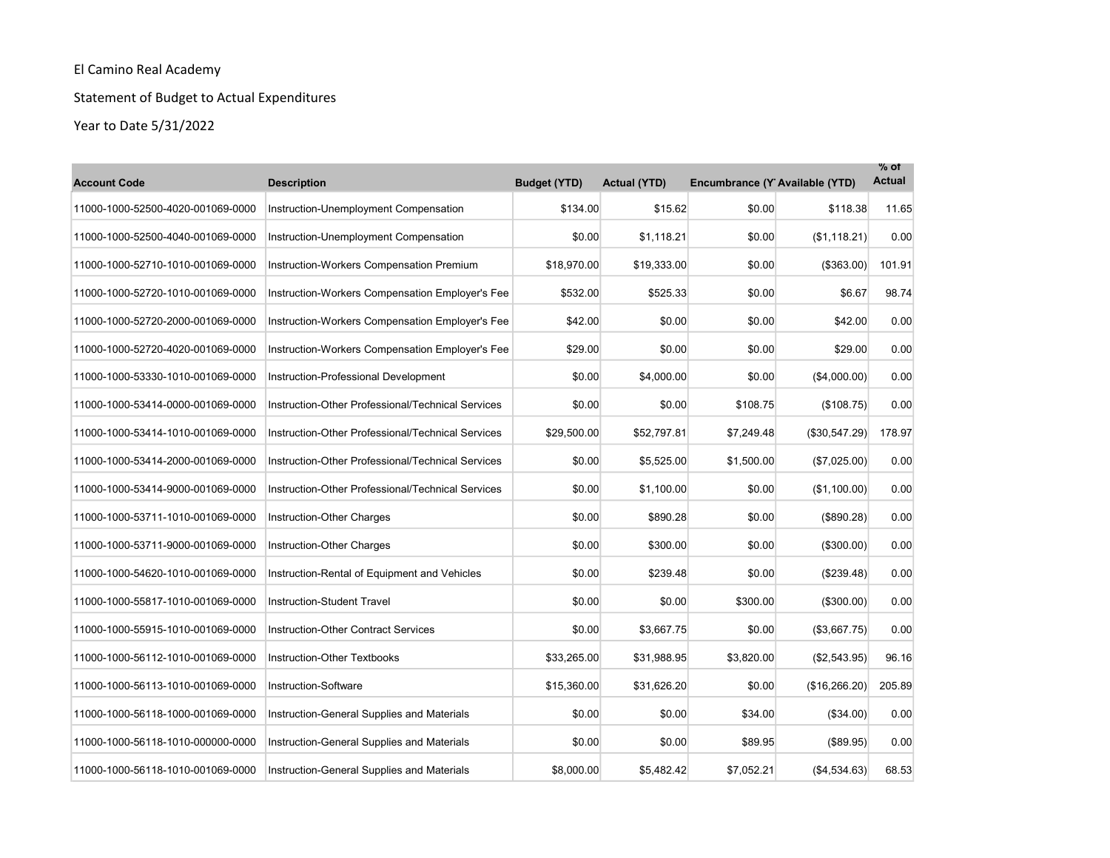# Statement of Budget to Actual Expenditures

| <b>Account Code</b>               | <b>Description</b>                                | <b>Budget (YTD)</b> | <b>Actual (YTD)</b> | Encumbrance (Y Available (YTD) |                   | $%$ of<br><b>Actual</b> |
|-----------------------------------|---------------------------------------------------|---------------------|---------------------|--------------------------------|-------------------|-------------------------|
| 11000-1000-52500-4020-001069-0000 | Instruction-Unemployment Compensation             | \$134.00            | \$15.62             | \$0.00                         | \$118.38          | 11.65                   |
| 11000-1000-52500-4040-001069-0000 | Instruction-Unemployment Compensation             | \$0.00              | \$1,118.21          | \$0.00                         | (\$1,118.21)      | 0.00                    |
| 11000-1000-52710-1010-001069-0000 | Instruction-Workers Compensation Premium          | \$18,970.00         | \$19,333.00         | \$0.00                         | (\$363.00)        | 101.91                  |
| 11000-1000-52720-1010-001069-0000 | Instruction-Workers Compensation Employer's Fee   | \$532.00            | \$525.33            | \$0.00                         | \$6.67            | 98.74                   |
| 11000-1000-52720-2000-001069-0000 | Instruction-Workers Compensation Employer's Fee   | \$42.00             | \$0.00              | \$0.00                         | \$42.00           | 0.00                    |
| 11000-1000-52720-4020-001069-0000 | Instruction-Workers Compensation Employer's Fee   | \$29.00             | \$0.00              | \$0.00                         | \$29.00           | 0.00                    |
| 11000-1000-53330-1010-001069-0000 | Instruction-Professional Development              | \$0.00              | \$4,000.00          | \$0.00                         | (\$4,000.00)      | 0.00                    |
| 11000-1000-53414-0000-001069-0000 | Instruction-Other Professional/Technical Services | \$0.00              | \$0.00              | \$108.75                       | (\$108.75)        | 0.00                    |
| 11000-1000-53414-1010-001069-0000 | Instruction-Other Professional/Technical Services | \$29,500.00         | \$52,797.81         | \$7,249.48                     | (\$30,547.29)     | 178.97                  |
| 11000-1000-53414-2000-001069-0000 | Instruction-Other Professional/Technical Services | \$0.00              | \$5,525.00          | \$1,500.00                     | (\$7,025.00)      | 0.00                    |
| 11000-1000-53414-9000-001069-0000 | Instruction-Other Professional/Technical Services | \$0.00              | \$1,100.00          | \$0.00                         | (\$1,100.00)      | 0.00                    |
| 11000-1000-53711-1010-001069-0000 | Instruction-Other Charges                         | \$0.00              | \$890.28            | \$0.00                         | (\$890.28)        | 0.00                    |
| 11000-1000-53711-9000-001069-0000 | Instruction-Other Charges                         | \$0.00              | \$300.00            | \$0.00                         | (\$300.00)        | 0.00                    |
| 11000-1000-54620-1010-001069-0000 | Instruction-Rental of Equipment and Vehicles      | \$0.00              | \$239.48            | \$0.00                         | (\$239.48)        | 0.00                    |
| 11000-1000-55817-1010-001069-0000 | <b>Instruction-Student Travel</b>                 | \$0.00              | \$0.00              | \$300.00                       | $($ \$300.00) $ $ | 0.00                    |
| 11000-1000-55915-1010-001069-0000 | <b>Instruction-Other Contract Services</b>        | \$0.00              | \$3,667.75          | \$0.00                         | (\$3,667.75)      | 0.00                    |
| 11000-1000-56112-1010-001069-0000 | <b>Instruction-Other Textbooks</b>                | \$33,265.00         | \$31,988.95         | \$3,820.00                     | (\$2,543.95)      | 96.16                   |
| 11000-1000-56113-1010-001069-0000 | Instruction-Software                              | \$15,360.00         | \$31,626.20         | \$0.00                         | (\$16,266.20)     | 205.89                  |
| 11000-1000-56118-1000-001069-0000 | Instruction-General Supplies and Materials        | \$0.00              | \$0.00              | \$34.00                        | (\$34.00)         | 0.00                    |
| 11000-1000-56118-1010-000000-0000 | Instruction-General Supplies and Materials        | \$0.00              | \$0.00              | \$89.95                        | (\$89.95)         | 0.00                    |
| 11000-1000-56118-1010-001069-0000 | Instruction-General Supplies and Materials        | \$8,000.00          | \$5,482.42          | \$7,052.21                     | (\$4,534.63)      | 68.53                   |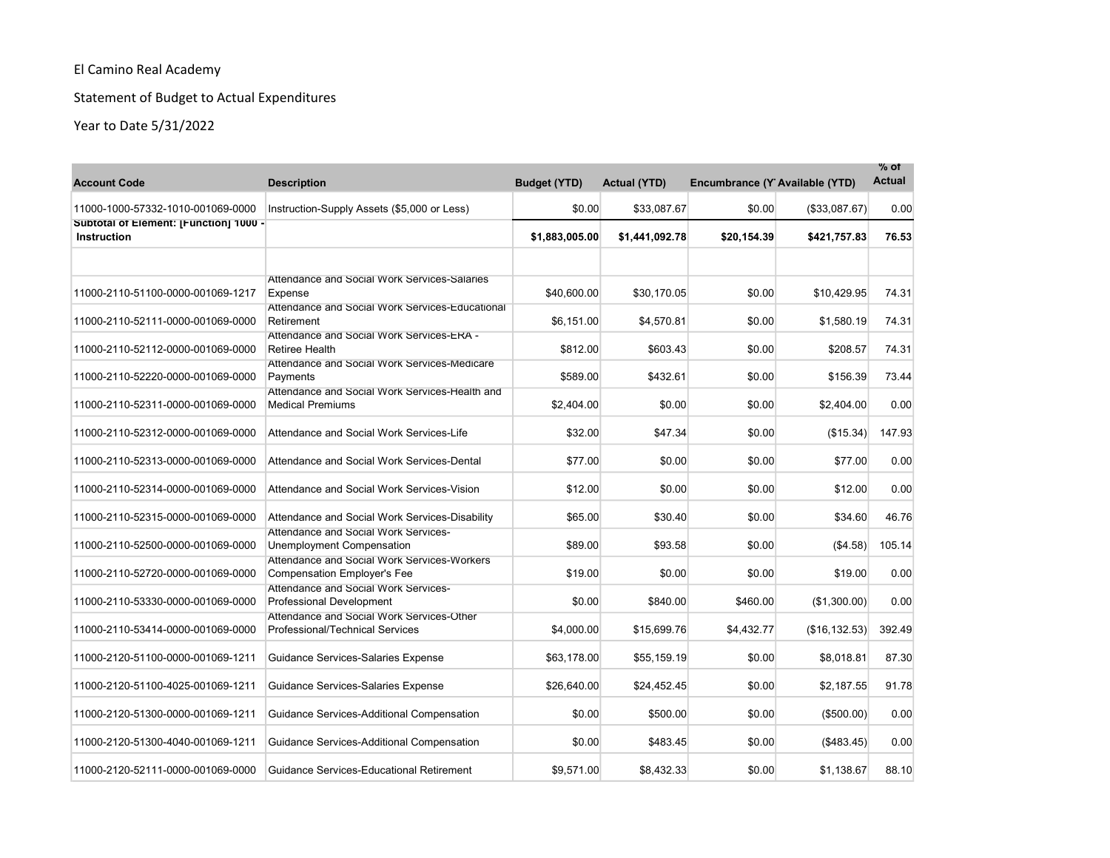# Statement of Budget to Actual Expenditures

| <b>Account Code</b>                                          | <b>Description</b>                                                                                         | <b>Budget (YTD)</b> | <b>Actual (YTD)</b> | Encumbrance (Y Available (YTD) |                | $%$ of<br><b>Actual</b> |
|--------------------------------------------------------------|------------------------------------------------------------------------------------------------------------|---------------------|---------------------|--------------------------------|----------------|-------------------------|
| 11000-1000-57332-1010-001069-0000                            | Instruction-Supply Assets (\$5,000 or Less)                                                                | \$0.00              | \$33,087.67         | \$0.00                         | (\$33,087.67)  | 0.00                    |
| Subtotal of Element: [Function] 1000 -<br><b>Instruction</b> |                                                                                                            | \$1,883,005.00      | \$1,441,092.78      | \$20,154.39                    | \$421,757.83   | 76.53                   |
| 11000-2110-51100-0000-001069-1217                            | Attendance and Social Work Services-Salaries<br>Expense<br>Attendance and Social Work Services-Educational | \$40,600.00         | \$30.170.05         | \$0.00                         | \$10.429.95    | 74.31                   |
| 11000-2110-52111-0000-001069-0000                            | Retirement                                                                                                 | \$6,151.00          | \$4,570.81          | \$0.00                         | \$1,580.19     | 74.31                   |
| 11000-2110-52112-0000-001069-0000                            | Attendance and Social Work Services-ERA -<br><b>Retiree Health</b>                                         | \$812.00            | \$603.43            | \$0.00                         | \$208.57       | 74.31                   |
| 11000-2110-52220-0000-001069-0000                            | Attendance and Social Work Services-Medicare<br>Payments                                                   | \$589.00            | \$432.61            | \$0.00                         | \$156.39       | 73.44                   |
| 11000-2110-52311-0000-001069-0000                            | Attendance and Social Work Services-Health and<br><b>Medical Premiums</b>                                  | \$2,404.00          | \$0.00              | \$0.00                         | \$2,404.00     | 0.00                    |
| 11000-2110-52312-0000-001069-0000                            | Attendance and Social Work Services-Life                                                                   | \$32.00             | \$47.34             | \$0.00                         | (\$15.34)      | 147.93                  |
| 11000-2110-52313-0000-001069-0000                            | Attendance and Social Work Services-Dental                                                                 | \$77.00             | \$0.00              | \$0.00                         | \$77.00        | 0.00                    |
| 11000-2110-52314-0000-001069-0000                            | Attendance and Social Work Services-Vision                                                                 | \$12.00             | \$0.00              | \$0.00                         | \$12.00        | 0.00                    |
| 11000-2110-52315-0000-001069-0000                            | Attendance and Social Work Services-Disability                                                             | \$65.00             | \$30.40             | \$0.00                         | \$34.60        | 46.76                   |
| 11000-2110-52500-0000-001069-0000                            | Attendance and Social Work Services-<br>Unemployment Compensation                                          | \$89.00             | \$93.58             | \$0.00                         | (\$4.58)       | 105.14                  |
| 11000-2110-52720-0000-001069-0000                            | Attendance and Social Work Services-Workers<br><b>Compensation Employer's Fee</b>                          | \$19.00             | \$0.00              | \$0.00                         | \$19.00        | 0.00                    |
| 11000-2110-53330-0000-001069-0000                            | <b>Attendance and Social Work Services-</b><br><b>Professional Development</b>                             | \$0.00              | \$840.00            | \$460.00                       | (\$1,300.00)   | 0.00                    |
| 11000-2110-53414-0000-001069-0000                            | Attendance and Social Work Services-Other<br><b>Professional/Technical Services</b>                        | \$4,000.00          | \$15,699.76         | \$4,432.77                     | (\$16, 132.53) | 392.49                  |
| 11000-2120-51100-0000-001069-1211                            | Guidance Services-Salaries Expense                                                                         | \$63,178.00         | \$55,159.19         | \$0.00                         | \$8,018.81     | 87.30                   |
| 11000-2120-51100-4025-001069-1211                            | <b>Guidance Services-Salaries Expense</b>                                                                  | \$26,640.00         | \$24,452.45         | \$0.00                         | \$2,187.55     | 91.78                   |
| 11000-2120-51300-0000-001069-1211                            | Guidance Services-Additional Compensation                                                                  | \$0.00              | \$500.00            | \$0.00                         | (\$500.00)     | 0.00                    |
| 11000-2120-51300-4040-001069-1211                            | Guidance Services-Additional Compensation                                                                  | \$0.00              | \$483.45            | \$0.00                         | (\$483.45)     | 0.00                    |
| 11000-2120-52111-0000-001069-0000                            | <b>Guidance Services-Educational Retirement</b>                                                            | \$9,571.00          | \$8,432.33          | \$0.00                         | \$1,138.67     | 88.10                   |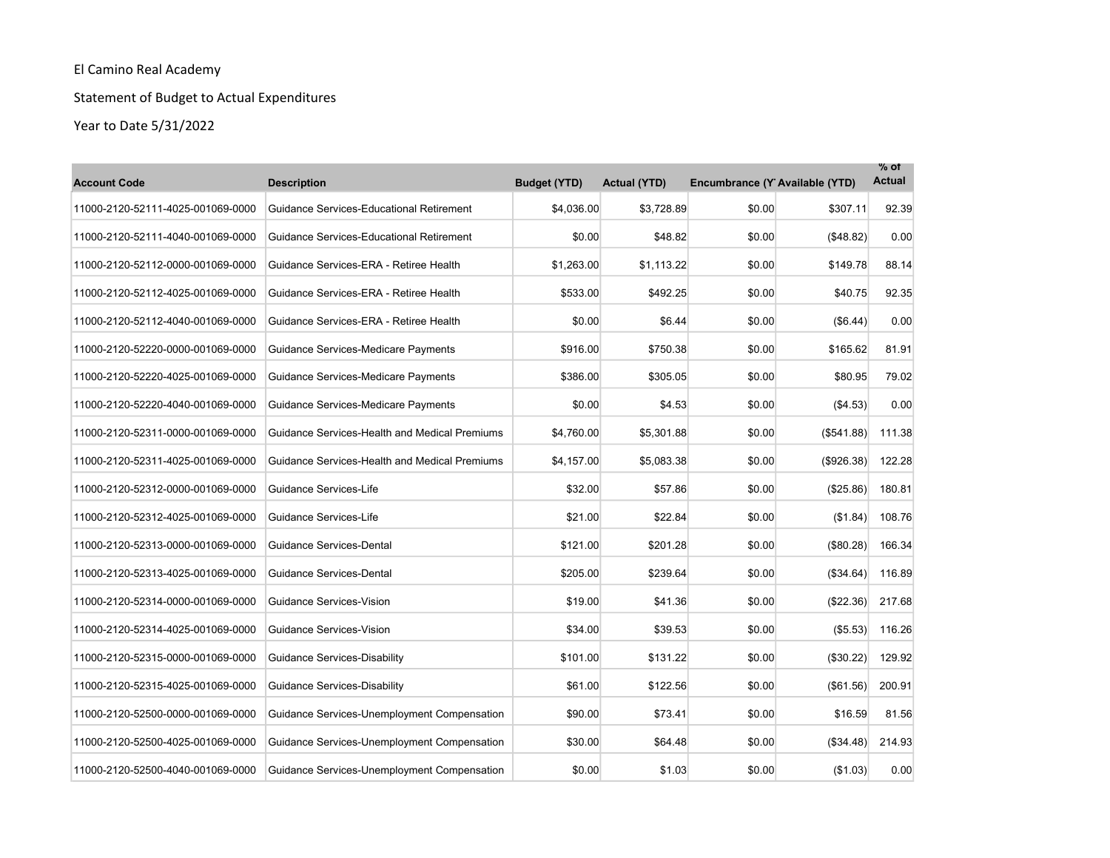# Statement of Budget to Actual Expenditures

| <b>Account Code</b>               | <b>Description</b>                              | <b>Budget (YTD)</b> | <b>Actual (YTD)</b> | Encumbrance (Y Available (YTD) |            | $%$ of<br><b>Actual</b> |
|-----------------------------------|-------------------------------------------------|---------------------|---------------------|--------------------------------|------------|-------------------------|
| 11000-2120-52111-4025-001069-0000 | <b>Guidance Services-Educational Retirement</b> | \$4,036.00          | \$3,728.89          | \$0.00                         | \$307.11   | 92.39                   |
| 11000-2120-52111-4040-001069-0000 | <b>Guidance Services-Educational Retirement</b> | \$0.00              | \$48.82             | \$0.00                         | (\$48.82)  | 0.00                    |
| 11000-2120-52112-0000-001069-0000 | Guidance Services-ERA - Retiree Health          | \$1,263.00          | \$1,113.22          | \$0.00                         | \$149.78   | 88.14                   |
| 11000-2120-52112-4025-001069-0000 | Guidance Services-ERA - Retiree Health          | \$533.00            | \$492.25            | \$0.00                         | \$40.75    | 92.35                   |
| 11000-2120-52112-4040-001069-0000 | Guidance Services-ERA - Retiree Health          | \$0.00              | \$6.44              | \$0.00                         | (\$6.44)   | 0.00                    |
| 11000-2120-52220-0000-001069-0000 | Guidance Services-Medicare Payments             | \$916.00            | \$750.38            | \$0.00                         | \$165.62   | 81.91                   |
| 11000-2120-52220-4025-001069-0000 | Guidance Services-Medicare Payments             | \$386.00            | \$305.05            | \$0.00                         | \$80.95    | 79.02                   |
| 11000-2120-52220-4040-001069-0000 | Guidance Services-Medicare Payments             | \$0.00              | \$4.53              | \$0.00                         | (\$4.53)   | 0.00                    |
| 11000-2120-52311-0000-001069-0000 | Guidance Services-Health and Medical Premiums   | \$4,760.00          | \$5,301.88          | \$0.00                         | (\$541.88) | 111.38                  |
| 11000-2120-52311-4025-001069-0000 | Guidance Services-Health and Medical Premiums   | \$4,157.00          | \$5,083.38          | \$0.00                         | (\$926.38) | 122.28                  |
| 11000-2120-52312-0000-001069-0000 | Guidance Services-Life                          | \$32.00             | \$57.86             | \$0.00                         | (\$25.86)  | 180.81                  |
| 11000-2120-52312-4025-001069-0000 | Guidance Services-Life                          | \$21.00             | \$22.84             | \$0.00                         | (\$1.84)   | 108.76                  |
| 11000-2120-52313-0000-001069-0000 | Guidance Services-Dental                        | \$121.00            | \$201.28            | \$0.00                         | (\$80.28)  | 166.34                  |
| 11000-2120-52313-4025-001069-0000 | Guidance Services-Dental                        | \$205.00            | \$239.64            | \$0.00                         | ( \$34.64) | 116.89                  |
| 11000-2120-52314-0000-001069-0000 | Guidance Services-Vision                        | \$19.00             | \$41.36             | \$0.00                         | (\$22.36)  | 217.68                  |
| 11000-2120-52314-4025-001069-0000 | Guidance Services-Vision                        | \$34.00             | \$39.53             | \$0.00                         | (\$5.53)   | 116.26                  |
| 11000-2120-52315-0000-001069-0000 | Guidance Services-Disability                    | \$101.00            | \$131.22            | \$0.00                         | (\$30.22)  | 129.92                  |
| 11000-2120-52315-4025-001069-0000 | Guidance Services-Disability                    | \$61.00             | \$122.56            | \$0.00                         | (\$61.56)  | 200.91                  |
| 11000-2120-52500-0000-001069-0000 | Guidance Services-Unemployment Compensation     | \$90.00             | \$73.41             | \$0.00                         | \$16.59    | 81.56                   |
| 11000-2120-52500-4025-001069-0000 | Guidance Services-Unemployment Compensation     | \$30.00             | \$64.48             | \$0.00                         | (\$34.48)  | 214.93                  |
| 11000-2120-52500-4040-001069-0000 | Guidance Services-Unemployment Compensation     | \$0.00              | \$1.03              | \$0.00                         | (\$1.03)   | 0.00                    |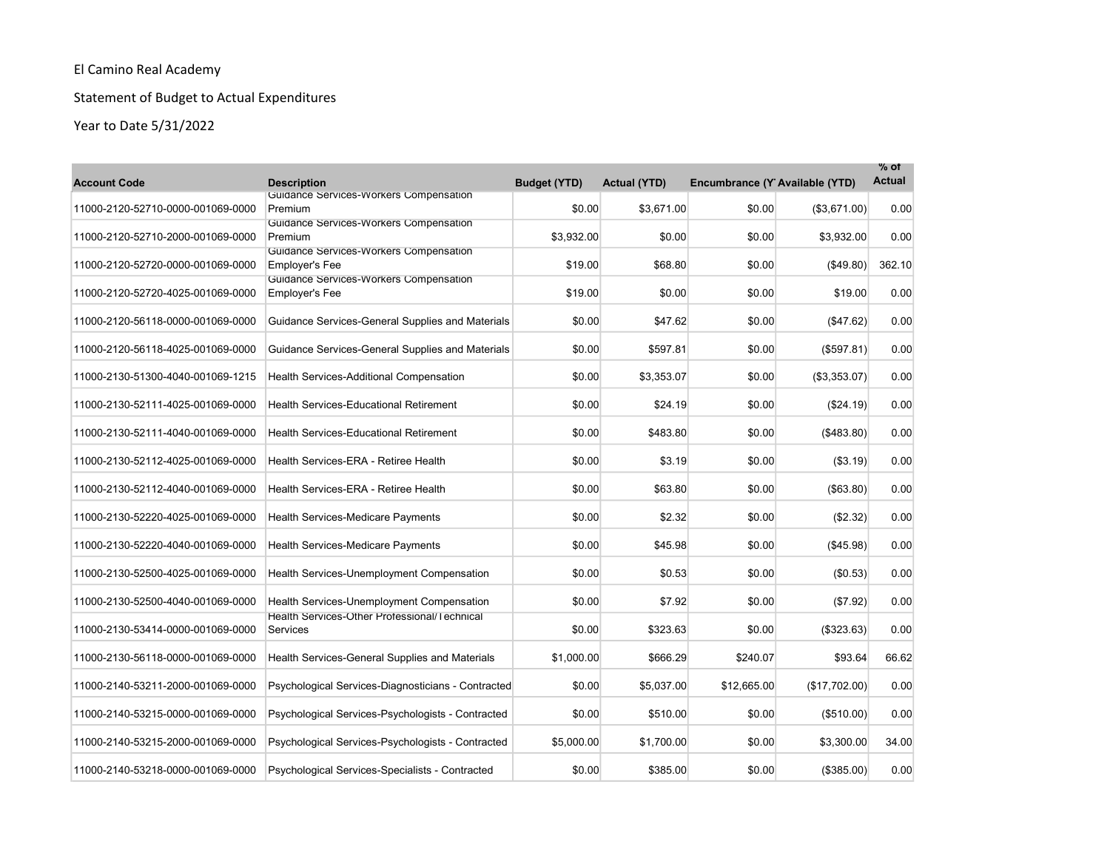# Statement of Budget to Actual Expenditures

| <b>Account Code</b>               | <b>Description</b>                                              | <b>Budget (YTD)</b> | <b>Actual (YTD)</b> | Encumbrance (Y Available (YTD) |                   | $%$ of<br><b>Actual</b> |
|-----------------------------------|-----------------------------------------------------------------|---------------------|---------------------|--------------------------------|-------------------|-------------------------|
| 11000-2120-52710-0000-001069-0000 | Guidance Services-Workers Compensation<br>Premium               | \$0.00              | \$3,671.00          | \$0.00                         | (\$3,671.00)      | 0.00                    |
| 11000-2120-52710-2000-001069-0000 | Guidance Services-Workers Compensation<br>Premium               | \$3,932.00          | \$0.00              | \$0.00                         | \$3,932.00        | 0.00                    |
| 11000-2120-52720-0000-001069-0000 | Guidance Services-Workers Compensation<br><b>Employer's Fee</b> | \$19.00             | \$68.80             | \$0.00                         | ( \$49.80)        | 362.10                  |
| 11000-2120-52720-4025-001069-0000 | Guidance Services-Workers Compensation<br>Employer's Fee        | \$19.00             | \$0.00              | \$0.00                         | \$19.00           | 0.00                    |
| 11000-2120-56118-0000-001069-0000 | Guidance Services-General Supplies and Materials                | \$0.00              | \$47.62             | \$0.00                         | (S47.62)          | 0.00                    |
| 11000-2120-56118-4025-001069-0000 | Guidance Services-General Supplies and Materials                | \$0.00              | \$597.81            | \$0.00                         | (\$597.81)        | 0.00                    |
| 11000-2130-51300-4040-001069-1215 | <b>Health Services-Additional Compensation</b>                  | \$0.00              | \$3,353.07          | \$0.00                         | (\$3,353.07)      | 0.00                    |
| 11000-2130-52111-4025-001069-0000 | <b>Health Services-Educational Retirement</b>                   | \$0.00              | \$24.19             | \$0.00                         | (S24.19)          | 0.00                    |
| 11000-2130-52111-4040-001069-0000 | <b>Health Services-Educational Retirement</b>                   | \$0.00              | \$483.80            | \$0.00                         | $($ \$483.80) $ $ | 0.00                    |
| 11000-2130-52112-4025-001069-0000 | Health Services-ERA - Retiree Health                            | \$0.00              | \$3.19              | \$0.00                         | (\$3.19)          | 0.00                    |
| 11000-2130-52112-4040-001069-0000 | Health Services-ERA - Retiree Health                            | \$0.00              | \$63.80             | \$0.00                         | ( \$63.80)        | 0.00                    |
| 11000-2130-52220-4025-001069-0000 | <b>Health Services-Medicare Payments</b>                        | \$0.00              | \$2.32              | \$0.00                         | (\$2.32)          | 0.00                    |
| 11000-2130-52220-4040-001069-0000 | <b>Health Services-Medicare Payments</b>                        | \$0.00              | \$45.98             | \$0.00                         | (\$45.98)         | 0.00                    |
| 11000-2130-52500-4025-001069-0000 | Health Services-Unemployment Compensation                       | \$0.00              | \$0.53              | \$0.00                         | (\$0.53)          | 0.00                    |
| 11000-2130-52500-4040-001069-0000 | Health Services-Unemployment Compensation                       | \$0.00              | \$7.92              | \$0.00                         | (\$7.92)          | 0.00                    |
| 11000-2130-53414-0000-001069-0000 | Health Services-Other Professional/Technical<br>Services        | \$0.00              | \$323.63            | \$0.00                         | (\$323.63)        | 0.00                    |
| 11000-2130-56118-0000-001069-0000 | Health Services-General Supplies and Materials                  | \$1,000.00          | \$666.29            | \$240.07                       | \$93.64           | 66.62                   |
| 11000-2140-53211-2000-001069-0000 | Psychological Services-Diagnosticians - Contracted              | \$0.00              | \$5,037.00          | \$12,665.00                    | (\$17,702.00)     | 0.00                    |
| 11000-2140-53215-0000-001069-0000 | Psychological Services-Psychologists - Contracted               | \$0.00              | \$510.00            | \$0.00                         | (\$510.00)        | 0.00                    |
| 11000-2140-53215-2000-001069-0000 | Psychological Services-Psychologists - Contracted               | \$5,000.00          | \$1,700.00          | \$0.00                         | \$3,300.00        | 34.00                   |
| 11000-2140-53218-0000-001069-0000 | Psychological Services-Specialists - Contracted                 | \$0.00              | \$385.00            | \$0.00                         | (\$385.00)        | 0.00                    |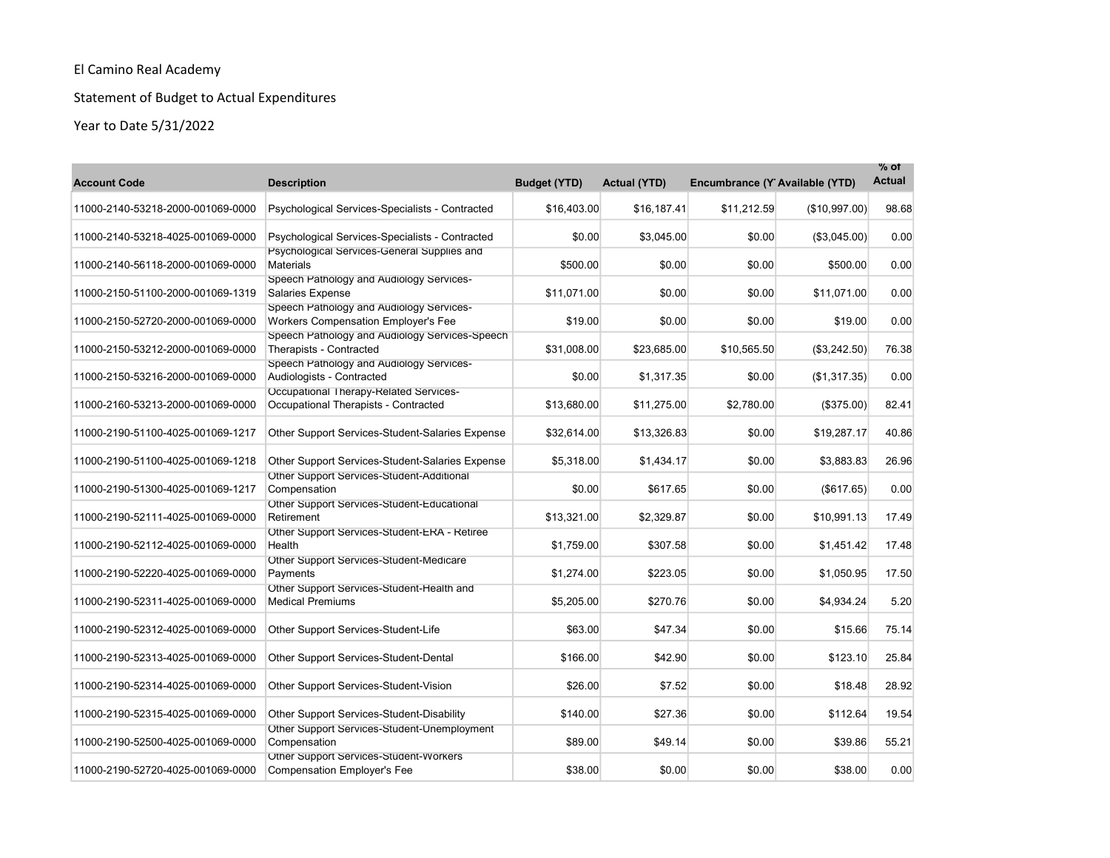# Statement of Budget to Actual Expenditures

| <b>Account Code</b>               | <b>Description</b>                                                              | <b>Budget (YTD)</b> | <b>Actual (YTD)</b> | Encumbrance (Y Available (YTD) |               | $%$ of<br><b>Actual</b> |
|-----------------------------------|---------------------------------------------------------------------------------|---------------------|---------------------|--------------------------------|---------------|-------------------------|
| 11000-2140-53218-2000-001069-0000 | Psychological Services-Specialists - Contracted                                 | \$16,403.00         | \$16,187.41         | \$11,212.59                    | (\$10,997.00) | 98.68                   |
| 11000-2140-53218-4025-001069-0000 | Psychological Services-Specialists - Contracted                                 | \$0.00              | \$3,045.00          | \$0.00                         | (\$3,045.00)  | 0.00                    |
| 11000-2140-56118-2000-001069-0000 | Psychological Services-General Supplies and<br><b>Materials</b>                 | \$500.00            | \$0.00              | \$0.00                         | \$500.00      | 0.00                    |
| 11000-2150-51100-2000-001069-1319 | Speech Pathology and Audiology Services-<br>Salaries Expense                    | \$11.071.00         | \$0.00              | \$0.00                         | \$11,071.00   | 0.00                    |
| 11000-2150-52720-2000-001069-0000 | Speech Pathology and Audiology Services-<br>Workers Compensation Employer's Fee | \$19.00             | \$0.00              | \$0.00                         | \$19.00       | 0.00                    |
| 11000-2150-53212-2000-001069-0000 | Speech Pathology and Audiology Services-Speech<br>Therapists - Contracted       | \$31,008.00         | \$23,685.00         | \$10,565.50                    | (\$3,242.50)  | 76.38                   |
| 11000-2150-53216-2000-001069-0000 | Speech Pathology and Audiology Services-<br>Audiologists - Contracted           | \$0.00              | \$1,317.35          | \$0.00                         | (\$1,317.35)  | 0.00                    |
| 11000-2160-53213-2000-001069-0000 | Occupational Therapy-Related Services-<br>Occupational Therapists - Contracted  | \$13,680.00         | \$11,275.00         | \$2,780.00                     | (\$375.00)    | 82.41                   |
| 11000-2190-51100-4025-001069-1217 | Other Support Services-Student-Salaries Expense                                 | \$32,614.00         | \$13,326.83         | \$0.00                         | \$19,287.17   | 40.86                   |
| 11000-2190-51100-4025-001069-1218 | Other Support Services-Student-Salaries Expense                                 | \$5,318.00          | \$1,434.17          | \$0.00                         | \$3,883.83    | 26.96                   |
| 11000-2190-51300-4025-001069-1217 | Other Support Services-Student-Additional<br>Compensation                       | \$0.00              | \$617.65            | \$0.00                         | (\$617.65)    | 0.00                    |
| 11000-2190-52111-4025-001069-0000 | Other Support Services-Student-Educational<br>Retirement                        | \$13,321.00         | \$2,329.87          | \$0.00                         | \$10,991.13   | 17.49                   |
| 11000-2190-52112-4025-001069-0000 | Other Support Services-Student-ERA - Retiree<br>Health                          | \$1,759.00          | \$307.58            | \$0.00                         | \$1,451.42    | 17.48                   |
| 11000-2190-52220-4025-001069-0000 | Other Support Services-Student-Medicare<br>Payments                             | \$1,274.00          | \$223.05            | \$0.00                         | \$1,050.95    | 17.50                   |
| 11000-2190-52311-4025-001069-0000 | Other Support Services-Student-Health and<br><b>Medical Premiums</b>            | \$5,205.00          | \$270.76            | \$0.00                         | \$4,934.24    | 5.20                    |
| 11000-2190-52312-4025-001069-0000 | Other Support Services-Student-Life                                             | \$63.00             | \$47.34             | \$0.00                         | \$15.66       | 75.14                   |
| 11000-2190-52313-4025-001069-0000 | Other Support Services-Student-Dental                                           | \$166.00            | \$42.90             | \$0.00                         | \$123.10      | 25.84                   |
| 11000-2190-52314-4025-001069-0000 | Other Support Services-Student-Vision                                           | \$26.00             | \$7.52              | \$0.00                         | \$18.48       | 28.92                   |
| 11000-2190-52315-4025-001069-0000 | Other Support Services-Student-Disability                                       | \$140.00            | \$27.36             | \$0.00                         | \$112.64      | 19.54                   |
| 11000-2190-52500-4025-001069-0000 | Other Support Services-Student-Unemployment<br>Compensation                     | \$89.00             | \$49.14             | \$0.00                         | \$39.86       | 55.21                   |
| 11000-2190-52720-4025-001069-0000 | Other Support Services-Student-Workers<br><b>Compensation Employer's Fee</b>    | \$38.00             | \$0.00              | \$0.00                         | \$38.00       | 0.00                    |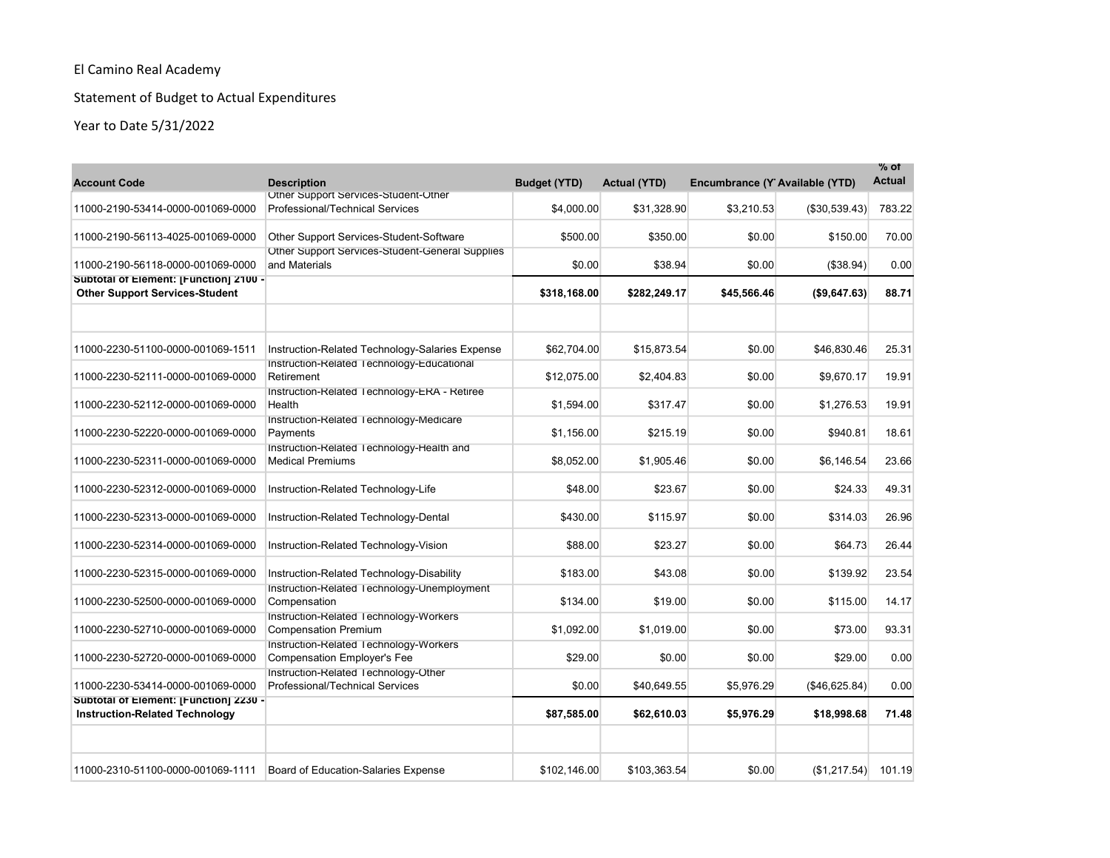# Statement of Budget to Actual Expenditures

| <b>Account Code</b>                                                             | <b>Description</b>                                                           | <b>Budget (YTD)</b> | <b>Actual (YTD)</b> | Encumbrance (Y Available (YTD) |               | % of<br><b>Actual</b> |
|---------------------------------------------------------------------------------|------------------------------------------------------------------------------|---------------------|---------------------|--------------------------------|---------------|-----------------------|
| 11000-2190-53414-0000-001069-0000                                               | Other Support Services-Student-Other<br>Professional/Technical Services      | \$4,000.00          | \$31.328.90         | \$3.210.53                     | (\$30,539.43) | 783.22                |
| 11000-2190-56113-4025-001069-0000                                               | Other Support Services-Student-Software                                      | \$500.00            | \$350.00            | \$0.00                         | \$150.00      | 70.00                 |
| 11000-2190-56118-0000-001069-0000                                               | Other Support Services-Student-General Supplies<br>and Materials             | \$0.00              | \$38.94             | \$0.00                         | (\$38.94)     | 0.00                  |
| Subtotal of Element: [Function] 2100 -<br><b>Other Support Services-Student</b> |                                                                              | \$318,168.00        | \$282,249.17        | \$45,566.46                    | (\$9,647.63)  | 88.71                 |
|                                                                                 |                                                                              |                     |                     |                                |               |                       |
| 11000-2230-51100-0000-001069-1511                                               | Instruction-Related Technology-Salaries Expense                              | \$62.704.00         | \$15.873.54         | \$0.00                         | \$46.830.46   | 25.31                 |
| 11000-2230-52111-0000-001069-0000                                               | Instruction-Related Technology-Educational<br>Retirement                     | \$12,075.00         | \$2,404.83          | \$0.00                         | \$9,670.17    | 19.91                 |
| 11000-2230-52112-0000-001069-0000                                               | Instruction-Related Technology-ERA - Retiree<br>Health                       | \$1,594.00          | \$317.47            | \$0.00                         | \$1,276.53    | 19.91                 |
| 11000-2230-52220-0000-001069-0000                                               | Instruction-Related Technology-Medicare<br>Payments                          | \$1,156.00          | \$215.19            | \$0.00                         | \$940.81      | 18.61                 |
| 11000-2230-52311-0000-001069-0000                                               | Instruction-Related Technology-Health and<br><b>Medical Premiums</b>         | \$8,052.00          | \$1,905.46          | \$0.00                         | \$6,146.54    | 23.66                 |
| 11000-2230-52312-0000-001069-0000                                               | Instruction-Related Technology-Life                                          | \$48.00             | \$23.67             | \$0.00                         | \$24.33       | 49.31                 |
| 11000-2230-52313-0000-001069-0000                                               | Instruction-Related Technology-Dental                                        | \$430.00            | \$115.97            | \$0.00                         | \$314.03      | 26.96                 |
| 11000-2230-52314-0000-001069-0000                                               | Instruction-Related Technology-Vision                                        | \$88.00             | \$23.27             | \$0.00                         | \$64.73       | 26.44                 |
| 11000-2230-52315-0000-001069-0000                                               | Instruction-Related Technology-Disability                                    | \$183.00            | \$43.08             | \$0.00                         | \$139.92      | 23.54                 |
| 11000-2230-52500-0000-001069-0000                                               | Instruction-Related Technology-Unemployment<br>Compensation                  | \$134.00            | \$19.00             | \$0.00                         | \$115.00      | 14.17                 |
| 11000-2230-52710-0000-001069-0000                                               | Instruction-Related Technology-Workers<br><b>Compensation Premium</b>        | \$1,092.00          | \$1,019.00          | \$0.00                         | \$73.00       | 93.31                 |
| 11000-2230-52720-0000-001069-0000                                               | Instruction-Related Technology-Workers<br><b>Compensation Employer's Fee</b> | \$29.00             | \$0.00              | \$0.00                         | \$29.00       | 0.00                  |
| 11000-2230-53414-0000-001069-0000                                               | Instruction-Related Technology-Other<br>Professional/Technical Services      | \$0.00              | \$40,649.55         | \$5,976.29                     | (\$46,625.84) | 0.00                  |
| Subtotal of Element: [Function] 2230 -<br><b>Instruction-Related Technology</b> |                                                                              | \$87,585.00         | \$62,610.03         | \$5,976.29                     | \$18,998.68   | 71.48                 |
| 11000-2310-51100-0000-001069-1111                                               | Board of Education-Salaries Expense                                          | \$102,146.00        | \$103,363.54        | \$0.00                         | (\$1,217.54)  | 101.19                |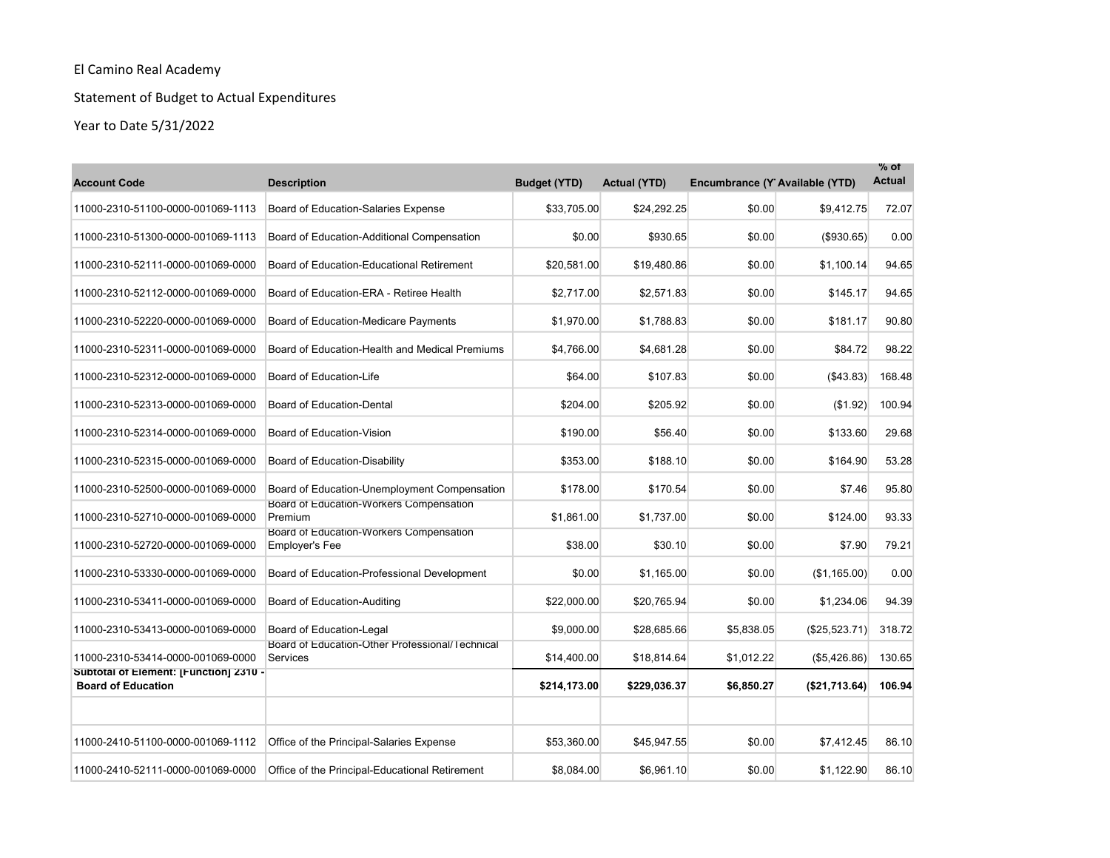# Statement of Budget to Actual Expenditures

| <b>Account Code</b>                                                 | <b>Description</b>                                               | <b>Budget (YTD)</b> | <b>Actual (YTD)</b> | Encumbrance (Y Available (YTD) |                | $%$ of<br><b>Actual</b> |
|---------------------------------------------------------------------|------------------------------------------------------------------|---------------------|---------------------|--------------------------------|----------------|-------------------------|
| 11000-2310-51100-0000-001069-1113                                   | Board of Education-Salaries Expense                              | \$33.705.00         | \$24.292.25         | \$0.00                         | \$9,412.75     | 72.07                   |
| 11000-2310-51300-0000-001069-1113                                   | Board of Education-Additional Compensation                       | \$0.00              | \$930.65            | \$0.00                         | (\$930.65)     | 0.00                    |
| 11000-2310-52111-0000-001069-0000                                   | Board of Education-Educational Retirement                        | \$20,581.00         | \$19,480.86         | \$0.00                         | \$1,100.14     | 94.65                   |
| 11000-2310-52112-0000-001069-0000                                   | Board of Education-ERA - Retiree Health                          | \$2,717.00          | \$2,571.83          | \$0.00                         | \$145.17       | 94.65                   |
| 11000-2310-52220-0000-001069-0000                                   | Board of Education-Medicare Payments                             | \$1,970.00          | \$1,788.83          | \$0.00                         | \$181.17       | 90.80                   |
| 11000-2310-52311-0000-001069-0000                                   | Board of Education-Health and Medical Premiums                   | \$4,766.00          | \$4,681.28          | \$0.00                         | \$84.72        | 98.22                   |
| 11000-2310-52312-0000-001069-0000                                   | Board of Education-Life                                          | \$64.00             | \$107.83            | \$0.00                         | ( \$43.83)     | 168.48                  |
| 11000-2310-52313-0000-001069-0000                                   | Board of Education-Dental                                        | \$204.00            | \$205.92            | \$0.00                         | (\$1.92)       | 100.94                  |
| 11000-2310-52314-0000-001069-0000                                   | Board of Education-Vision                                        | \$190.00            | \$56.40             | \$0.00                         | \$133.60       | 29.68                   |
| 11000-2310-52315-0000-001069-0000                                   | Board of Education-Disability                                    | \$353.00            | \$188.10            | \$0.00                         | \$164.90       | 53.28                   |
| 11000-2310-52500-0000-001069-0000                                   | Board of Education-Unemployment Compensation                     | \$178.00            | \$170.54            | \$0.00                         | \$7.46         | 95.80                   |
| 11000-2310-52710-0000-001069-0000                                   | Board of Education-Workers Compensation<br>Premium               | \$1,861.00          | \$1,737.00          | \$0.00                         | \$124.00       | 93.33                   |
| 11000-2310-52720-0000-001069-0000                                   | Board of Education-Workers Compensation<br><b>Employer's Fee</b> | \$38.00             | \$30.10             | \$0.00                         | \$7.90         | 79.21                   |
| 11000-2310-53330-0000-001069-0000                                   | Board of Education-Professional Development                      | \$0.00              | \$1,165.00          | \$0.00                         | (S1, 165.00)   | 0.00                    |
| 11000-2310-53411-0000-001069-0000                                   | Board of Education-Auditing                                      | \$22,000.00         | \$20,765.94         | \$0.00                         | \$1,234.06     | 94.39                   |
| 11000-2310-53413-0000-001069-0000                                   | Board of Education-Legal                                         | \$9,000.00          | \$28,685.66         | \$5,838.05                     | (\$25,523.71)  | 318.72                  |
| 11000-2310-53414-0000-001069-0000                                   | Board of Education-Other Professional/Technical<br>Services      | \$14,400.00         | \$18,814.64         | \$1,012.22                     | (\$5,426.86)   | 130.65                  |
| Subtotal of Element: [Function] 2310 -<br><b>Board of Education</b> |                                                                  | \$214,173.00        | \$229,036.37        | \$6,850.27                     | ( \$21,713.64) | 106.94                  |
|                                                                     |                                                                  |                     |                     |                                |                |                         |
| 11000-2410-51100-0000-001069-1112                                   | Office of the Principal-Salaries Expense                         | \$53,360.00         | \$45,947.55         | \$0.00                         | \$7,412.45     | 86.10                   |
| 11000-2410-52111-0000-001069-0000                                   | Office of the Principal-Educational Retirement                   | \$8,084.00          | \$6,961.10          | \$0.00                         | \$1,122.90     | 86.10                   |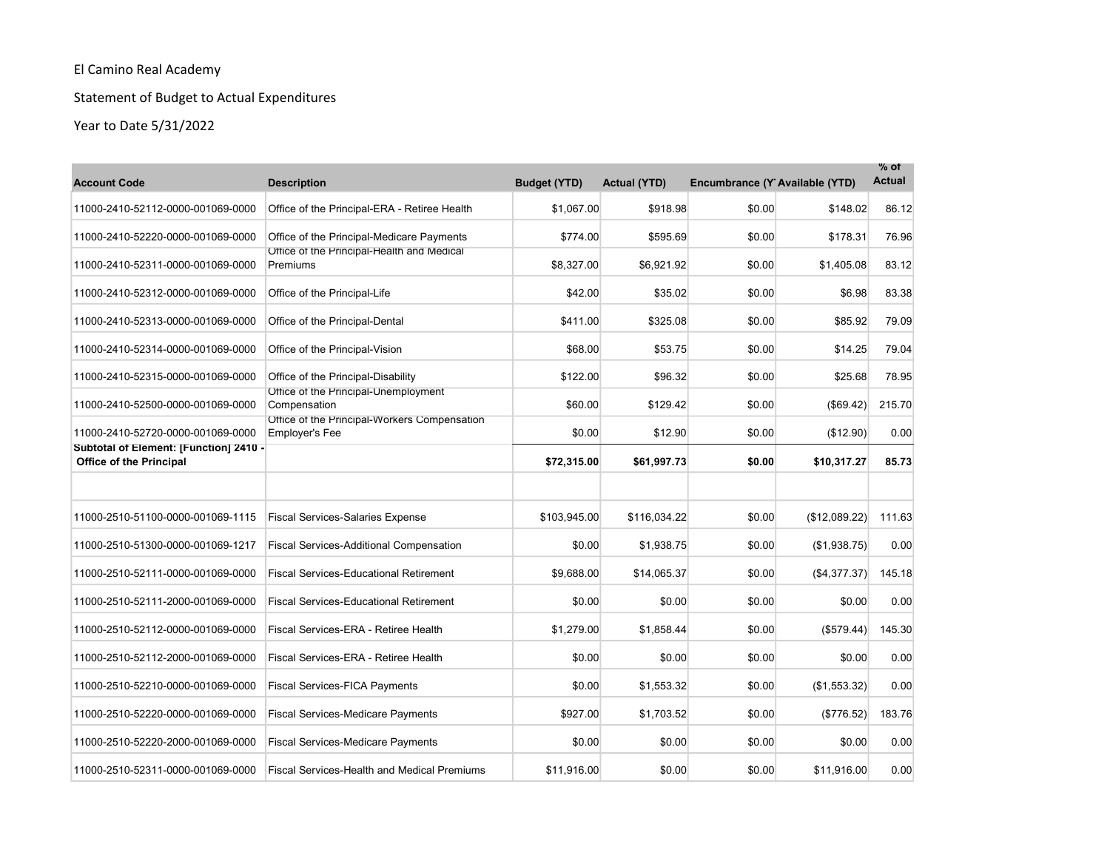# Statement of Budget to Actual Expenditures

| <b>Account Code</b>                                                      | <b>Description</b>                                                    | <b>Budget (YTD)</b> | <b>Actual (YTD)</b> | Encumbrance (Y Available (YTD) |               | $%$ of<br><b>Actual</b> |
|--------------------------------------------------------------------------|-----------------------------------------------------------------------|---------------------|---------------------|--------------------------------|---------------|-------------------------|
| 11000-2410-52112-0000-001069-0000                                        | Office of the Principal-ERA - Retiree Health                          | \$1.067.00          | \$918.98            | \$0.00                         | \$148.02      | 86.12                   |
| 11000-2410-52220-0000-001069-0000                                        | Office of the Principal-Medicare Payments                             | \$774.00            | \$595.69            | \$0.00                         | \$178.31      | 76.96                   |
| 11000-2410-52311-0000-001069-0000                                        | Office of the Principal-Health and Medical<br>Premiums                | \$8,327.00          | \$6,921.92          | \$0.00                         | \$1,405.08    | 83.12                   |
| 11000-2410-52312-0000-001069-0000                                        | Office of the Principal-Life                                          | \$42.00             | \$35.02             | \$0.00                         | \$6.98        | 83.38                   |
| 11000-2410-52313-0000-001069-0000                                        | Office of the Principal-Dental                                        | \$411.00            | \$325.08            | \$0.00                         | \$85.92       | 79.09                   |
| 11000-2410-52314-0000-001069-0000                                        | Office of the Principal-Vision                                        | \$68.00             | \$53.75             | \$0.00                         | \$14.25       | 79.04                   |
| 11000-2410-52315-0000-001069-0000                                        | Office of the Principal-Disability                                    | \$122.00            | \$96.32             | \$0.00                         | \$25.68       | 78.95                   |
| 11000-2410-52500-0000-001069-0000                                        | Office of the Principal-Unemployment<br>Compensation                  | \$60.00             | \$129.42            | \$0.00                         | (\$69.42)     | 215.70                  |
| 11000-2410-52720-0000-001069-0000                                        | Office of the Principal-Workers Compensation<br><b>Employer's Fee</b> | \$0.00              | \$12.90             | \$0.00                         | (\$12.90)     | 0.00                    |
| Subtotal of Element: [Function] 2410 -<br><b>Office of the Principal</b> |                                                                       | \$72,315.00         | \$61,997.73         | \$0.00                         | \$10,317.27   | 85.73                   |
|                                                                          |                                                                       |                     |                     |                                |               |                         |
| 11000-2510-51100-0000-001069-1115                                        | <b>Fiscal Services-Salaries Expense</b>                               | \$103,945.00        | \$116,034.22        | \$0.00                         | (\$12,089.22) | 111.63                  |
| 11000-2510-51300-0000-001069-1217                                        | <b>Fiscal Services-Additional Compensation</b>                        | \$0.00              | \$1.938.75          | \$0.00                         | (\$1,938.75)  | 0.00                    |
| 11000-2510-52111-0000-001069-0000                                        | <b>Fiscal Services-Educational Retirement</b>                         | \$9,688.00          | \$14,065.37         | \$0.00                         | (S4, 377.37)  | 145.18                  |
| 11000-2510-52111-2000-001069-0000                                        | <b>Fiscal Services-Educational Retirement</b>                         | \$0.00              | \$0.00              | \$0.00                         | \$0.00        | 0.00                    |
| 11000-2510-52112-0000-001069-0000                                        | Fiscal Services-ERA - Retiree Health                                  | \$1,279.00          | \$1,858.44          | \$0.00                         | (\$579.44)    | 145.30                  |
| 11000-2510-52112-2000-001069-0000                                        | Fiscal Services-ERA - Retiree Health                                  | \$0.00              | \$0.00              | \$0.00                         | \$0.00        | 0.00                    |
| 11000-2510-52210-0000-001069-0000                                        | <b>Fiscal Services-FICA Payments</b>                                  | \$0.00              | \$1,553.32          | \$0.00                         | (\$1,553.32)  | 0.00                    |
| 11000-2510-52220-0000-001069-0000                                        | <b>Fiscal Services-Medicare Payments</b>                              | \$927.00            | \$1,703.52          | \$0.00                         | (\$776.52)    | 183.76                  |
| 11000-2510-52220-2000-001069-0000                                        | <b>Fiscal Services-Medicare Payments</b>                              | \$0.00              | \$0.00              | \$0.00                         | \$0.00        | 0.00                    |
| 11000-2510-52311-0000-001069-0000                                        | <b>Fiscal Services-Health and Medical Premiums</b>                    | \$11,916.00         | \$0.00              | \$0.00                         | \$11,916.00   | 0.00                    |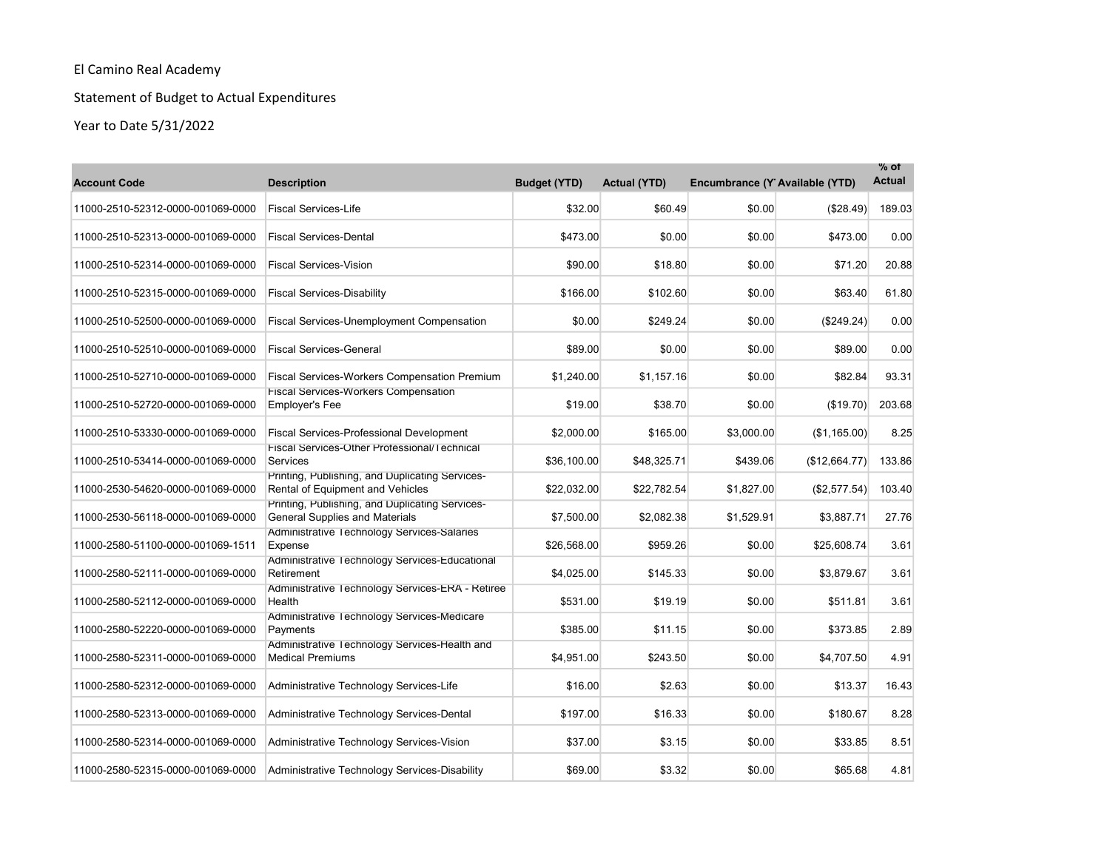# Statement of Budget to Actual Expenditures

| <b>Account Code</b>               | <b>Description</b>                                                                  | <b>Budget (YTD)</b> | <b>Actual (YTD)</b> | Encumbrance (Y Available (YTD) |               | $\%$ of<br><b>Actual</b> |
|-----------------------------------|-------------------------------------------------------------------------------------|---------------------|---------------------|--------------------------------|---------------|--------------------------|
| 11000-2510-52312-0000-001069-0000 | <b>Fiscal Services-Life</b>                                                         | \$32.00             | \$60.49             | \$0.00                         | (\$28.49)     | 189.03                   |
| 11000-2510-52313-0000-001069-0000 | <b>Fiscal Services-Dental</b>                                                       | \$473.00            | \$0.00              | \$0.00                         | \$473.00      | 0.00                     |
| 11000-2510-52314-0000-001069-0000 | <b>Fiscal Services-Vision</b>                                                       | \$90.00             | \$18.80             | \$0.00                         | \$71.20       | 20.88                    |
| 11000-2510-52315-0000-001069-0000 | <b>Fiscal Services-Disability</b>                                                   | \$166.00            | \$102.60            | \$0.00                         | \$63.40       | 61.80                    |
| 11000-2510-52500-0000-001069-0000 | <b>Fiscal Services-Unemployment Compensation</b>                                    | \$0.00              | \$249.24            | \$0.00                         | (\$249.24)    | 0.00                     |
| 11000-2510-52510-0000-001069-0000 | <b>Fiscal Services-General</b>                                                      | \$89.00             | \$0.00              | \$0.00                         | \$89.00       | 0.00                     |
| 11000-2510-52710-0000-001069-0000 | <b>Fiscal Services-Workers Compensation Premium</b>                                 | \$1,240.00          | \$1,157.16          | \$0.00                         | \$82.84       | 93.31                    |
| 11000-2510-52720-0000-001069-0000 | <b>Fiscal Services-Workers Compensation</b><br><b>Employer's Fee</b>                | \$19.00             | \$38.70             | \$0.00                         | (S19.70)      | 203.68                   |
| 11000-2510-53330-0000-001069-0000 | <b>Fiscal Services-Professional Development</b>                                     | \$2,000.00          | \$165.00            | \$3,000.00                     | (S1, 165.00)  | 8.25                     |
| 11000-2510-53414-0000-001069-0000 | Fiscal Services-Other Professional/Technical<br><b>Services</b>                     | \$36,100.00         | \$48,325.71         | \$439.06                       | (\$12,664.77) | 133.86                   |
| 11000-2530-54620-0000-001069-0000 | Printing, Publishing, and Duplicating Services-<br>Rental of Equipment and Vehicles | \$22,032.00         | \$22,782.54         | \$1,827.00                     | (\$2,577.54)  | 103.40                   |
| 11000-2530-56118-0000-001069-0000 | Printing, Publishing, and Duplicating Services-<br>General Supplies and Materials   | \$7,500.00          | \$2,082.38          | \$1,529.91                     | \$3,887.71    | 27.76                    |
| 11000-2580-51100-0000-001069-1511 | Administrative Technology Services-Salaries<br>Expense                              | \$26,568.00         | \$959.26            | \$0.00                         | \$25,608.74   | 3.61                     |
| 11000-2580-52111-0000-001069-0000 | Administrative Technology Services-Educational<br>Retirement                        | \$4,025.00          | \$145.33            | \$0.00                         | \$3,879.67    | 3.61                     |
| 11000-2580-52112-0000-001069-0000 | Administrative Technology Services-ERA - Retiree<br>Health                          | \$531.00            | \$19.19             | \$0.00                         | \$511.81      | 3.61                     |
| 11000-2580-52220-0000-001069-0000 | Administrative Technology Services-Medicare<br>Payments                             | \$385.00            | \$11.15             | \$0.00                         | \$373.85      | 2.89                     |
| 11000-2580-52311-0000-001069-0000 | Administrative Technology Services-Health and<br><b>Medical Premiums</b>            | \$4,951.00          | \$243.50            | \$0.00                         | \$4,707.50    | 4.91                     |
| 11000-2580-52312-0000-001069-0000 | Administrative Technology Services-Life                                             | \$16.00             | \$2.63              | \$0.00                         | \$13.37       | 16.43                    |
| 11000-2580-52313-0000-001069-0000 | Administrative Technology Services-Dental                                           | \$197.00            | \$16.33             | \$0.00                         | \$180.67      | 8.28                     |
| 11000-2580-52314-0000-001069-0000 | Administrative Technology Services-Vision                                           | \$37.00             | \$3.15              | \$0.00                         | \$33.85       | 8.51                     |
| 11000-2580-52315-0000-001069-0000 | Administrative Technology Services-Disability                                       | \$69.00             | \$3.32              | \$0.00                         | \$65.68       | 4.81                     |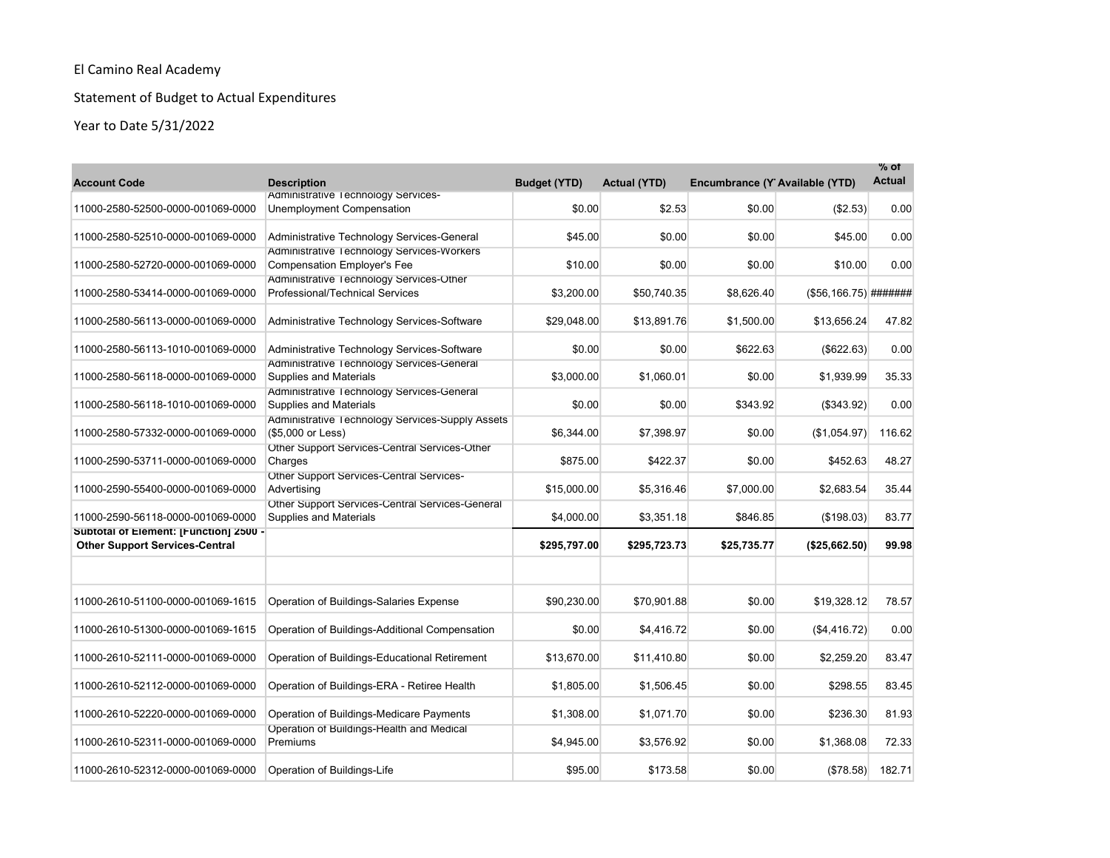# Statement of Budget to Actual Expenditures

| <b>Account Code</b>                                                             | <b>Description</b>                                                               | <b>Budget (YTD)</b> | <b>Actual (YTD)</b> | Encumbrance (Y Available (YTD) |                          | % of<br><b>Actual</b> |
|---------------------------------------------------------------------------------|----------------------------------------------------------------------------------|---------------------|---------------------|--------------------------------|--------------------------|-----------------------|
| 11000-2580-52500-0000-001069-0000                                               | Administrative Technology Services-<br>Unemployment Compensation                 | \$0.00              | \$2.53              | \$0.00                         | (\$2.53)                 | 0.00                  |
| 11000-2580-52510-0000-001069-0000                                               | Administrative Technology Services-General                                       | \$45.00             | \$0.00              | \$0.00                         | \$45.00                  | 0.00                  |
| 11000-2580-52720-0000-001069-0000                                               | Administrative Technology Services-Workers<br><b>Compensation Employer's Fee</b> | \$10.00             | \$0.00              | \$0.00                         | \$10.00                  | 0.00                  |
| 11000-2580-53414-0000-001069-0000                                               | Administrative Technology Services-Other<br>Professional/Technical Services      | \$3,200.00          | \$50,740.35         | \$8,626.40                     | $($ \$56,166.75) ####### |                       |
| 11000-2580-56113-0000-001069-0000                                               | Administrative Technology Services-Software                                      | \$29,048.00         | \$13,891.76         | \$1,500.00                     | \$13,656.24              | 47.82                 |
| 11000-2580-56113-1010-001069-0000                                               | Administrative Technology Services-Software                                      | \$0.00              | \$0.00              | \$622.63                       | (\$622.63)               | 0.00                  |
| 11000-2580-56118-0000-001069-0000                                               | Administrative Technology Services-General<br><b>Supplies and Materials</b>      | \$3,000.00          | \$1,060.01          | \$0.00                         | \$1,939.99               | 35.33                 |
| 11000-2580-56118-1010-001069-0000                                               | Administrative Technology Services-General<br><b>Supplies and Materials</b>      | \$0.00              | \$0.00              | \$343.92                       | (\$343.92)               | 0.00                  |
| 11000-2580-57332-0000-001069-0000                                               | Administrative Technology Services-Supply Assets<br>(\$5,000 or Less)            | \$6,344.00          | \$7,398.97          | \$0.00                         | (\$1,054.97)             | 116.62                |
| 11000-2590-53711-0000-001069-0000                                               | Other Support Services-Central Services-Other<br>Charges                         | \$875.00            | \$422.37            | \$0.00                         | \$452.63                 | 48.27                 |
| 11000-2590-55400-0000-001069-0000                                               | Other Support Services-Central Services-<br>Advertising                          | \$15,000.00         | \$5,316.46          | \$7,000.00                     | \$2,683.54               | 35.44                 |
| 11000-2590-56118-0000-001069-0000                                               | Other Support Services-Central Services-General<br><b>Supplies and Materials</b> | \$4,000.00          | \$3,351.18          | \$846.85                       | (\$198.03)               | 83.77                 |
| Subtotal of Element: [Function] 2500 -<br><b>Other Support Services-Central</b> |                                                                                  | \$295.797.00        | \$295,723.73        | \$25,735.77                    | (\$25,662.50)            | 99.98                 |
|                                                                                 |                                                                                  |                     |                     |                                |                          |                       |
| 11000-2610-51100-0000-001069-1615                                               | Operation of Buildings-Salaries Expense                                          | \$90,230.00         | \$70,901.88         | \$0.00                         | \$19,328.12              | 78.57                 |
| 11000-2610-51300-0000-001069-1615                                               | Operation of Buildings-Additional Compensation                                   | \$0.00              | \$4,416.72          | \$0.00                         | (\$4,416.72)             | 0.00                  |
| 11000-2610-52111-0000-001069-0000                                               | Operation of Buildings-Educational Retirement                                    | \$13,670.00         | \$11,410.80         | \$0.00                         | \$2,259.20               | 83.47                 |
| 11000-2610-52112-0000-001069-0000                                               | Operation of Buildings-ERA - Retiree Health                                      | \$1,805.00          | \$1,506.45          | \$0.00                         | \$298.55                 | 83.45                 |
| 11000-2610-52220-0000-001069-0000                                               | Operation of Buildings-Medicare Payments                                         | \$1,308.00          | \$1,071.70          | \$0.00                         | \$236.30                 | 81.93                 |
| 11000-2610-52311-0000-001069-0000                                               | Operation of Buildings-Health and Medical<br>Premiums                            | \$4,945.00          | \$3,576.92          | \$0.00                         | \$1,368.08               | 72.33                 |
| 11000-2610-52312-0000-001069-0000                                               | Operation of Buildings-Life                                                      | \$95.00             | \$173.58            | \$0.00                         | (\$78.58)                | 182.71                |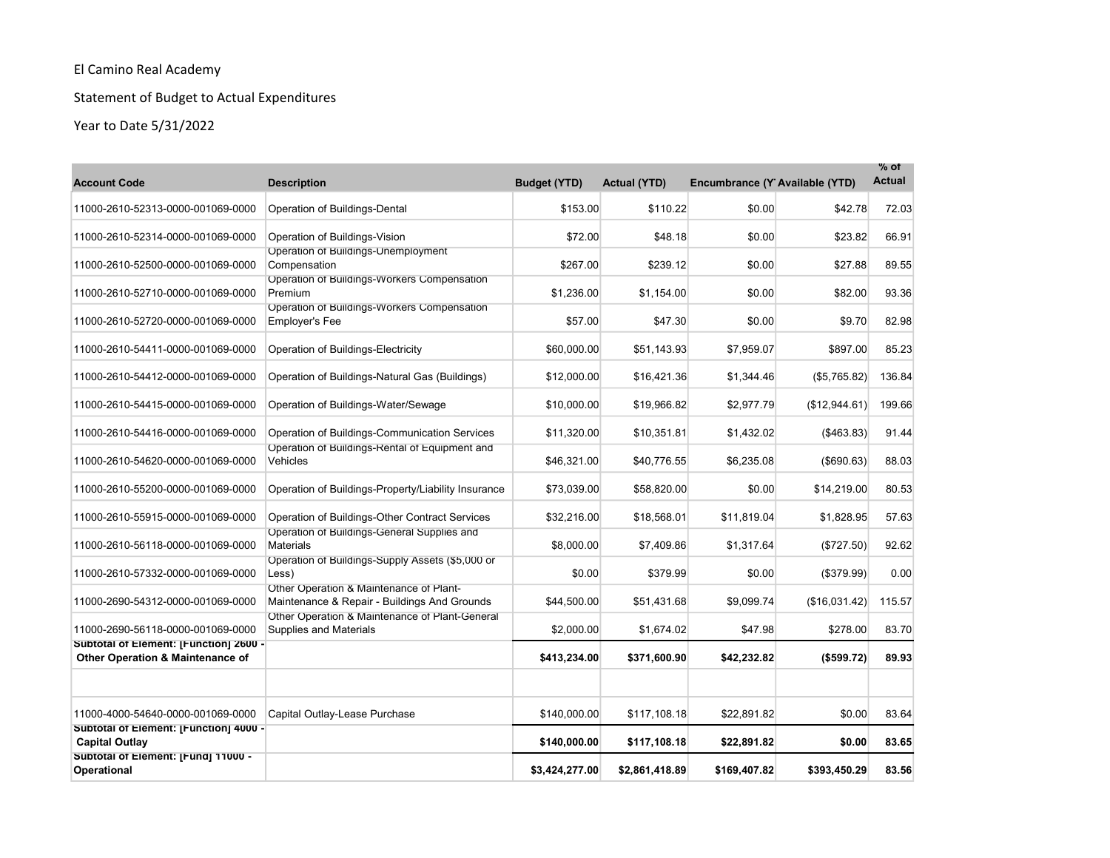# Statement of Budget to Actual Expenditures

| <b>Account Code</b>                                                        | <b>Description</b>                                                                      | <b>Budget (YTD)</b> | <b>Actual (YTD)</b> | Encumbrance (Y Available (YTD) |               | $%$ of<br><b>Actual</b> |
|----------------------------------------------------------------------------|-----------------------------------------------------------------------------------------|---------------------|---------------------|--------------------------------|---------------|-------------------------|
| 11000-2610-52313-0000-001069-0000                                          | Operation of Buildings-Dental                                                           | \$153.00            | \$110.22            | \$0.00                         | \$42.78       | 72.03                   |
| 11000-2610-52314-0000-001069-0000                                          | Operation of Buildings-Vision                                                           | \$72.00             | \$48.18             | \$0.00                         | \$23.82       | 66.91                   |
| 11000-2610-52500-0000-001069-0000                                          | Operation of Buildings-Unemployment<br>Compensation                                     | \$267.00            | \$239.12            | \$0.00                         | \$27.88       | 89.55                   |
| 11000-2610-52710-0000-001069-0000                                          | Operation of Buildings-Workers Compensation<br>Premium                                  | \$1,236.00          | \$1,154.00          | \$0.00                         | \$82.00       | 93.36                   |
| 11000-2610-52720-0000-001069-0000                                          | Operation of Buildings-Workers Compensation<br><b>Employer's Fee</b>                    | \$57.00             | \$47.30             | \$0.00                         | \$9.70        | 82.98                   |
| 11000-2610-54411-0000-001069-0000                                          | Operation of Buildings-Electricity                                                      | \$60,000.00         | \$51,143.93         | \$7,959.07                     | \$897.00      | 85.23                   |
| 11000-2610-54412-0000-001069-0000                                          | Operation of Buildings-Natural Gas (Buildings)                                          | \$12,000.00         | \$16,421.36         | \$1,344.46                     | (\$5,765.82)  | 136.84                  |
| 11000-2610-54415-0000-001069-0000                                          | Operation of Buildings-Water/Sewage                                                     | \$10,000.00         | \$19,966.82         | \$2,977.79                     | (\$12,944.61) | 199.66                  |
| 11000-2610-54416-0000-001069-0000                                          | Operation of Buildings-Communication Services                                           | \$11,320.00         | \$10,351.81         | \$1,432.02                     | ( \$463.83)   | 91.44                   |
| 11000-2610-54620-0000-001069-0000                                          | Operation of Buildings-Rental of Equipment and<br>Vehicles                              | \$46,321.00         | \$40,776.55         | \$6,235.08                     | (\$690.63)    | 88.03                   |
| 11000-2610-55200-0000-001069-0000                                          | Operation of Buildings-Property/Liability Insurance                                     | \$73,039.00         | \$58,820.00         | \$0.00                         | \$14,219.00   | 80.53                   |
| 11000-2610-55915-0000-001069-0000                                          | Operation of Buildings-Other Contract Services                                          | \$32,216.00         | \$18,568.01         | \$11,819.04                    | \$1,828.95    | 57.63                   |
| 11000-2610-56118-0000-001069-0000                                          | Operation of Buildings-General Supplies and<br><b>Materials</b>                         | \$8,000.00          | \$7,409.86          | \$1,317.64                     | (\$727.50)    | 92.62                   |
| 11000-2610-57332-0000-001069-0000                                          | Operation of Buildings-Supply Assets (\$5,000 or<br>Less)                               | \$0.00              | \$379.99            | \$0.00                         | (\$379.99)    | 0.00                    |
| 11000-2690-54312-0000-001069-0000                                          | Other Operation & Maintenance of Plant-<br>Maintenance & Repair - Buildings And Grounds | \$44,500.00         | \$51,431.68         | \$9,099.74                     | (\$16,031.42) | 115.57                  |
| 11000-2690-56118-0000-001069-0000                                          | Other Operation & Maintenance of Plant-General<br><b>Supplies and Materials</b>         | \$2,000.00          | \$1,674.02          | \$47.98                        | \$278.00      | 83.70                   |
| Subtotal of Element: [Function] 2600 -<br>Other Operation & Maintenance of |                                                                                         | \$413,234.00        | \$371,600.90        | \$42,232.82                    | (\$599.72)    | 89.93                   |
| 11000-4000-54640-0000-001069-0000                                          | Capital Outlay-Lease Purchase                                                           | \$140,000.00        | \$117,108.18        | \$22,891.82                    | \$0.00        | 83.64                   |
| Subtotal of Element: [Function] 4000 -<br><b>Capital Outlay</b>            |                                                                                         | \$140,000.00        | \$117,108.18        | \$22,891.82                    | \$0.00        | 83.65                   |
| Subtotal of Element: [Fund] 11000 -<br>Operational                         |                                                                                         | \$3,424,277.00      | \$2,861,418.89      | \$169,407.82                   | \$393,450.29  | 83.56                   |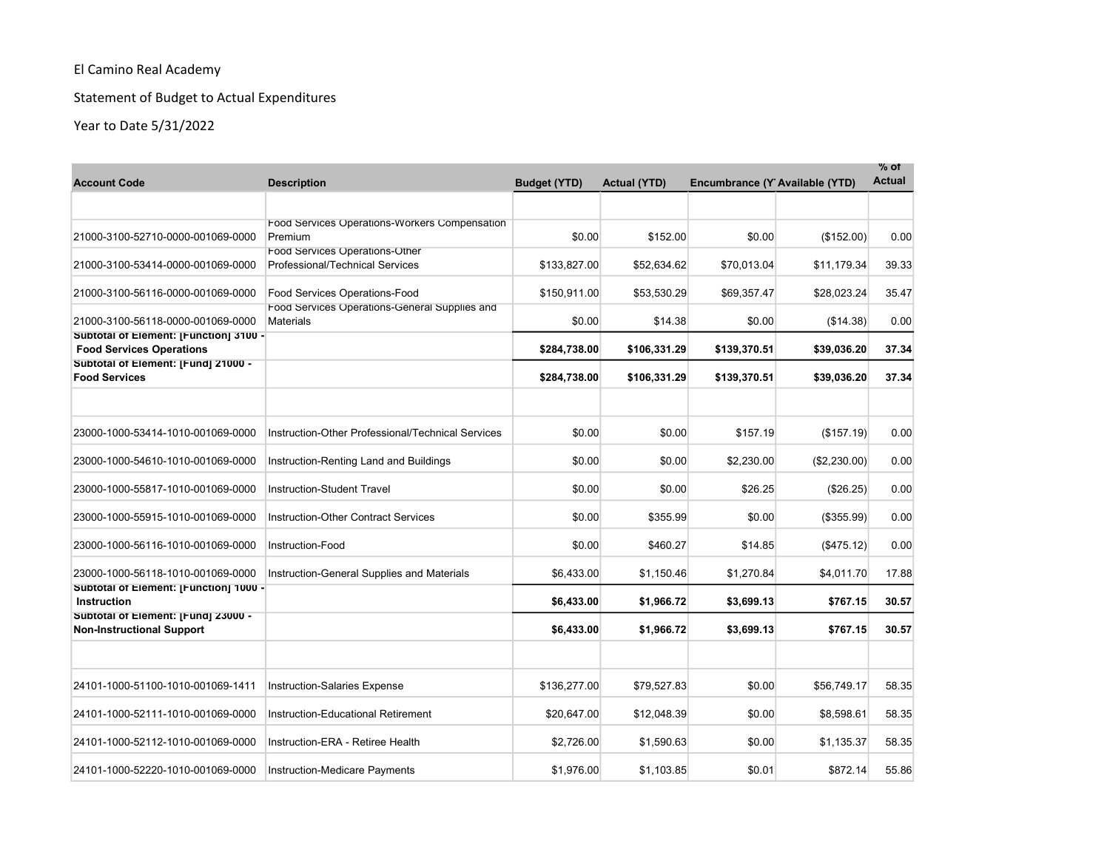# Statement of Budget to Actual Expenditures

| <b>Account Code</b>                                                       | <b>Description</b>                                                       | <b>Budget (YTD)</b> | <b>Actual (YTD)</b> | Encumbrance (Y Available (YTD) |              | $%$ of<br><b>Actual</b> |
|---------------------------------------------------------------------------|--------------------------------------------------------------------------|---------------------|---------------------|--------------------------------|--------------|-------------------------|
|                                                                           |                                                                          |                     |                     |                                |              |                         |
| 21000-3100-52710-0000-001069-0000                                         | Food Services Operations-Workers Compensation<br>Premium                 | \$0.00              | \$152.00            | \$0.00                         | (\$152.00)   | 0.00                    |
| 21000-3100-53414-0000-001069-0000                                         | Food Services Operations-Other<br><b>Professional/Technical Services</b> | \$133,827.00        | \$52,634.62         | \$70,013.04                    | \$11,179.34  | 39.33                   |
| 21000-3100-56116-0000-001069-0000                                         | Food Services Operations-Food                                            | \$150,911.00        | \$53,530.29         | \$69,357.47                    | \$28,023.24  | 35.47                   |
| 21000-3100-56118-0000-001069-0000                                         | Food Services Operations-General Supplies and<br><b>Materials</b>        | \$0.00              | \$14.38             | \$0.00                         | (\$14.38)    | 0.00                    |
| Subtotal of Element: [Function] 3100 -<br><b>Food Services Operations</b> |                                                                          | \$284,738.00        | \$106,331.29        | \$139,370.51                   | \$39,036.20  | 37.34                   |
| Subtotal of Element: [Fund] 21000 -<br><b>Food Services</b>               |                                                                          | \$284,738.00        | \$106,331.29        | \$139,370.51                   | \$39,036.20  | 37.34                   |
| 23000-1000-53414-1010-001069-0000                                         | Instruction-Other Professional/Technical Services                        | \$0.00              | \$0.00              | \$157.19                       | (\$157.19)   | 0.00                    |
| 23000-1000-54610-1010-001069-0000                                         | Instruction-Renting Land and Buildings                                   | \$0.00              | \$0.00              | \$2,230.00                     | (\$2,230.00) | 0.00                    |
| 23000-1000-55817-1010-001069-0000                                         | Instruction-Student Travel                                               | \$0.00              | \$0.00              | \$26.25                        | (\$26.25)    | 0.00                    |
| 23000-1000-55915-1010-001069-0000                                         | <b>Instruction-Other Contract Services</b>                               | \$0.00              | \$355.99            | \$0.00                         | (\$355.99)   | 0.00                    |
| 23000-1000-56116-1010-001069-0000                                         | Instruction-Food                                                         | \$0.00              | \$460.27            | \$14.85                        | (\$475.12)   | 0.00                    |
| 23000-1000-56118-1010-001069-0000                                         | Instruction-General Supplies and Materials                               | \$6,433.00          | \$1,150.46          | \$1,270.84                     | \$4,011.70   | 17.88                   |
| Subtotal of Element: [Function] 1000 -<br>Instruction                     |                                                                          | \$6,433.00          | \$1,966.72          | \$3,699.13                     | \$767.15     | 30.57                   |
| Subtotal of Element: [Fund] 23000 -<br><b>Non-Instructional Support</b>   |                                                                          | \$6,433.00          | \$1,966.72          | \$3,699.13                     | \$767.15     | 30.57                   |
|                                                                           |                                                                          |                     |                     |                                |              |                         |
| 24101-1000-51100-1010-001069-1411                                         | <b>Instruction-Salaries Expense</b>                                      | \$136,277.00        | \$79,527.83         | \$0.00                         | \$56,749.17  | 58.35                   |
| 24101-1000-52111-1010-001069-0000                                         | Instruction-Educational Retirement                                       | \$20,647.00         | \$12,048.39         | \$0.00                         | \$8,598.61   | 58.35                   |
| 24101-1000-52112-1010-001069-0000                                         | Instruction-ERA - Retiree Health                                         | \$2,726.00          | \$1,590.63          | \$0.00                         | \$1,135.37   | 58.35                   |
| 24101-1000-52220-1010-001069-0000                                         | Instruction-Medicare Payments                                            | \$1,976.00          | \$1,103.85          | \$0.01                         | \$872.14     | 55.86                   |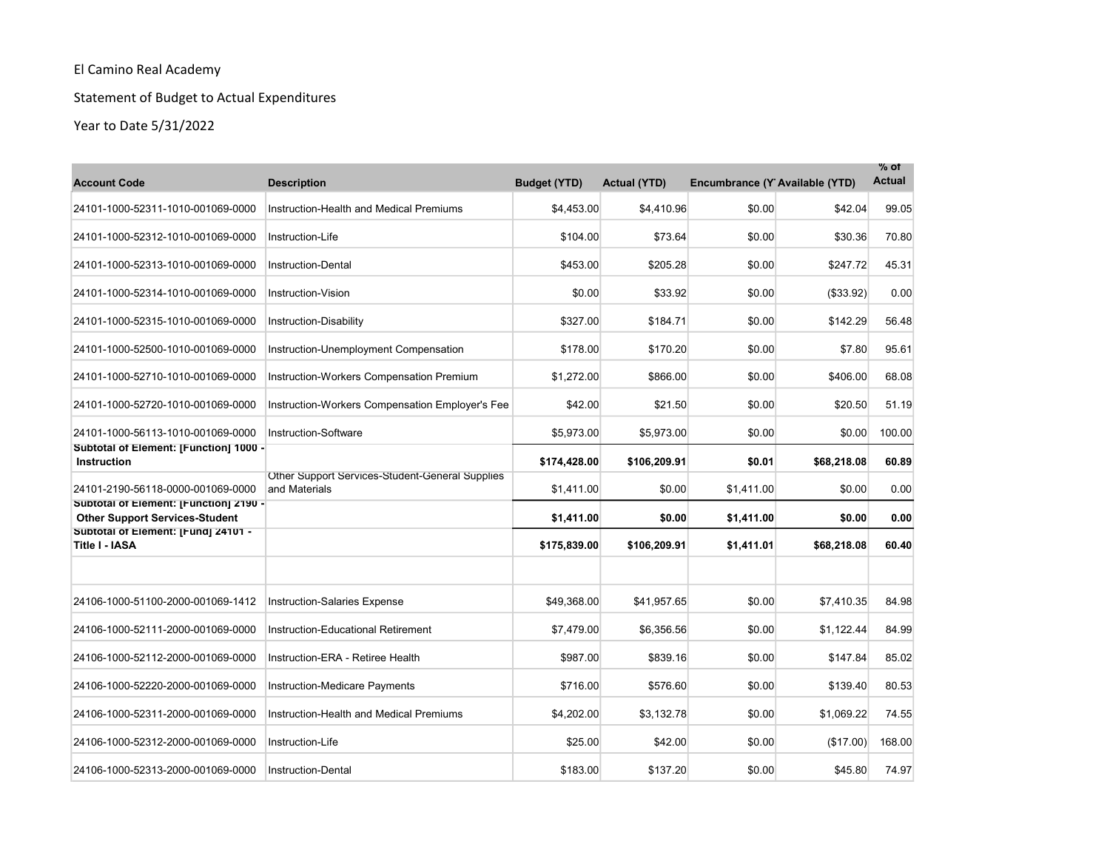# Statement of Budget to Actual Expenditures

| <b>Account Code</b>                                                             | <b>Description</b>                                               | <b>Budget (YTD)</b> | <b>Actual (YTD)</b> | Encumbrance (Y Available (YTD) |             | $%$ of<br><b>Actual</b> |
|---------------------------------------------------------------------------------|------------------------------------------------------------------|---------------------|---------------------|--------------------------------|-------------|-------------------------|
| 24101-1000-52311-1010-001069-0000                                               | Instruction-Health and Medical Premiums                          | \$4,453.00          | \$4,410.96          | \$0.00                         | \$42.04     | 99.05                   |
| 24101-1000-52312-1010-001069-0000                                               | Instruction-Life                                                 | \$104.00            | \$73.64             | \$0.00                         | \$30.36     | 70.80                   |
| 24101-1000-52313-1010-001069-0000                                               | <b>Instruction-Dental</b>                                        | \$453.00            | \$205.28            | \$0.00                         | \$247.72    | 45.31                   |
| 24101-1000-52314-1010-001069-0000                                               | Instruction-Vision                                               | \$0.00              | \$33.92             | \$0.00                         | ( \$33.92)  | 0.00                    |
| 24101-1000-52315-1010-001069-0000                                               | Instruction-Disability                                           | \$327.00            | \$184.71            | \$0.00                         | \$142.29    | 56.48                   |
| 24101-1000-52500-1010-001069-0000                                               | Instruction-Unemployment Compensation                            | \$178.00            | \$170.20            | \$0.00                         | \$7.80      | 95.61                   |
| 24101-1000-52710-1010-001069-0000                                               | Instruction-Workers Compensation Premium                         | \$1,272.00          | \$866.00            | \$0.00                         | \$406.00    | 68.08                   |
| 24101-1000-52720-1010-001069-0000                                               | Instruction-Workers Compensation Employer's Fee                  | \$42.00             | \$21.50             | \$0.00                         | \$20.50     | 51.19                   |
| 24101-1000-56113-1010-001069-0000                                               | Instruction-Software                                             | \$5,973.00          | \$5,973.00          | \$0.00                         | \$0.00      | 100.00                  |
| Subtotal of Element: [Function] 1000 -<br><b>Instruction</b>                    |                                                                  | \$174,428.00        | \$106,209.91        | \$0.01                         | \$68,218.08 | 60.89                   |
| 24101-2190-56118-0000-001069-0000                                               | Other Support Services-Student-General Supplies<br>and Materials | \$1,411.00          | \$0.00              | \$1,411.00                     | \$0.00      | 0.00                    |
| Subtotal of Element: [Function] 2190 -<br><b>Other Support Services-Student</b> |                                                                  | \$1,411.00          | \$0.00              | \$1,411.00                     | \$0.00      | 0.00                    |
| Subtotal of Element: [Fund] 24101 -<br>Title I - IASA                           |                                                                  | \$175.839.00        | \$106,209.91        | \$1,411.01                     | \$68,218.08 | 60.40                   |
| 24106-1000-51100-2000-001069-1412                                               | <b>Instruction-Salaries Expense</b>                              | \$49.368.00         | \$41,957.65         | \$0.00                         | \$7,410.35  | 84.98                   |
| 24106-1000-52111-2000-001069-0000                                               | Instruction-Educational Retirement                               | \$7,479.00          | \$6,356.56          | \$0.00                         | \$1,122.44  | 84.99                   |
| 24106-1000-52112-2000-001069-0000                                               | Instruction-ERA - Retiree Health                                 | \$987.00            | \$839.16            | \$0.00                         | \$147.84    | 85.02                   |
| 24106-1000-52220-2000-001069-0000                                               | Instruction-Medicare Payments                                    | \$716.00            | \$576.60            | \$0.00                         | \$139.40    | 80.53                   |
| 24106-1000-52311-2000-001069-0000                                               | Instruction-Health and Medical Premiums                          | \$4,202.00          | \$3,132.78          | \$0.00                         | \$1,069.22  | 74.55                   |
| 24106-1000-52312-2000-001069-0000                                               | Instruction-Life                                                 | \$25.00             | \$42.00             | \$0.00                         | (\$17.00)   | 168.00                  |
| 24106-1000-52313-2000-001069-0000                                               | <b>Instruction-Dental</b>                                        | \$183.00            | \$137.20            | \$0.00                         | \$45.80     | 74.97                   |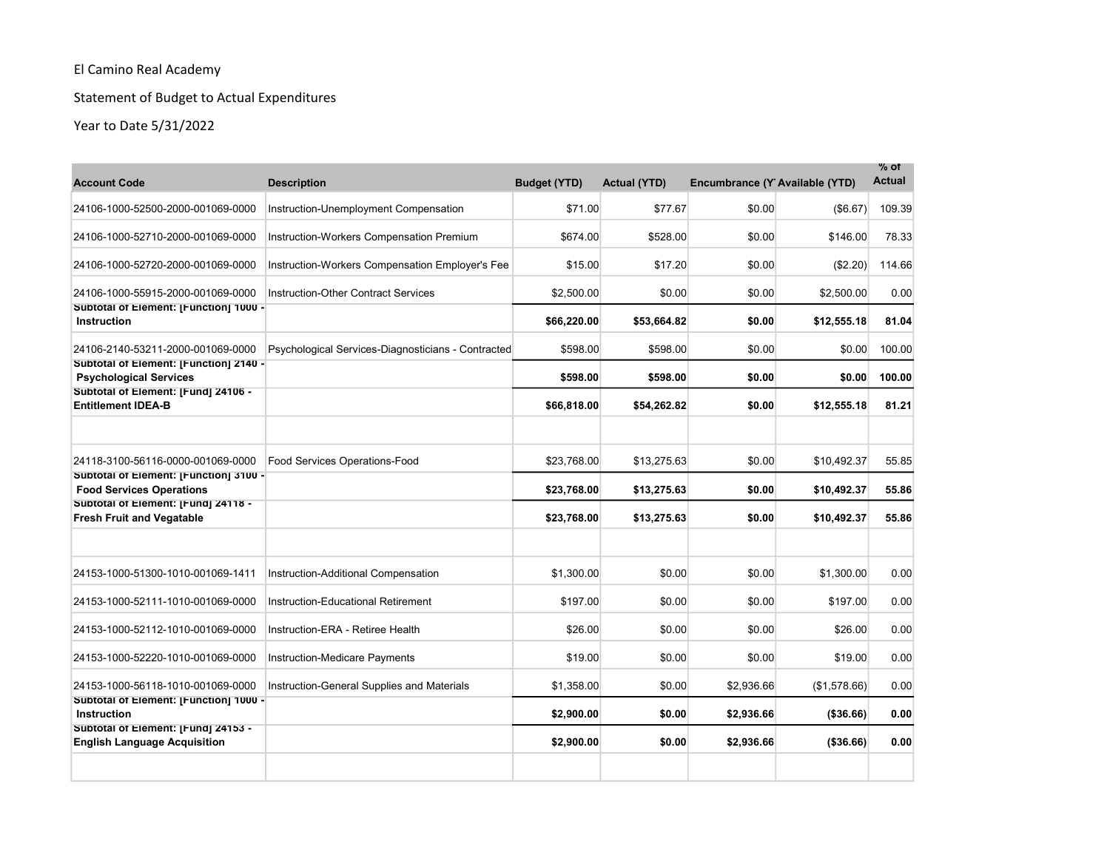# Statement of Budget to Actual Expenditures

| <b>Account Code</b>                                                                                            | <b>Description</b>                                 | <b>Budget (YTD)</b>        | <b>Actual (YTD)</b>        | Encumbrance (Y Available (YTD) |                            | % of<br><b>Actual</b> |
|----------------------------------------------------------------------------------------------------------------|----------------------------------------------------|----------------------------|----------------------------|--------------------------------|----------------------------|-----------------------|
| 24106-1000-52500-2000-001069-0000                                                                              | Instruction-Unemployment Compensation              | \$71.00                    | \$77.67                    | \$0.00                         | (\$6.67)                   | 109.39                |
| 24106-1000-52710-2000-001069-0000                                                                              | Instruction-Workers Compensation Premium           | \$674.00                   | \$528.00                   | \$0.00                         | \$146.00                   | 78.33                 |
| 24106-1000-52720-2000-001069-0000                                                                              | Instruction-Workers Compensation Employer's Fee    | \$15.00                    | \$17.20                    | \$0.00                         | (\$2.20)                   | 114.66                |
| 24106-1000-55915-2000-001069-0000                                                                              | <b>Instruction-Other Contract Services</b>         | \$2,500.00                 | \$0.00                     | \$0.00                         | \$2,500.00                 | 0.00                  |
| Subtotal of Element: [Function] 1000 -<br>Instruction                                                          |                                                    | \$66,220.00                | \$53,664.82                | \$0.00                         | \$12,555.18                | 81.04                 |
| 24106-2140-53211-2000-001069-0000                                                                              | Psychological Services-Diagnosticians - Contracted | \$598.00                   | \$598.00                   | \$0.00                         | \$0.00                     | 100.00                |
| Subtotal of Element: [Function] 2140 -<br><b>Psychological Services</b>                                        |                                                    | \$598.00                   | \$598.00                   | \$0.00                         | \$0.00                     | 100.00                |
| Subtotal of Element: [Fund] 24106 -<br><b>Entitlement IDEA-B</b>                                               |                                                    | \$66,818.00                | \$54,262.82                | \$0.00                         | \$12,555.18                | 81.21                 |
| 24118-3100-56116-0000-001069-0000<br>Subtotal of Element: [Function] 3100 -<br><b>Food Services Operations</b> | Food Services Operations-Food                      | \$23,768.00<br>\$23,768.00 | \$13,275.63<br>\$13,275.63 | \$0.00<br>\$0.00               | \$10,492.37<br>\$10,492.37 | 55.85<br>55.86        |
| Subtotal of Element: [Fund] 24118 -<br><b>Fresh Fruit and Vegatable</b>                                        |                                                    | \$23,768.00                | \$13,275.63                | \$0.00                         | \$10,492.37                | 55.86                 |
| 24153-1000-51300-1010-001069-1411                                                                              | Instruction-Additional Compensation                | \$1,300.00                 | \$0.00                     | \$0.00                         | \$1.300.00                 | 0.00                  |
| 24153-1000-52111-1010-001069-0000                                                                              | <b>Instruction-Educational Retirement</b>          | \$197.00                   | \$0.00                     | \$0.00                         | \$197.00                   | 0.00                  |
| 24153-1000-52112-1010-001069-0000                                                                              | Instruction-ERA - Retiree Health                   | \$26.00                    | \$0.00                     | \$0.00                         | \$26.00                    | 0.00                  |
| 24153-1000-52220-1010-001069-0000                                                                              | Instruction-Medicare Payments                      | \$19.00                    | \$0.00                     | \$0.00                         | \$19.00                    | 0.00                  |
| 24153-1000-56118-1010-001069-0000                                                                              | Instruction-General Supplies and Materials         | \$1,358.00                 | \$0.00                     | \$2,936.66                     | (\$1,578.66)               | 0.00                  |
| Subtotal of Element: [Function] 1000 -<br>Instruction                                                          |                                                    | \$2,900.00                 | \$0.00                     | \$2,936.66                     | ( \$36.66)                 | 0.00                  |
| Subtotal of Element: [Fund] 24153 -<br><b>English Language Acquisition</b>                                     |                                                    | \$2,900.00                 | \$0.00                     | \$2,936.66                     | (\$36.66)                  | 0.00                  |
|                                                                                                                |                                                    |                            |                            |                                |                            |                       |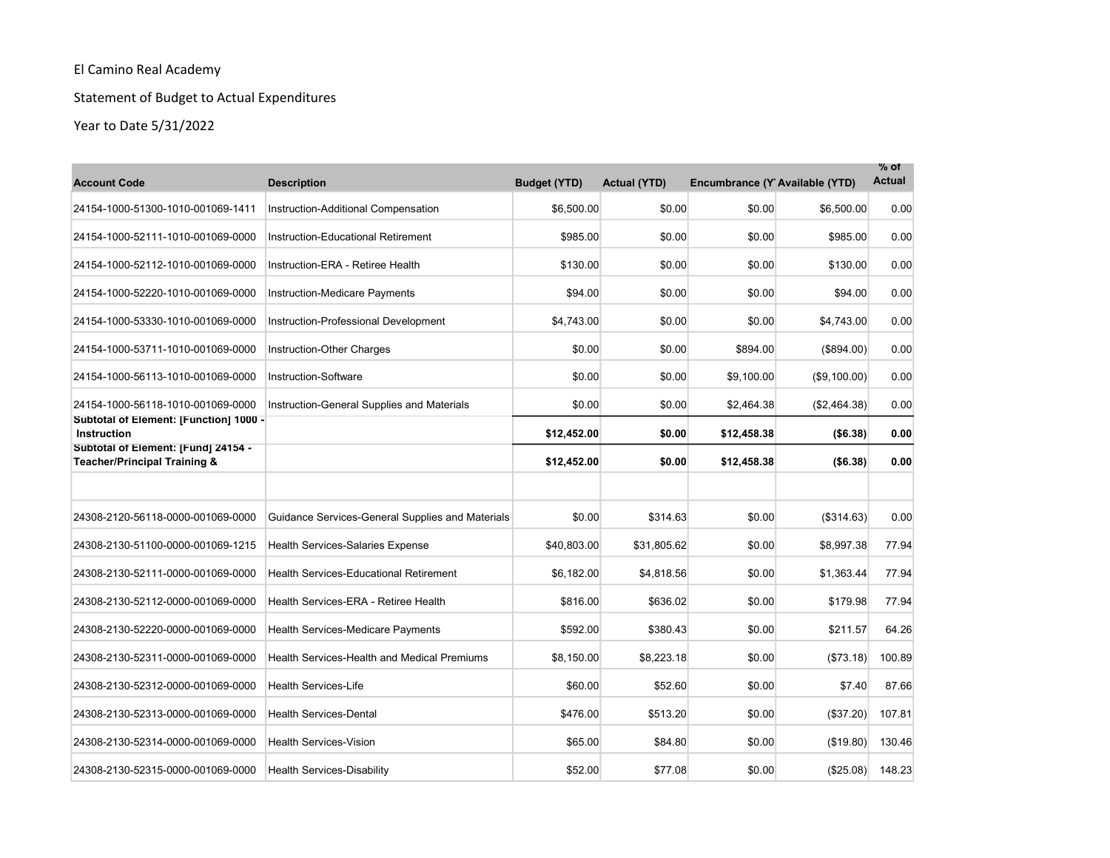# Statement of Budget to Actual Expenditures

| <b>Account Code</b>                                                 | <b>Description</b>                                 | <b>Budget (YTD)</b> | <b>Actual (YTD)</b> | Encumbrance (Y Available (YTD) |              | $%$ of<br><b>Actual</b> |
|---------------------------------------------------------------------|----------------------------------------------------|---------------------|---------------------|--------------------------------|--------------|-------------------------|
| 24154-1000-51300-1010-001069-1411                                   | Instruction-Additional Compensation                | \$6,500.00          | \$0.00              | \$0.00                         | \$6,500.00   | 0.00                    |
| 24154-1000-52111-1010-001069-0000                                   | Instruction-Educational Retirement                 | \$985.00            | \$0.00              | \$0.00                         | \$985.00     | 0.00                    |
| 24154-1000-52112-1010-001069-0000                                   | Instruction-ERA - Retiree Health                   | \$130.00            | \$0.00              | \$0.00                         | \$130.00     | 0.00                    |
| 24154-1000-52220-1010-001069-0000                                   | <b>Instruction-Medicare Payments</b>               | \$94.00             | \$0.00              | \$0.00                         | \$94.00      | 0.00                    |
| 24154-1000-53330-1010-001069-0000                                   | Instruction-Professional Development               | \$4,743.00          | \$0.00              | \$0.00                         | \$4,743.00   | 0.00                    |
| 24154-1000-53711-1010-001069-0000                                   | Instruction-Other Charges                          | \$0.00              | \$0.00              | \$894.00                       | (\$894.00)   | 0.00                    |
| 24154-1000-56113-1010-001069-0000                                   | Instruction-Software                               | \$0.00              | \$0.00              | \$9,100.00                     | (S9, 100.00) | 0.00                    |
| 24154-1000-56118-1010-001069-0000                                   | Instruction-General Supplies and Materials         | \$0.00              | \$0.00              | \$2,464.38                     | (\$2,464.38) | 0.00                    |
| Subtotal of Element: [Function] 1000 -<br><b>Instruction</b>        |                                                    | \$12,452.00         | \$0.00              | \$12,458.38                    | ( \$6.38)    | 0.00                    |
| Subtotal of Element: [Fund] 24154 -<br>Teacher/Principal Training & |                                                    | \$12,452.00         | \$0.00              | \$12,458.38                    | ( \$6.38)    | 0.00                    |
| 24308-2120-56118-0000-001069-0000                                   | Guidance Services-General Supplies and Materials   | \$0.00              | \$314.63            | \$0.00                         | ( \$314.63)  | 0.00                    |
| 24308-2130-51100-0000-001069-1215                                   | <b>Health Services-Salaries Expense</b>            | \$40,803.00         | \$31,805.62         | \$0.00                         | \$8,997.38   | 77.94                   |
| 24308-2130-52111-0000-001069-0000                                   | <b>Health Services-Educational Retirement</b>      | \$6,182.00          | \$4,818.56          | \$0.00                         | \$1,363.44   | 77.94                   |
| 24308-2130-52112-0000-001069-0000                                   | Health Services-ERA - Retiree Health               | \$816.00            | \$636.02            | \$0.00                         | \$179.98     | 77.94                   |
| 24308-2130-52220-0000-001069-0000                                   | <b>Health Services-Medicare Payments</b>           | \$592.00            | \$380.43            | \$0.00                         | \$211.57     | 64.26                   |
| 24308-2130-52311-0000-001069-0000                                   | <b>Health Services-Health and Medical Premiums</b> | \$8,150.00          | \$8,223.18          | \$0.00                         | (\$73.18)    | 100.89                  |
| 24308-2130-52312-0000-001069-0000                                   | <b>Health Services-Life</b>                        | \$60.00             | \$52.60             | \$0.00                         | \$7.40       | 87.66                   |
| 24308-2130-52313-0000-001069-0000                                   | <b>Health Services-Dental</b>                      | \$476.00            | \$513.20            | \$0.00                         | (\$37.20)    | 107.81                  |
| 24308-2130-52314-0000-001069-0000                                   | <b>Health Services-Vision</b>                      | \$65.00             | \$84.80             | \$0.00                         | (\$19.80)    | 130.46                  |
| 24308-2130-52315-0000-001069-0000                                   | <b>Health Services-Disability</b>                  | \$52.00             | \$77.08             | \$0.00                         | (\$25.08)    | 148.23                  |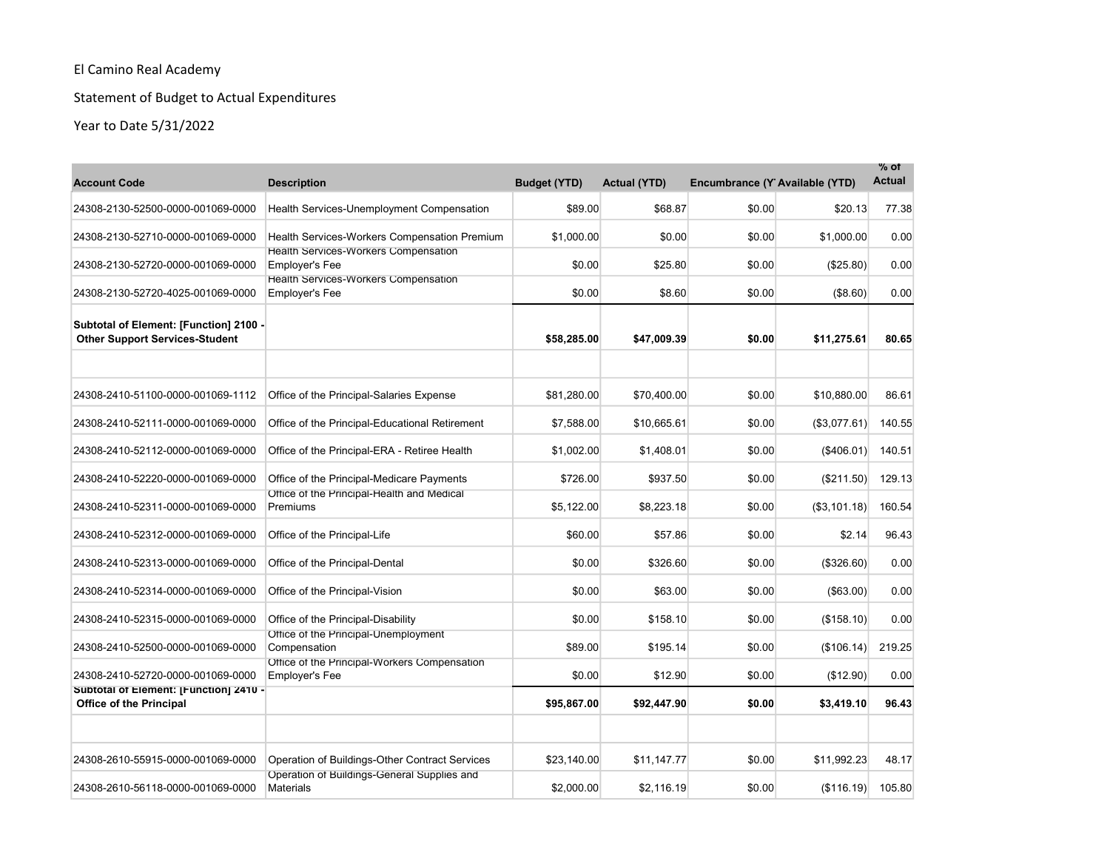# Statement of Budget to Actual Expenditures

| <b>Account Code</b>                                                             | <b>Description</b>                                                    | <b>Budget (YTD)</b> | <b>Actual (YTD)</b> | Encumbrance (Y Available (YTD) |                  | $%$ of<br><b>Actual</b> |
|---------------------------------------------------------------------------------|-----------------------------------------------------------------------|---------------------|---------------------|--------------------------------|------------------|-------------------------|
| 24308-2130-52500-0000-001069-0000                                               | Health Services-Unemployment Compensation                             | \$89.00             | \$68.87             | \$0.00                         | \$20.13          | 77.38                   |
| 24308-2130-52710-0000-001069-0000                                               | Health Services-Workers Compensation Premium                          | \$1,000.00          | \$0.00              | \$0.00                         | \$1,000.00       | 0.00                    |
| 24308-2130-52720-0000-001069-0000                                               | Health Services-Workers Compensation<br><b>Employer's Fee</b>         | \$0.00              | \$25.80             | \$0.00                         | (\$25.80)        | 0.00                    |
| 24308-2130-52720-4025-001069-0000                                               | Health Services-Workers Compensation<br><b>Employer's Fee</b>         | \$0.00              | \$8.60              | \$0.00                         | (\$8.60)         | 0.00                    |
| Subtotal of Element: [Function] 2100 -<br><b>Other Support Services-Student</b> |                                                                       | \$58,285.00         | \$47,009.39         | \$0.00                         | \$11,275.61      | 80.65                   |
|                                                                                 |                                                                       |                     |                     |                                |                  |                         |
| 24308-2410-51100-0000-001069-1112                                               | Office of the Principal-Salaries Expense                              | \$81,280.00         | \$70,400.00         | \$0.00                         | \$10,880.00      | 86.61                   |
| 24308-2410-52111-0000-001069-0000                                               | Office of the Principal-Educational Retirement                        | \$7,588.00          | \$10,665.61         | \$0.00                         | (\$3,077.61)     | 140.55                  |
| 24308-2410-52112-0000-001069-0000                                               | Office of the Principal-ERA - Retiree Health                          | \$1,002.00          | \$1.408.01          | \$0.00                         | (\$406.01)       | 140.51                  |
| 24308-2410-52220-0000-001069-0000                                               | Office of the Principal-Medicare Payments                             | \$726.00            | \$937.50            | \$0.00                         | (\$211.50)       | 129.13                  |
| 24308-2410-52311-0000-001069-0000                                               | Office of the Principal-Health and Medical<br>Premiums                | \$5,122.00          | \$8,223.18          | \$0.00                         | ( \$3, 101.18)   | 160.54                  |
| 24308-2410-52312-0000-001069-0000                                               | Office of the Principal-Life                                          | \$60.00             | \$57.86             | \$0.00                         | \$2.14           | 96.43                   |
| 24308-2410-52313-0000-001069-0000                                               | Office of the Principal-Dental                                        | \$0.00              | \$326.60            | \$0.00                         | (\$326.60)       | 0.00                    |
| 24308-2410-52314-0000-001069-0000                                               | Office of the Principal-Vision                                        | \$0.00              | \$63.00             | \$0.00                         | $($ \$63.00) $ $ | 0.00                    |
| 24308-2410-52315-0000-001069-0000                                               | Office of the Principal-Disability                                    | \$0.00              | \$158.10            | \$0.00                         | (\$158.10)       | 0.00                    |
| 24308-2410-52500-0000-001069-0000                                               | Office of the Principal-Unemployment<br>Compensation                  | \$89.00             | \$195.14            | \$0.00                         | (\$106.14)       | 219.25                  |
| 24308-2410-52720-0000-001069-0000                                               | Office of the Principal-Workers Compensation<br><b>Employer's Fee</b> | \$0.00              | \$12.90             | \$0.00                         | (\$12.90)        | 0.00                    |
| Subtotal of Element: [Function] 2410 -<br><b>Office of the Principal</b>        |                                                                       | \$95,867.00         | \$92,447.90         | \$0.00                         | \$3,419.10       | 96.43                   |
| 24308-2610-55915-0000-001069-0000                                               | Operation of Buildings-Other Contract Services                        | \$23,140.00         | \$11,147.77         | \$0.00                         | \$11.992.23      | 48.17                   |
| 24308-2610-56118-0000-001069-0000                                               | Operation of Buildings-General Supplies and<br><b>Materials</b>       | \$2,000.00          | \$2.116.19          | \$0.00                         | (\$116.19)       | 105.80                  |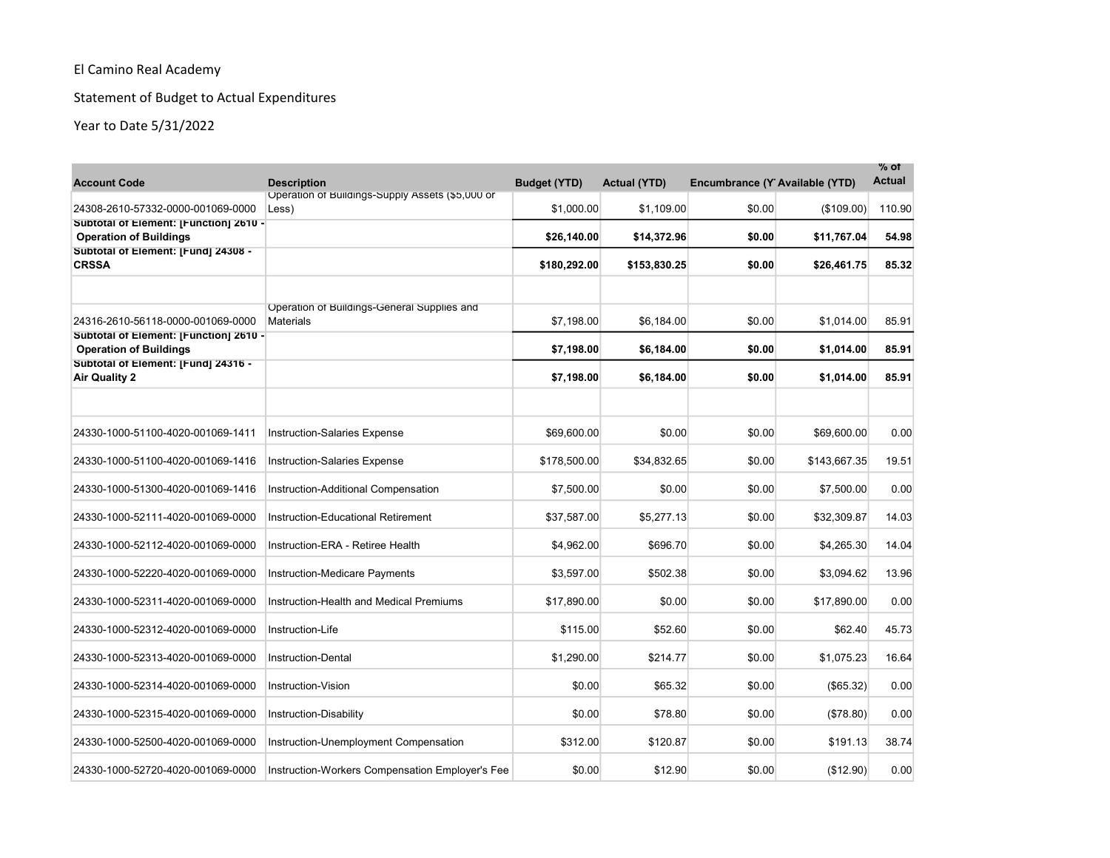# Statement of Budget to Actual Expenditures

| <b>Account Code</b>                                                         | <b>Description</b>                                        | <b>Budget (YTD)</b> | <b>Actual (YTD)</b> | Encumbrance (Y Available (YTD) |              | % of<br><b>Actual</b> |
|-----------------------------------------------------------------------------|-----------------------------------------------------------|---------------------|---------------------|--------------------------------|--------------|-----------------------|
| 24308-2610-57332-0000-001069-0000                                           | Operation of Buildings-Supply Assets (\$5,000 or<br>Less) | \$1,000.00          | \$1,109.00          | \$0.00                         | (\$109.00)   | 110.90                |
| Subtotal of Element: [Function] 2610 -                                      |                                                           |                     |                     |                                |              |                       |
| <b>Operation of Buildings</b><br>Subtotal of Element: [Fund] 24308 -        |                                                           | \$26,140.00         | \$14,372.96         | \$0.00                         | \$11,767.04  | 54.98                 |
| <b>CRSSA</b>                                                                |                                                           | \$180,292.00        | \$153,830.25        | \$0.00                         | \$26,461.75  | 85.32                 |
|                                                                             |                                                           |                     |                     |                                |              |                       |
|                                                                             | Operation of Buildings-General Supplies and               |                     |                     |                                |              |                       |
| 24316-2610-56118-0000-001069-0000<br>Subtotal of Element: [Function] 2610 - | <b>Materials</b>                                          | \$7,198.00          | \$6,184.00          | \$0.00                         | \$1,014.00   | 85.91                 |
| <b>Operation of Buildings</b>                                               |                                                           | \$7,198.00          | \$6,184.00          | \$0.00                         | \$1,014.00   | 85.91                 |
| Subtotal of Element: [Fund] 24316 -<br><b>Air Quality 2</b>                 |                                                           | \$7,198.00          | \$6,184.00          | \$0.00                         | \$1,014.00   | 85.91                 |
|                                                                             |                                                           |                     |                     |                                |              |                       |
| 24330-1000-51100-4020-001069-1411                                           | <b>Instruction-Salaries Expense</b>                       | \$69,600.00         | \$0.00              | \$0.00                         | \$69,600.00  | 0.00                  |
| 24330-1000-51100-4020-001069-1416                                           | <b>Instruction-Salaries Expense</b>                       | \$178,500.00        | \$34,832.65         | \$0.00                         | \$143,667.35 | 19.51                 |
| 24330-1000-51300-4020-001069-1416                                           | Instruction-Additional Compensation                       | \$7.500.00          | \$0.00              | \$0.00                         | \$7,500.00   | 0.00                  |
| 24330-1000-52111-4020-001069-0000                                           | <b>Instruction-Educational Retirement</b>                 | \$37,587.00         | \$5,277.13          | \$0.00                         | \$32,309.87  | 14.03                 |
| 24330-1000-52112-4020-001069-0000                                           | Instruction-ERA - Retiree Health                          | \$4,962.00          | \$696.70            | \$0.00                         | \$4,265.30   | 14.04                 |
| 24330-1000-52220-4020-001069-0000                                           | <b>Instruction-Medicare Payments</b>                      | \$3,597.00          | \$502.38            | \$0.00                         | \$3,094.62   | 13.96                 |
| 24330-1000-52311-4020-001069-0000                                           | Instruction-Health and Medical Premiums                   | \$17,890.00         | \$0.00              | \$0.00                         | \$17,890.00  | 0.00                  |
| 24330-1000-52312-4020-001069-0000                                           | Instruction-Life                                          | \$115.00            | \$52.60             | \$0.00                         | \$62.40      | 45.73                 |
| 24330-1000-52313-4020-001069-0000                                           | <b>Instruction-Dental</b>                                 | \$1,290.00          | \$214.77            | \$0.00                         | \$1,075.23   | 16.64                 |
| 24330-1000-52314-4020-001069-0000                                           | Instruction-Vision                                        | \$0.00              | \$65.32             | \$0.00                         | (\$65.32)    | 0.00                  |
| 24330-1000-52315-4020-001069-0000                                           | Instruction-Disability                                    | \$0.00              | \$78.80             | \$0.00                         | (\$78.80)    | 0.00                  |
| 24330-1000-52500-4020-001069-0000                                           | Instruction-Unemployment Compensation                     | \$312.00            | \$120.87            | \$0.00                         | \$191.13     | 38.74                 |
| 24330-1000-52720-4020-001069-0000                                           | Instruction-Workers Compensation Employer's Fee           | \$0.00              | \$12.90             | \$0.00                         | (\$12.90)    | 0.00                  |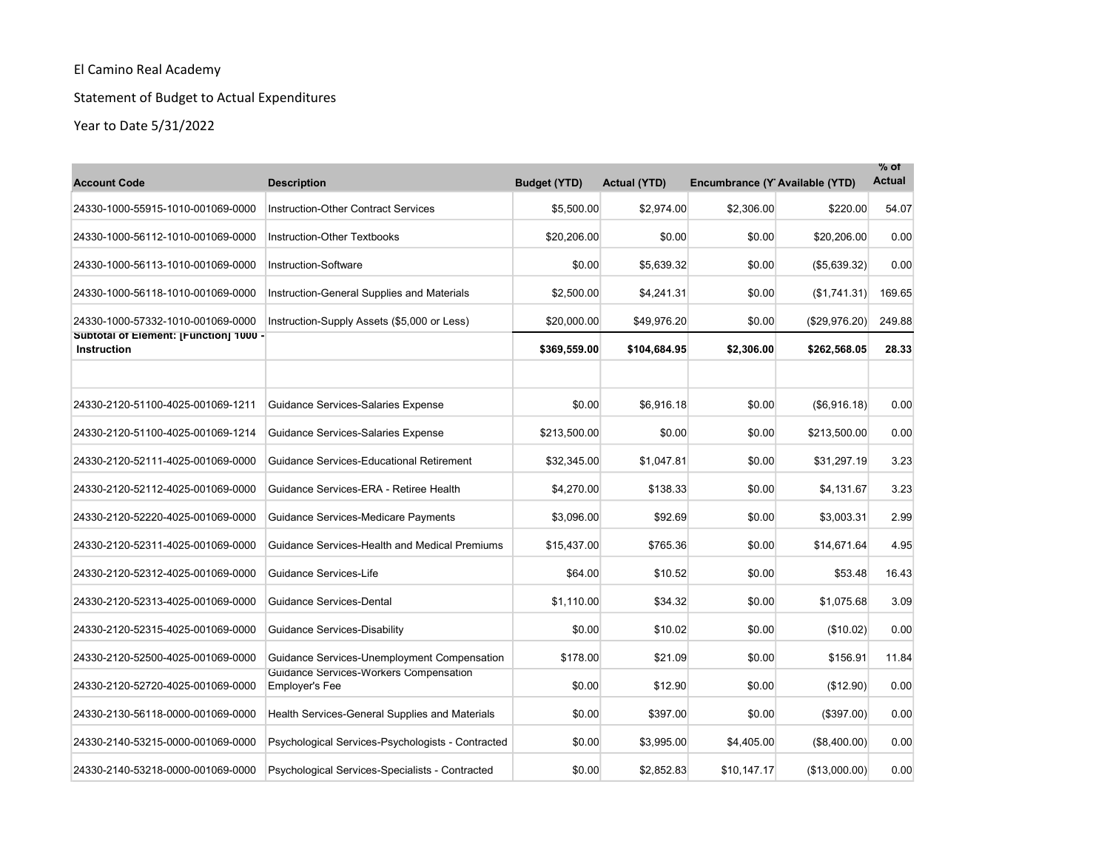# Statement of Budget to Actual Expenditures

| <b>Account Code</b>                                          | <b>Description</b>                                       | <b>Budget (YTD)</b> | <b>Actual (YTD)</b> | Encumbrance (Y Available (YTD) |                     | $%$ of<br><b>Actual</b> |
|--------------------------------------------------------------|----------------------------------------------------------|---------------------|---------------------|--------------------------------|---------------------|-------------------------|
| 24330-1000-55915-1010-001069-0000                            | <b>Instruction-Other Contract Services</b>               | \$5.500.00          | \$2.974.00          | \$2,306.00                     | \$220.00            | 54.07                   |
| 24330-1000-56112-1010-001069-0000                            | Instruction-Other Textbooks                              | \$20,206.00         | \$0.00              | \$0.00                         | \$20,206.00         | 0.00                    |
| 24330-1000-56113-1010-001069-0000                            | Instruction-Software                                     | \$0.00              | \$5,639.32          | \$0.00                         | (\$5,639.32)        | 0.00                    |
| 24330-1000-56118-1010-001069-0000                            | Instruction-General Supplies and Materials               | \$2,500.00          | \$4,241.31          | \$0.00                         | (\$1,741.31)        | 169.65                  |
| 24330-1000-57332-1010-001069-0000                            | Instruction-Supply Assets (\$5,000 or Less)              | \$20,000.00         | \$49,976.20         | \$0.00                         | (\$29,976.20)       | 249.88                  |
| Subtotal of Element: [Function] 1000 -<br><b>Instruction</b> |                                                          | \$369,559.00        | \$104,684.95        | \$2,306.00                     | \$262,568.05        | 28.33                   |
| 24330-2120-51100-4025-001069-1211                            | Guidance Services-Salaries Expense                       | \$0.00              | \$6,916.18          | \$0.00                         | $($ \$6,916.18) $ $ | 0.00                    |
| 24330-2120-51100-4025-001069-1214                            | Guidance Services-Salaries Expense                       | \$213,500.00        | \$0.00              | \$0.00                         | \$213,500.00        | 0.00                    |
| 24330-2120-52111-4025-001069-0000                            | <b>Guidance Services-Educational Retirement</b>          | \$32,345.00         | \$1,047.81          | \$0.00                         | \$31,297.19         | 3.23                    |
| 24330-2120-52112-4025-001069-0000                            | Guidance Services-ERA - Retiree Health                   | \$4,270.00          | \$138.33            | \$0.00                         | \$4,131.67          | 3.23                    |
| 24330-2120-52220-4025-001069-0000                            | Guidance Services-Medicare Payments                      | \$3,096.00          | \$92.69             | \$0.00                         | \$3,003.31          | 2.99                    |
| 24330-2120-52311-4025-001069-0000                            | Guidance Services-Health and Medical Premiums            | \$15,437.00         | \$765.36            | \$0.00                         | \$14,671.64         | 4.95                    |
| 24330-2120-52312-4025-001069-0000                            | Guidance Services-Life                                   | \$64.00             | \$10.52             | \$0.00                         | \$53.48             | 16.43                   |
| 24330-2120-52313-4025-001069-0000                            | Guidance Services-Dental                                 | \$1,110.00          | \$34.32             | \$0.00                         | \$1,075.68          | 3.09                    |
| 24330-2120-52315-4025-001069-0000                            | Guidance Services-Disability                             | \$0.00              | \$10.02             | \$0.00                         | (\$10.02)           | 0.00                    |
| 24330-2120-52500-4025-001069-0000                            | Guidance Services-Unemployment Compensation              | \$178.00            | \$21.09             | \$0.00                         | \$156.91            | 11.84                   |
| 24330-2120-52720-4025-001069-0000                            | Guidance Services-Workers Compensation<br>Employer's Fee | \$0.00              | \$12.90             | \$0.00                         | (\$12.90)           | 0.00                    |
| 24330-2130-56118-0000-001069-0000                            | Health Services-General Supplies and Materials           | \$0.00              | \$397.00            | \$0.00                         | (\$397.00)          | 0.00                    |
| 24330-2140-53215-0000-001069-0000                            | Psychological Services-Psychologists - Contracted        | \$0.00              | \$3,995.00          | \$4,405.00                     | (\$8,400.00)        | 0.00                    |
| 24330-2140-53218-0000-001069-0000                            | Psychological Services-Specialists - Contracted          | \$0.00              | \$2,852.83          | \$10,147.17                    | (\$13,000.00)       | 0.00                    |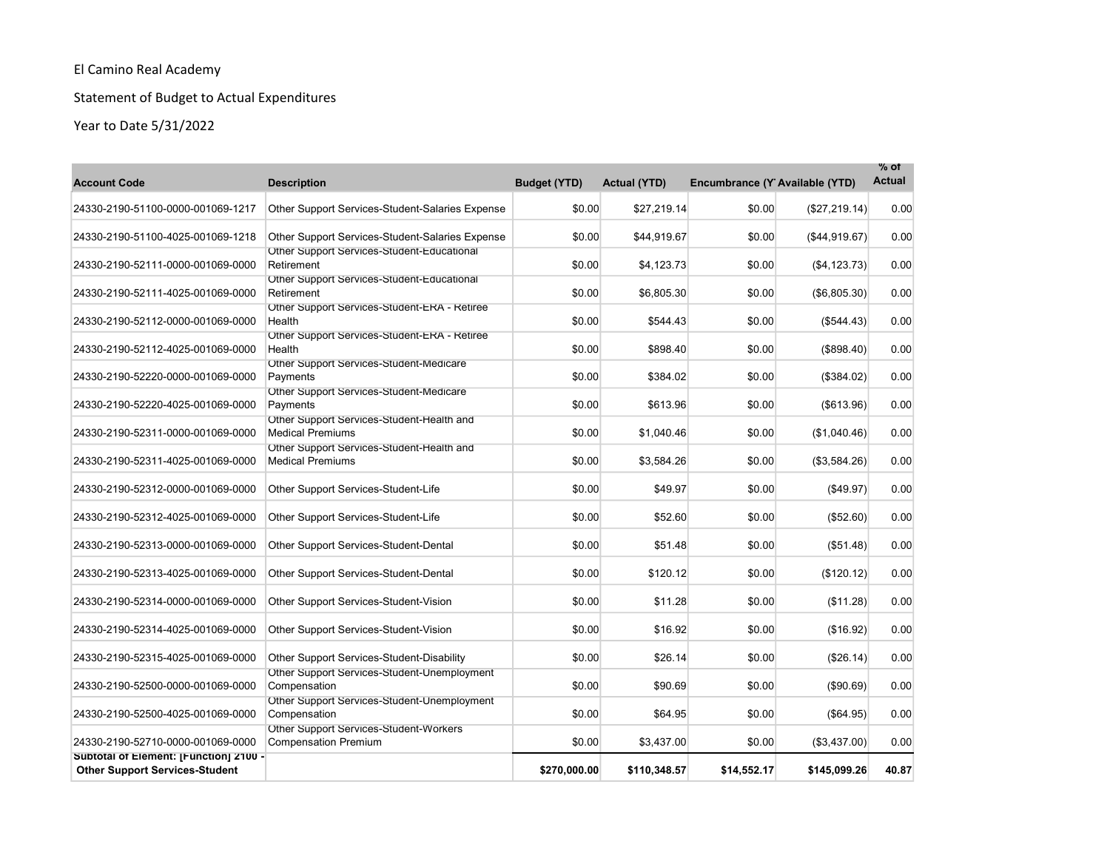# Statement of Budget to Actual Expenditures

| <b>Account Code</b>                                                             | <b>Description</b>                                                    | <b>Budget (YTD)</b> | <b>Actual (YTD)</b> | Encumbrance (Y Available (YTD) |               | $\%$ of<br><b>Actual</b> |
|---------------------------------------------------------------------------------|-----------------------------------------------------------------------|---------------------|---------------------|--------------------------------|---------------|--------------------------|
| 24330-2190-51100-0000-001069-1217                                               | Other Support Services-Student-Salaries Expense                       | \$0.00              | \$27,219.14         | \$0.00                         | (\$27,219.14) | 0.00                     |
| 24330-2190-51100-4025-001069-1218                                               | Other Support Services-Student-Salaries Expense                       | \$0.00              | \$44,919.67         | \$0.00                         | (\$44,919.67) | 0.00                     |
| 24330-2190-52111-0000-001069-0000                                               | Other Support Services-Student-Educational<br>Retirement              | \$0.00              | \$4,123.73          | \$0.00                         | (\$4, 123.73) | 0.00                     |
| 24330-2190-52111-4025-001069-0000                                               | Other Support Services-Student-Educational<br>Retirement              | \$0.00              | \$6,805.30          | \$0.00                         | (\$6,805.30)  | 0.00                     |
| 24330-2190-52112-0000-001069-0000                                               | Other Support Services-Student-ERA - Retiree<br>Health                | \$0.00              | \$544.43            | \$0.00                         | (\$544.43)    | 0.00                     |
| 24330-2190-52112-4025-001069-0000                                               | Other Support Services-Student-ERA - Retiree<br>Health                | \$0.00              | \$898.40            | \$0.00                         | (\$898.40)    | 0.00                     |
| 24330-2190-52220-0000-001069-0000                                               | Other Support Services-Student-Medicare<br>Payments                   | \$0.00              | \$384.02            | \$0.00                         | (\$384.02)    | 0.00                     |
| 24330-2190-52220-4025-001069-0000                                               | Other Support Services-Student-Medicare<br>Payments                   | \$0.00              | \$613.96            | \$0.00                         | ( \$613.96)   | 0.00                     |
| 24330-2190-52311-0000-001069-0000                                               | Other Support Services-Student-Health and<br><b>Medical Premiums</b>  | \$0.00              | \$1,040.46          | \$0.00                         | (\$1,040.46)  | 0.00                     |
| 24330-2190-52311-4025-001069-0000                                               | Other Support Services-Student-Health and<br><b>Medical Premiums</b>  | \$0.00              | \$3,584.26          | \$0.00                         | (\$3,584.26)  | 0.00                     |
| 24330-2190-52312-0000-001069-0000                                               | Other Support Services-Student-Life                                   | \$0.00              | \$49.97             | \$0.00                         | ( \$49.97)    | 0.00                     |
| 24330-2190-52312-4025-001069-0000                                               | Other Support Services-Student-Life                                   | \$0.00              | \$52.60             | \$0.00                         | (\$52.60)     | 0.00                     |
| 24330-2190-52313-0000-001069-0000                                               | Other Support Services-Student-Dental                                 | \$0.00              | \$51.48             | \$0.00                         | (\$51.48)     | 0.00                     |
| 24330-2190-52313-4025-001069-0000                                               | Other Support Services-Student-Dental                                 | \$0.00              | \$120.12            | \$0.00                         | (\$120.12)    | 0.00                     |
| 24330-2190-52314-0000-001069-0000                                               | Other Support Services-Student-Vision                                 | \$0.00              | \$11.28             | \$0.00                         | (\$11.28)     | 0.00                     |
| 24330-2190-52314-4025-001069-0000                                               | Other Support Services-Student-Vision                                 | \$0.00              | \$16.92             | \$0.00                         | (\$16.92)     | 0.00                     |
| 24330-2190-52315-4025-001069-0000                                               | Other Support Services-Student-Disability                             | \$0.00              | \$26.14             | \$0.00                         | (\$26.14)     | 0.00                     |
| 24330-2190-52500-0000-001069-0000                                               | Other Support Services-Student-Unemployment<br>Compensation           | \$0.00              | \$90.69             | \$0.00                         | (\$90.69)     | 0.00                     |
| 24330-2190-52500-4025-001069-0000                                               | Other Support Services-Student-Unemployment<br>Compensation           | \$0.00              | \$64.95             | \$0.00                         | (\$64.95)     | 0.00                     |
| 24330-2190-52710-0000-001069-0000                                               | Other Support Services-Student-Workers<br><b>Compensation Premium</b> | \$0.00              | \$3,437.00          | \$0.00                         | (\$3,437.00)  | 0.00                     |
| Subtotal of Element: [Function] 2100 -<br><b>Other Support Services-Student</b> |                                                                       | \$270,000.00        | \$110,348.57        | \$14,552.17                    | \$145,099.26  | 40.87                    |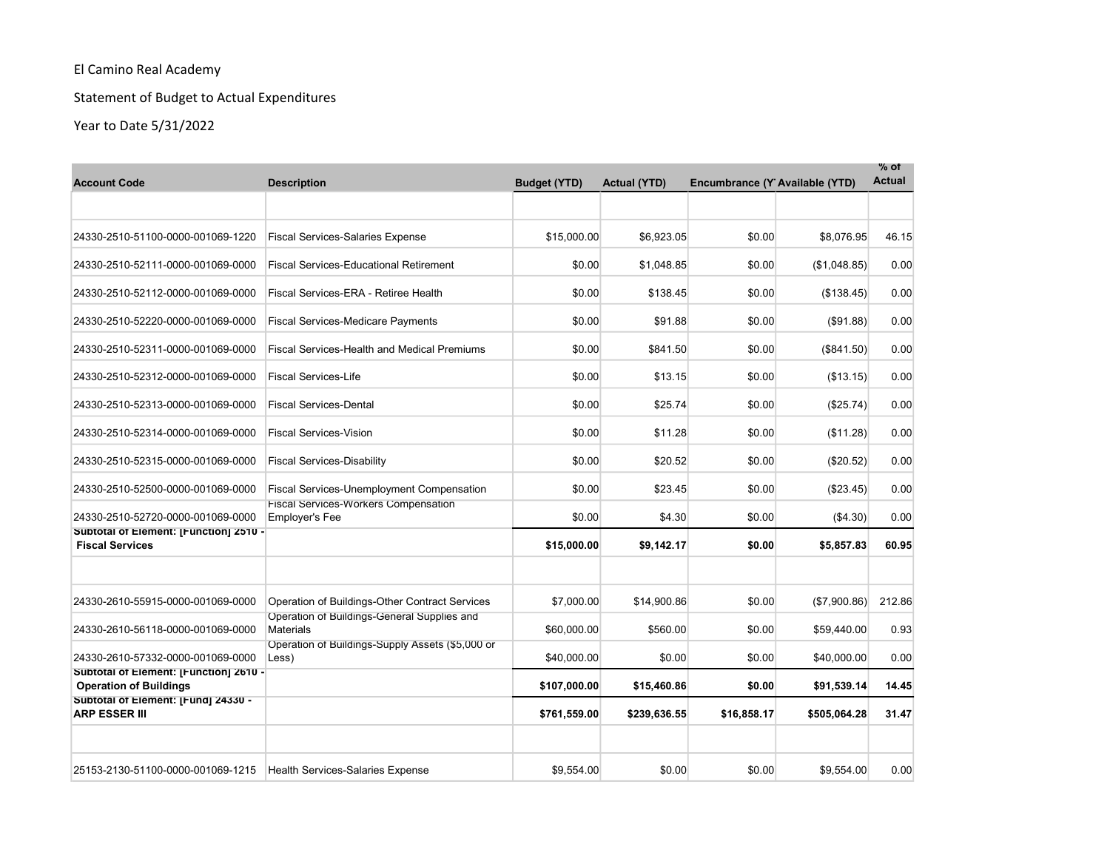# Statement of Budget to Actual Expenditures

| <b>Account Code</b>                                                     | <b>Description</b>                                                   | <b>Budget (YTD)</b> | <b>Actual (YTD)</b> | Encumbrance (Y Available (YTD) |              | $\%$ of<br><b>Actual</b> |
|-------------------------------------------------------------------------|----------------------------------------------------------------------|---------------------|---------------------|--------------------------------|--------------|--------------------------|
|                                                                         |                                                                      |                     |                     |                                |              |                          |
| 24330-2510-51100-0000-001069-1220                                       | <b>Fiscal Services-Salaries Expense</b>                              | \$15,000.00         | \$6.923.05          | \$0.00                         | \$8.076.95   | 46.15                    |
| 24330-2510-52111-0000-001069-0000                                       | <b>Fiscal Services-Educational Retirement</b>                        | \$0.00              | \$1,048.85          | \$0.00                         | (\$1,048.85) | 0.00                     |
| 24330-2510-52112-0000-001069-0000                                       | Fiscal Services-ERA - Retiree Health                                 | \$0.00              | \$138.45            | \$0.00                         | (\$138.45)   | 0.00                     |
| 24330-2510-52220-0000-001069-0000                                       | <b>Fiscal Services-Medicare Payments</b>                             | \$0.00              | \$91.88             | \$0.00                         | (S91.88)     | 0.00                     |
| 24330-2510-52311-0000-001069-0000                                       | <b>Fiscal Services-Health and Medical Premiums</b>                   | \$0.00              | \$841.50            | \$0.00                         | (\$841.50)   | 0.00                     |
| 24330-2510-52312-0000-001069-0000                                       | <b>Fiscal Services-Life</b>                                          | \$0.00              | \$13.15             | \$0.00                         | (\$13.15)    | 0.00                     |
| 24330-2510-52313-0000-001069-0000                                       | <b>Fiscal Services-Dental</b>                                        | \$0.00              | \$25.74             | \$0.00                         | (\$25.74)    | 0.00                     |
| 24330-2510-52314-0000-001069-0000                                       | <b>Fiscal Services-Vision</b>                                        | \$0.00              | \$11.28             | \$0.00                         | (S11.28)     | 0.00                     |
| 24330-2510-52315-0000-001069-0000                                       | <b>Fiscal Services-Disability</b>                                    | \$0.00              | \$20.52             | \$0.00                         | $(\$20.52)$  | 0.00                     |
| 24330-2510-52500-0000-001069-0000                                       | Fiscal Services-Unemployment Compensation                            | \$0.00              | \$23.45             | \$0.00                         | (\$23.45)    | 0.00                     |
| 24330-2510-52720-0000-001069-0000                                       | <b>Fiscal Services-Workers Compensation</b><br><b>Employer's Fee</b> | \$0.00              | \$4.30              | \$0.00                         | ( \$4.30)    | 0.00                     |
| Subtotal of Element: [Function] 2510 -<br><b>Fiscal Services</b>        |                                                                      | \$15,000.00         | \$9,142.17          | \$0.00                         | \$5,857.83   | 60.95                    |
| 24330-2610-55915-0000-001069-0000                                       | Operation of Buildings-Other Contract Services                       | \$7,000.00          | \$14,900.86         | \$0.00                         | (\$7,900.86) | 212.86                   |
|                                                                         | Operation of Buildings-General Supplies and                          |                     |                     |                                |              |                          |
| 24330-2610-56118-0000-001069-0000                                       | <b>Materials</b><br>Operation of Buildings-Supply Assets (\$5,000 or | \$60,000.00         | \$560.00            | \$0.00                         | \$59.440.00  | 0.93                     |
| 24330-2610-57332-0000-001069-0000                                       | Less)                                                                | \$40,000.00         | \$0.00              | \$0.00                         | \$40,000.00  | 0.00                     |
| Subtotal of Element: [Function] 2610 -<br><b>Operation of Buildings</b> |                                                                      | \$107,000.00        | \$15,460.86         | \$0.00                         | \$91,539.14  | 14.45                    |
| Subtotal of Element: [Fund] 24330 -<br><b>ARP ESSER III</b>             |                                                                      | \$761,559.00        | \$239,636.55        | \$16,858.17                    | \$505,064.28 | 31.47                    |
| 25153-2130-51100-0000-001069-1215                                       | Health Services-Salaries Expense                                     | \$9,554.00          | \$0.00              | \$0.00                         | \$9,554.00   | 0.00                     |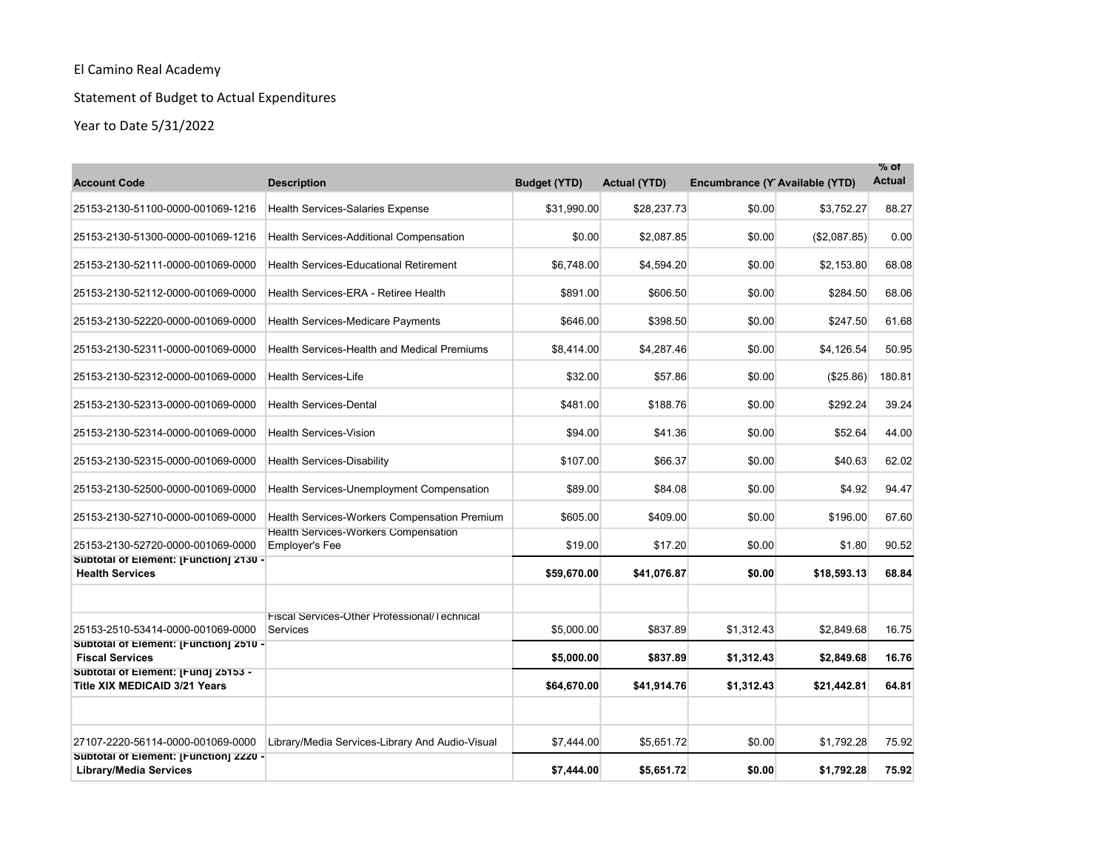# Statement of Budget to Actual Expenditures

| <b>Account Code</b>                                                         | <b>Description</b>                                              | <b>Budget (YTD)</b> | <b>Actual (YTD)</b> | Encumbrance (Y Available (YTD) |              | $%$ of<br><b>Actual</b> |
|-----------------------------------------------------------------------------|-----------------------------------------------------------------|---------------------|---------------------|--------------------------------|--------------|-------------------------|
| 25153-2130-51100-0000-001069-1216                                           | <b>Health Services-Salaries Expense</b>                         | \$31.990.00         | \$28.237.73         | \$0.00                         | \$3.752.27   | 88.27                   |
| 25153-2130-51300-0000-001069-1216                                           | <b>Health Services-Additional Compensation</b>                  | \$0.00              | \$2,087.85          | \$0.00                         | (\$2,087.85) | 0.00                    |
| 25153-2130-52111-0000-001069-0000                                           | <b>Health Services-Educational Retirement</b>                   | \$6,748.00          | \$4,594.20          | \$0.00                         | \$2,153.80   | 68.08                   |
| 25153-2130-52112-0000-001069-0000                                           | Health Services-ERA - Retiree Health                            | \$891.00            | \$606.50            | \$0.00                         | \$284.50     | 68.06                   |
| 25153-2130-52220-0000-001069-0000                                           | <b>Health Services-Medicare Payments</b>                        | \$646.00            | \$398.50            | \$0.00                         | \$247.50     | 61.68                   |
| 25153-2130-52311-0000-001069-0000                                           | Health Services-Health and Medical Premiums                     | \$8,414.00          | \$4,287.46          | \$0.00                         | \$4,126.54   | 50.95                   |
| 25153-2130-52312-0000-001069-0000                                           | <b>Health Services-Life</b>                                     | \$32.00             | \$57.86             | \$0.00                         | (\$25.86)    | 180.81                  |
| 25153-2130-52313-0000-001069-0000                                           | <b>Health Services-Dental</b>                                   | \$481.00            | \$188.76            | \$0.00                         | \$292.24     | 39.24                   |
| 25153-2130-52314-0000-001069-0000                                           | <b>Health Services-Vision</b>                                   | \$94.00             | \$41.36             | \$0.00                         | \$52.64      | 44.00                   |
| 25153-2130-52315-0000-001069-0000                                           | <b>Health Services-Disability</b>                               | \$107.00            | \$66.37             | \$0.00                         | \$40.63      | 62.02                   |
| 25153-2130-52500-0000-001069-0000                                           | Health Services-Unemployment Compensation                       | \$89.00             | \$84.08             | \$0.00                         | \$4.92       | 94.47                   |
| 25153-2130-52710-0000-001069-0000                                           | <b>Health Services-Workers Compensation Premium</b>             | \$605.00            | \$409.00            | \$0.00                         | \$196.00     | 67.60                   |
| 25153-2130-52720-0000-001069-0000                                           | Health Services-Workers Compensation<br><b>Employer's Fee</b>   | \$19.00             | \$17.20             | \$0.00                         | \$1.80       | 90.52                   |
| Subtotal of Element: [Function] 2130 -<br><b>Health Services</b>            |                                                                 | \$59,670.00         | \$41,076.87         | \$0.00                         | \$18,593.13  | 68.84                   |
|                                                                             |                                                                 |                     |                     |                                |              |                         |
| 25153-2510-53414-0000-001069-0000                                           | Fiscal Services-Other Professional/Technical<br><b>Services</b> | \$5,000.00          | \$837.89            | \$1,312.43                     | \$2,849.68   | 16.75                   |
| Subtotal of Element: [Function] 2510 -<br><b>Fiscal Services</b>            |                                                                 | \$5,000.00          | \$837.89            | \$1,312.43                     | \$2,849.68   | 16.76                   |
| Subtotal of Element: [Fund] 25153 -<br><b>Title XIX MEDICAID 3/21 Years</b> |                                                                 | \$64,670.00         | \$41,914.76         | \$1,312.43                     | \$21,442.81  | 64.81                   |
|                                                                             |                                                                 |                     |                     |                                |              |                         |
| 27107-2220-56114-0000-001069-0000                                           | Library/Media Services-Library And Audio-Visual                 | \$7,444.00          | \$5,651.72          | \$0.00                         | \$1,792.28   | 75.92                   |
| Subtotal of Element: [Function] 2220 -<br><b>Library/Media Services</b>     |                                                                 | \$7,444.00          | \$5,651.72          | \$0.00                         | \$1,792.28   | 75.92                   |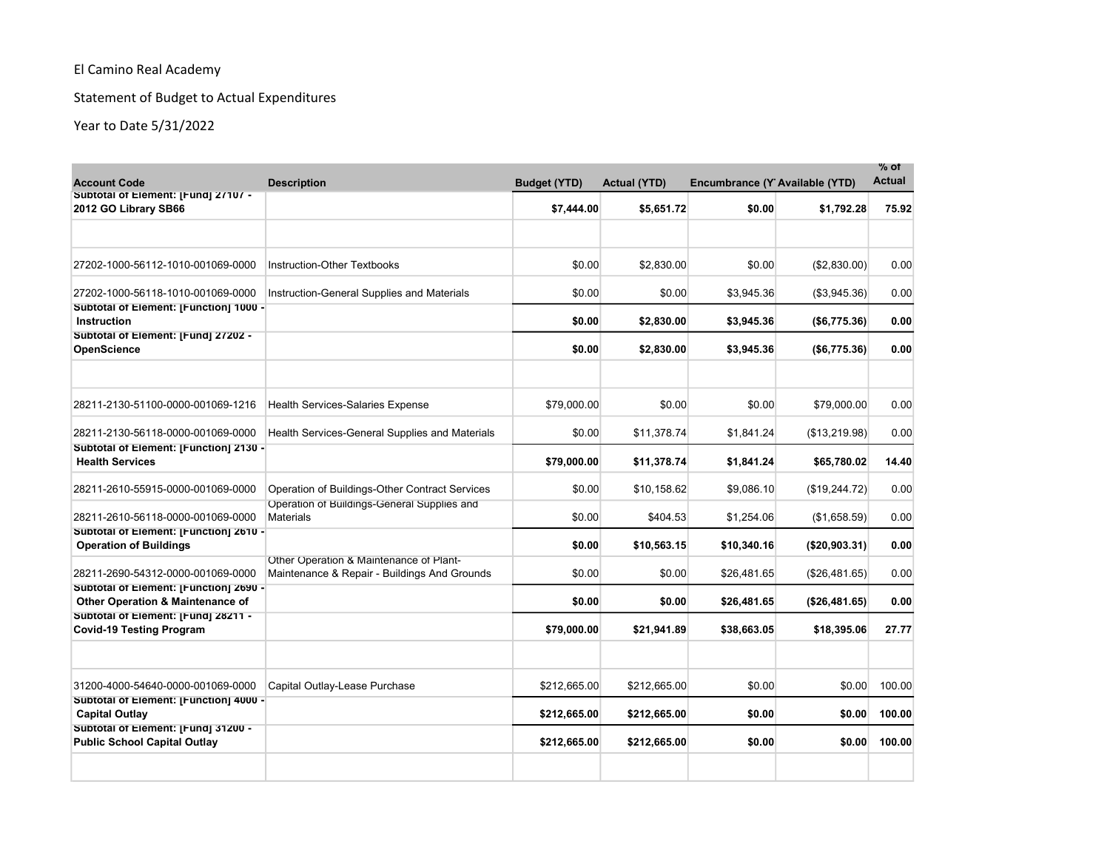# Statement of Budget to Actual Expenditures

| <b>Account Code</b>                                                        | <b>Description</b>                                                                      | <b>Budget (YTD)</b> | <b>Actual (YTD)</b> | Encumbrance (Y Available (YTD) |               | % of<br><b>Actual</b> |
|----------------------------------------------------------------------------|-----------------------------------------------------------------------------------------|---------------------|---------------------|--------------------------------|---------------|-----------------------|
| Subtotal of Element: [Fund] 27107 -<br>2012 GO Library SB66                |                                                                                         | \$7,444.00          | \$5,651.72          | \$0.00                         | \$1,792.28    | 75.92                 |
|                                                                            |                                                                                         |                     |                     |                                |               |                       |
| 27202-1000-56112-1010-001069-0000                                          | <b>Instruction-Other Textbooks</b>                                                      | \$0.00              | \$2,830.00          | \$0.00                         | (\$2,830.00)  | 0.00                  |
| 27202-1000-56118-1010-001069-0000                                          | Instruction-General Supplies and Materials                                              | \$0.00              | \$0.00              | \$3,945.36                     | (\$3,945.36)  | 0.00                  |
| Subtotal of Element: [Function] 1000 -<br>Instruction                      |                                                                                         | \$0.00              | \$2,830.00          | \$3,945.36                     | (\$6,775.36)  | 0.00                  |
| Subtotal of Element: [Fund] 27202 -<br><b>OpenScience</b>                  |                                                                                         | \$0.00              | \$2,830.00          | \$3,945.36                     | (\$6,775.36)  | 0.00                  |
|                                                                            |                                                                                         |                     |                     |                                |               |                       |
| 28211-2130-51100-0000-001069-1216                                          | <b>Health Services-Salaries Expense</b>                                                 | \$79,000.00         | \$0.00              | \$0.00                         | \$79,000.00   | 0.00                  |
| 28211-2130-56118-0000-001069-0000                                          | Health Services-General Supplies and Materials                                          | \$0.00              | \$11,378.74         | \$1,841.24                     | (\$13,219.98) | 0.00                  |
| Subtotal of Element: [Function] 2130 -<br><b>Health Services</b>           |                                                                                         | \$79,000.00         | \$11,378.74         | \$1,841.24                     | \$65,780.02   | 14.40                 |
| 28211-2610-55915-0000-001069-0000                                          | Operation of Buildings-Other Contract Services                                          | \$0.00              | \$10,158.62         | \$9,086.10                     | (\$19,244.72) | 0.00                  |
| 28211-2610-56118-0000-001069-0000                                          | Operation of Buildings-General Supplies and<br><b>Materials</b>                         | \$0.00              | \$404.53            | \$1,254.06                     | (\$1,658.59)  | 0.00                  |
| Subtotal of Element: [Function] 2610 -<br><b>Operation of Buildings</b>    |                                                                                         | \$0.00              | \$10,563.15         | \$10,340.16                    | (\$20,903.31) | 0.00                  |
| 28211-2690-54312-0000-001069-0000                                          | Other Operation & Maintenance of Plant-<br>Maintenance & Repair - Buildings And Grounds | \$0.00              | \$0.00              | \$26,481.65                    | (\$26,481.65) | 0.00                  |
| Subtotal of Element: [Function] 2690 -<br>Other Operation & Maintenance of |                                                                                         | \$0.00              | \$0.00              | \$26,481.65                    | (\$26,481.65) | 0.00                  |
| Subtotal of Element: [Fund] 28211 -<br><b>Covid-19 Testing Program</b>     |                                                                                         | \$79,000.00         | \$21,941.89         | \$38,663.05                    | \$18,395.06   | 27.77                 |
|                                                                            |                                                                                         |                     |                     |                                |               |                       |
| 31200-4000-54640-0000-001069-0000                                          | Capital Outlay-Lease Purchase                                                           | \$212,665.00        | \$212,665.00        | \$0.00                         | \$0.00        | 100.00                |
| Subtotal of Element: [Function] 4000 -<br><b>Capital Outlay</b>            |                                                                                         | \$212,665.00        | \$212,665.00        | \$0.00                         | \$0.00        | 100.00                |
| Subtotal of Element: [Fund] 31200 -<br><b>Public School Capital Outlay</b> |                                                                                         | \$212,665.00        | \$212,665.00        | \$0.00                         | \$0.00        | 100.00                |
|                                                                            |                                                                                         |                     |                     |                                |               |                       |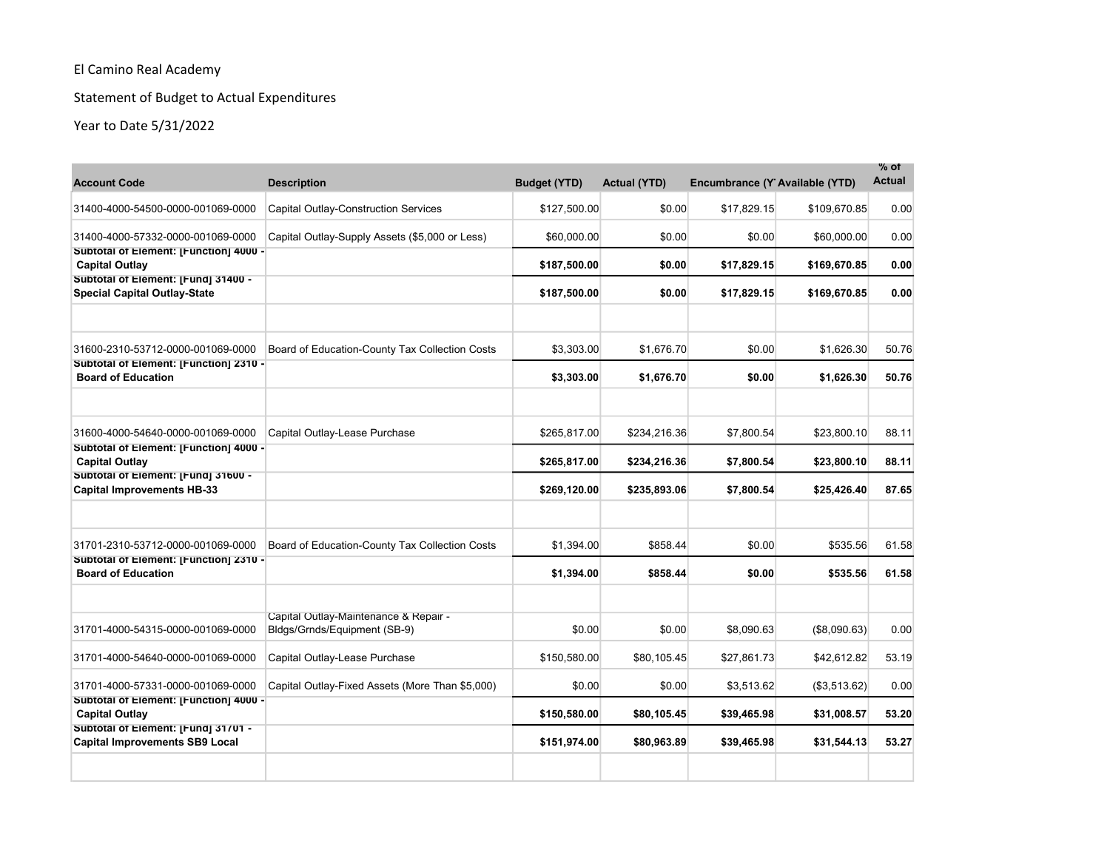# Statement of Budget to Actual Expenditures

| <b>Account Code</b>                                                          | <b>Description</b>                                                    | <b>Budget (YTD)</b> | <b>Actual (YTD)</b> | Encumbrance (Y Available (YTD) |               | $\%$ of<br><b>Actual</b> |
|------------------------------------------------------------------------------|-----------------------------------------------------------------------|---------------------|---------------------|--------------------------------|---------------|--------------------------|
| 31400-4000-54500-0000-001069-0000                                            | <b>Capital Outlay-Construction Services</b>                           | \$127,500.00        | \$0.00              | \$17,829.15                    | \$109,670.85  | 0.00                     |
| 31400-4000-57332-0000-001069-0000                                            | Capital Outlay-Supply Assets (\$5,000 or Less)                        | \$60,000.00         | \$0.00              | \$0.00                         | \$60,000.00   | 0.00                     |
| Subtotal of Element: [Function] 4000 -<br><b>Capital Outlay</b>              |                                                                       | \$187,500.00        | \$0.00              | \$17,829.15                    | \$169,670.85  | 0.00                     |
| Subtotal of Element: [Fund] 31400 -<br><b>Special Capital Outlay-State</b>   |                                                                       | \$187,500.00        | \$0.00              | \$17,829.15                    | \$169,670.85  | 0.00                     |
| 31600-2310-53712-0000-001069-0000                                            | Board of Education-County Tax Collection Costs                        | \$3.303.00          | \$1.676.70          | \$0.00                         | \$1.626.30    | 50.76                    |
| Subtotal of Element: [Function] 2310 -<br><b>Board of Education</b>          |                                                                       | \$3,303.00          | \$1,676.70          | \$0.00                         | \$1,626.30    | 50.76                    |
| 31600-4000-54640-0000-001069-0000                                            | Capital Outlay-Lease Purchase                                         | \$265,817.00        | \$234,216.36        | \$7,800.54                     | \$23.800.10   | 88.11                    |
| Subtotal of Element: [Function] 4000 -<br><b>Capital Outlay</b>              |                                                                       | \$265,817.00        | \$234,216.36        | \$7,800.54                     | \$23,800.10   | 88.11                    |
| Subtotal of Element: [Fund] 31600 -<br><b>Capital Improvements HB-33</b>     |                                                                       | \$269,120.00        | \$235,893.06        | \$7,800.54                     | \$25,426.40   | 87.65                    |
| 31701-2310-53712-0000-001069-0000                                            | Board of Education-County Tax Collection Costs                        | \$1,394.00          | \$858.44            | \$0.00                         | \$535.56      | 61.58                    |
| Subtotal of Element: [Function] 2310 -<br><b>Board of Education</b>          |                                                                       | \$1,394.00          | \$858.44            | \$0.00                         | \$535.56      | 61.58                    |
| 31701-4000-54315-0000-001069-0000                                            | Capital Outlay-Maintenance & Repair -<br>Bldgs/Grnds/Equipment (SB-9) | \$0.00              | \$0.00              | \$8,090.63                     | (\$8,090.63)  | 0.00                     |
| 31701-4000-54640-0000-001069-0000                                            | Capital Outlay-Lease Purchase                                         | \$150,580.00        | \$80,105.45         | \$27,861.73                    | \$42,612.82   | 53.19                    |
| 31701-4000-57331-0000-001069-0000                                            | Capital Outlay-Fixed Assets (More Than \$5,000)                       | \$0.00              | \$0.00              | \$3,513.62                     | ( \$3,513.62) | 0.00                     |
| Subtotal of Element: [Function] 4000 -<br><b>Capital Outlay</b>              |                                                                       | \$150,580.00        | \$80,105.45         | \$39,465.98                    | \$31,008.57   | 53.20                    |
| Subtotal of Element: [Fund] 31701 -<br><b>Capital Improvements SB9 Local</b> |                                                                       | \$151,974.00        | \$80,963.89         | \$39,465.98                    | \$31,544.13   | 53.27                    |
|                                                                              |                                                                       |                     |                     |                                |               |                          |